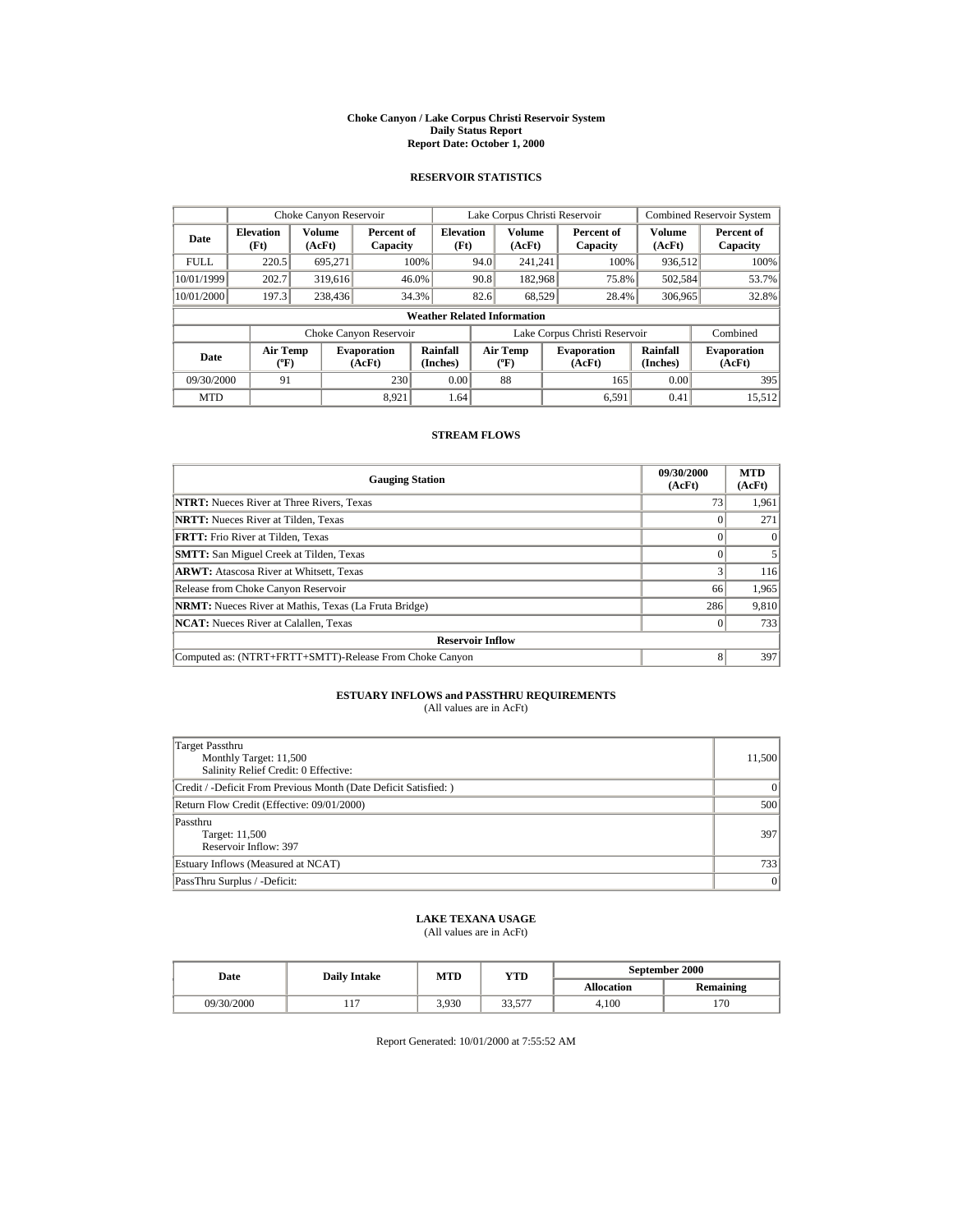#### **Choke Canyon / Lake Corpus Christi Reservoir System Daily Status Report Report Date: October 1, 2000**

## **RESERVOIR STATISTICS**

|             | Choke Canyon Reservoir                      |                  |                              |                          | Lake Corpus Christi Reservoir |                                           |  |                               | <b>Combined Reservoir System</b> |                              |
|-------------|---------------------------------------------|------------------|------------------------------|--------------------------|-------------------------------|-------------------------------------------|--|-------------------------------|----------------------------------|------------------------------|
| Date        | <b>Elevation</b><br>(Ft)                    | Volume<br>(AcFt) | Percent of<br>Capacity       | <b>Elevation</b><br>(Ft) |                               | Volume<br>(AcFt)                          |  | Percent of<br>Capacity        | <b>Volume</b><br>(AcFt)          | Percent of<br>Capacity       |
| <b>FULL</b> | 220.5                                       | 695,271          |                              | 100%                     | 94.0                          | 241.241                                   |  | 100%                          | 936,512                          | 100%                         |
| 10/01/1999  | 202.7                                       | 319,616          |                              | 46.0%                    | 90.8                          | 182,968                                   |  | 75.8%                         | 502,584                          | 53.7%                        |
| 10/01/2000  | 197.3                                       | 238,436          |                              | 34.3%                    | 82.6                          | 68.529                                    |  | 28.4%                         | 306,965                          | 32.8%                        |
|             | <b>Weather Related Information</b>          |                  |                              |                          |                               |                                           |  |                               |                                  |                              |
|             |                                             |                  | Choke Canyon Reservoir       |                          |                               |                                           |  | Lake Corpus Christi Reservoir |                                  | Combined                     |
| Date        | <b>Air Temp</b><br>$({}^{\circ}\mathrm{F})$ |                  | <b>Evaporation</b><br>(AcFt) | Rainfall<br>(Inches)     |                               | <b>Air Temp</b><br>$({}^{\circ}\text{F})$ |  | <b>Evaporation</b><br>(AcFt)  | Rainfall<br>(Inches)             | <b>Evaporation</b><br>(AcFt) |
| 09/30/2000  | 91                                          |                  | 230                          | 0.00                     |                               | 88                                        |  | 165                           | 0.00                             | 395                          |
| <b>MTD</b>  |                                             |                  | 8.921                        | 1.64                     |                               |                                           |  | 6.591                         | 0.41                             | 15,512                       |

### **STREAM FLOWS**

| <b>Gauging Station</b>                                       | 09/30/2000<br>(AcFt) | <b>MTD</b><br>(AcFt) |  |  |  |
|--------------------------------------------------------------|----------------------|----------------------|--|--|--|
| <b>NTRT:</b> Nueces River at Three Rivers, Texas             | 73                   | 1,961                |  |  |  |
| <b>NRTT:</b> Nueces River at Tilden, Texas                   |                      | 271                  |  |  |  |
| <b>FRTT:</b> Frio River at Tilden, Texas                     |                      | $\Omega$             |  |  |  |
| <b>SMTT:</b> San Miguel Creek at Tilden, Texas               |                      |                      |  |  |  |
| <b>ARWT:</b> Atascosa River at Whitsett, Texas               |                      | 116                  |  |  |  |
| Release from Choke Canyon Reservoir                          | 66                   | 1,965                |  |  |  |
| <b>NRMT:</b> Nueces River at Mathis, Texas (La Fruta Bridge) | 286                  | 9,810                |  |  |  |
| <b>NCAT:</b> Nueces River at Calallen, Texas                 |                      | 733                  |  |  |  |
| <b>Reservoir Inflow</b>                                      |                      |                      |  |  |  |
| Computed as: (NTRT+FRTT+SMTT)-Release From Choke Canyon      | 8                    | 397                  |  |  |  |

# **ESTUARY INFLOWS and PASSTHRU REQUIREMENTS**<br>(All values are in AcFt)

| Target Passthru<br>Monthly Target: 11,500<br>Salinity Relief Credit: 0 Effective: | 11,500 |
|-----------------------------------------------------------------------------------|--------|
| Credit / -Deficit From Previous Month (Date Deficit Satisfied:)                   | 0      |
| Return Flow Credit (Effective: 09/01/2000)                                        | 500    |
| Passthru<br>Target: 11,500<br>Reservoir Inflow: 397                               | 397    |
| Estuary Inflows (Measured at NCAT)                                                | 733    |
| PassThru Surplus / -Deficit:                                                      | 0      |

## **LAKE TEXANA USAGE**

(All values are in AcFt)

| Date       | <b>Daily Intake</b> | MTD   | YTD               | September 2000    |                  |  |
|------------|---------------------|-------|-------------------|-------------------|------------------|--|
|            |                     |       |                   | <b>Allocation</b> | <b>Remaining</b> |  |
| 09/30/2000 | .                   | 3.930 | 22.577<br>، ر. در | 4.100             | 170              |  |

Report Generated: 10/01/2000 at 7:55:52 AM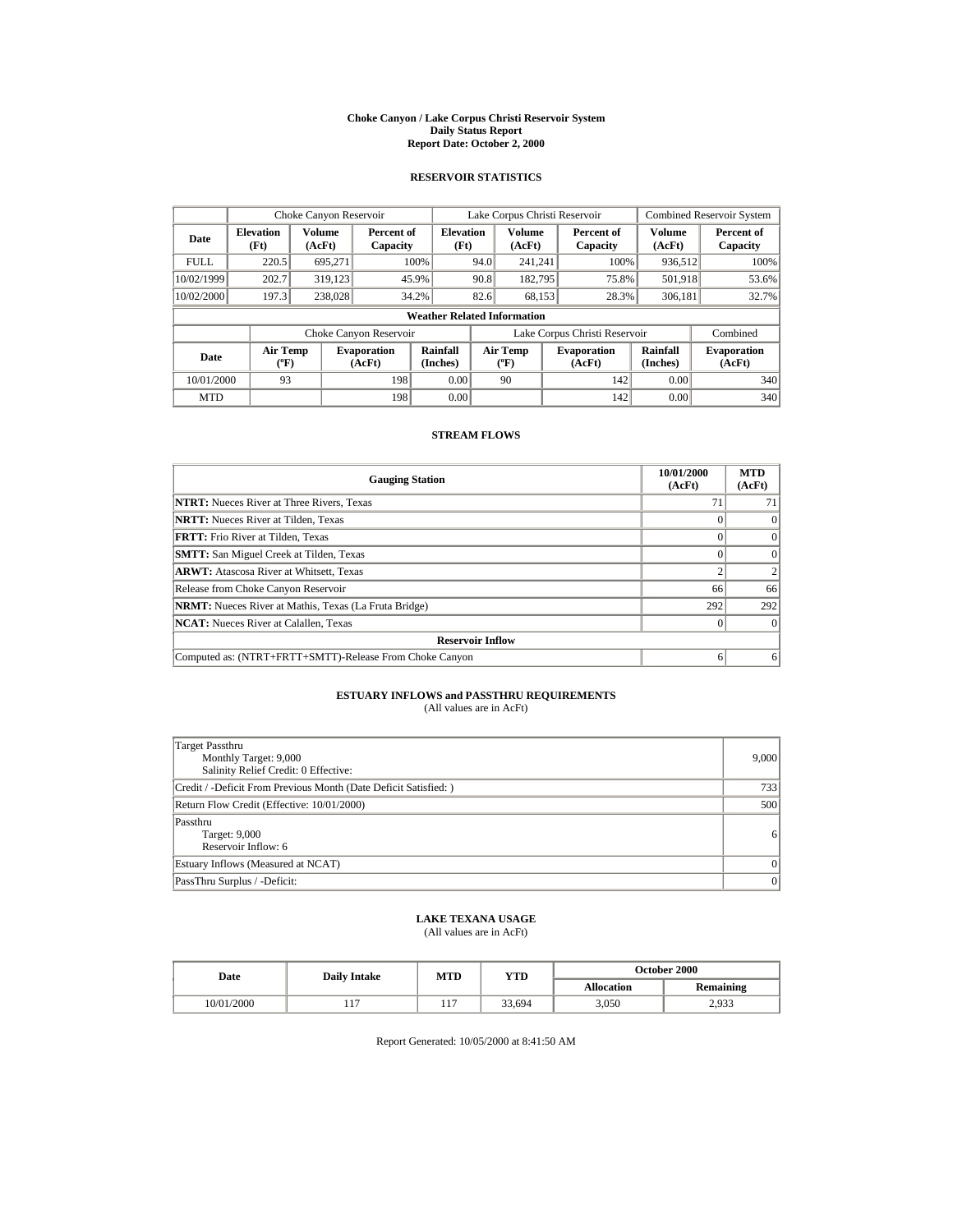#### **Choke Canyon / Lake Corpus Christi Reservoir System Daily Status Report Report Date: October 2, 2000**

## **RESERVOIR STATISTICS**

|             | Choke Canyon Reservoir                      |                  |                              |                          | Lake Corpus Christi Reservoir |                                           |  |                               |                      | <b>Combined Reservoir System</b> |  |
|-------------|---------------------------------------------|------------------|------------------------------|--------------------------|-------------------------------|-------------------------------------------|--|-------------------------------|----------------------|----------------------------------|--|
| Date        | <b>Elevation</b><br>(Ft)                    | Volume<br>(AcFt) | Percent of<br>Capacity       | <b>Elevation</b><br>(Ft) |                               | Volume<br>(AcFt)                          |  | Percent of<br>Capacity        | Volume<br>(AcFt)     | Percent of<br>Capacity           |  |
| <b>FULL</b> | 220.5                                       | 695.271          |                              | 100%                     | 94.0                          | 241.241                                   |  | 100%                          | 936,512              | 100%                             |  |
| 10/02/1999  | 202.7                                       | 319.123          |                              | 45.9%                    | 90.8                          | 182,795                                   |  | 75.8%                         | 501,918              | 53.6%                            |  |
| 10/02/2000  | 197.3                                       | 238,028          |                              | 34.2%                    | 82.6                          | 68.153                                    |  | 28.3%                         | 306,181              | 32.7%                            |  |
|             | <b>Weather Related Information</b>          |                  |                              |                          |                               |                                           |  |                               |                      |                                  |  |
|             |                                             |                  | Choke Canyon Reservoir       |                          |                               |                                           |  | Lake Corpus Christi Reservoir |                      | Combined                         |  |
| Date        | <b>Air Temp</b><br>$({}^{\circ}\mathrm{F})$ |                  | <b>Evaporation</b><br>(AcFt) | Rainfall<br>(Inches)     |                               | <b>Air Temp</b><br>$({}^{\circ}\text{F})$ |  | <b>Evaporation</b><br>(AcFt)  | Rainfall<br>(Inches) | <b>Evaporation</b><br>(AcFt)     |  |
| 10/01/2000  | 93                                          |                  | 198                          | 0.00                     |                               | 90                                        |  | 142                           | 0.00                 | 340                              |  |
| <b>MTD</b>  |                                             |                  | 198                          | 0.00                     |                               |                                           |  | 142                           | 0.00                 | 340                              |  |

### **STREAM FLOWS**

| <b>Gauging Station</b>                                       | 10/01/2000<br>(AcFt) | <b>MTD</b><br>(AcFt) |  |  |  |
|--------------------------------------------------------------|----------------------|----------------------|--|--|--|
| <b>NTRT:</b> Nueces River at Three Rivers, Texas             |                      |                      |  |  |  |
| <b>NRTT:</b> Nueces River at Tilden, Texas                   |                      |                      |  |  |  |
| <b>FRTT:</b> Frio River at Tilden, Texas                     |                      |                      |  |  |  |
| <b>SMTT:</b> San Miguel Creek at Tilden, Texas               |                      |                      |  |  |  |
| <b>ARWT:</b> Atascosa River at Whitsett, Texas               |                      |                      |  |  |  |
| Release from Choke Canyon Reservoir                          | 66                   | 66                   |  |  |  |
| <b>NRMT:</b> Nueces River at Mathis, Texas (La Fruta Bridge) | 292                  | 292                  |  |  |  |
| <b>NCAT:</b> Nueces River at Calallen, Texas                 |                      |                      |  |  |  |
| <b>Reservoir Inflow</b>                                      |                      |                      |  |  |  |
| Computed as: (NTRT+FRTT+SMTT)-Release From Choke Canyon      | o                    | 6                    |  |  |  |

# **ESTUARY INFLOWS and PASSTHRU REQUIREMENTS**<br>(All values are in AcFt)

| Target Passthru<br>Monthly Target: 9,000<br>Salinity Relief Credit: 0 Effective: | 9,000    |
|----------------------------------------------------------------------------------|----------|
| Credit / -Deficit From Previous Month (Date Deficit Satisfied:)                  | 7331     |
| Return Flow Credit (Effective: 10/01/2000)                                       | 500      |
| Passthru<br>Target: 9,000<br>Reservoir Inflow: 6                                 | 6        |
| Estuary Inflows (Measured at NCAT)                                               | $\Omega$ |
| PassThru Surplus / -Deficit:                                                     | $\Omega$ |

# **LAKE TEXANA USAGE**

(All values are in AcFt)

| <b>Date</b> | <b>Daily Intake</b> | MTD                | YTD    | October 2000      |           |  |
|-------------|---------------------|--------------------|--------|-------------------|-----------|--|
|             |                     |                    |        | <b>Allocation</b> | Remaining |  |
| 10/01/2000  | 11.                 | 1 <sub>7</sub><br> | 33.694 | 3,050             | 2,933     |  |

Report Generated: 10/05/2000 at 8:41:50 AM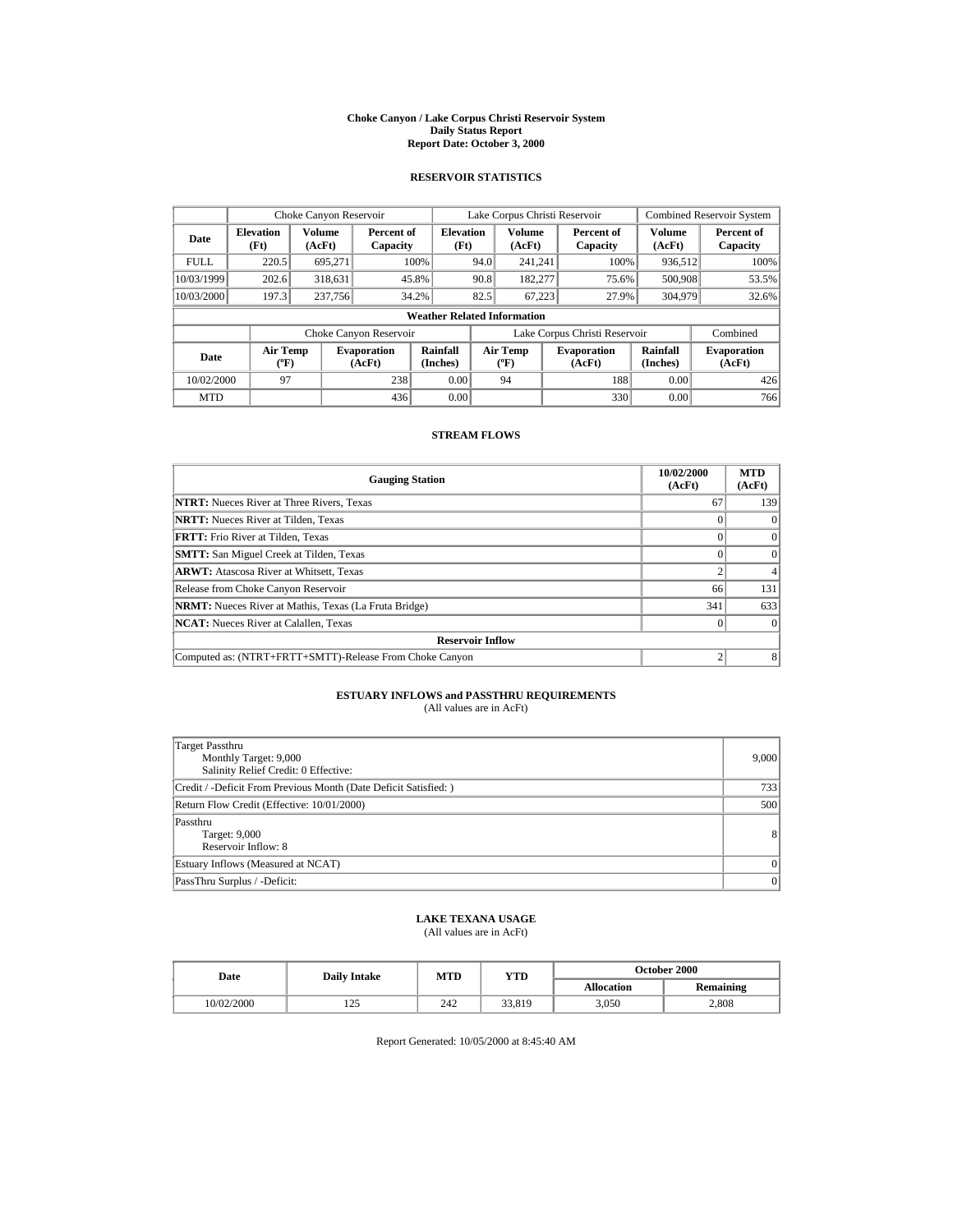#### **Choke Canyon / Lake Corpus Christi Reservoir System Daily Status Report Report Date: October 3, 2000**

## **RESERVOIR STATISTICS**

|             | Choke Canyon Reservoir                      |                  |                              |                          | Lake Corpus Christi Reservoir |                                           |  |                               | <b>Combined Reservoir System</b> |                              |
|-------------|---------------------------------------------|------------------|------------------------------|--------------------------|-------------------------------|-------------------------------------------|--|-------------------------------|----------------------------------|------------------------------|
| Date        | <b>Elevation</b><br>(Ft)                    | Volume<br>(AcFt) | Percent of<br>Capacity       | <b>Elevation</b><br>(Ft) |                               | Volume<br>(AcFt)                          |  | Percent of<br>Capacity        | Volume<br>(AcFt)                 | Percent of<br>Capacity       |
| <b>FULL</b> | 220.5                                       | 695.271          |                              | 100%                     | 94.0                          | 241.241                                   |  | 100%                          | 936,512                          | 100%                         |
| 10/03/1999  | 202.6                                       | 318,631          |                              | 45.8%                    | 90.8                          | 182,277                                   |  | 75.6%                         | 500,908                          | 53.5%                        |
| 10/03/2000  | 197.3                                       | 237,756          |                              | 34.2%                    | 82.5                          | 67.223                                    |  | 27.9%                         | 304,979                          | 32.6%                        |
|             | <b>Weather Related Information</b>          |                  |                              |                          |                               |                                           |  |                               |                                  |                              |
|             |                                             |                  | Choke Canyon Reservoir       |                          |                               |                                           |  | Lake Corpus Christi Reservoir |                                  | Combined                     |
| Date        | <b>Air Temp</b><br>$({}^{\circ}\mathrm{F})$ |                  | <b>Evaporation</b><br>(AcFt) | Rainfall<br>(Inches)     |                               | <b>Air Temp</b><br>$({}^{\circ}\text{F})$ |  | <b>Evaporation</b><br>(AcFt)  | Rainfall<br>(Inches)             | <b>Evaporation</b><br>(AcFt) |
| 10/02/2000  | 97                                          |                  | 238                          | 0.00                     |                               | 94                                        |  | 188                           | 0.00                             | 426                          |
| <b>MTD</b>  |                                             |                  | 436                          | 0.00                     |                               |                                           |  | 330                           | 0.00                             | 766                          |

### **STREAM FLOWS**

| <b>Gauging Station</b>                                       | 10/02/2000<br>(AcFt) | <b>MTD</b><br>(AcFt) |  |  |  |
|--------------------------------------------------------------|----------------------|----------------------|--|--|--|
| <b>NTRT:</b> Nueces River at Three Rivers, Texas             | 67                   | 139                  |  |  |  |
| <b>NRTT:</b> Nueces River at Tilden, Texas                   |                      | $\Omega$             |  |  |  |
| <b>FRTT:</b> Frio River at Tilden, Texas                     |                      | $\Omega$             |  |  |  |
| <b>SMTT:</b> San Miguel Creek at Tilden, Texas               |                      | $\Omega$             |  |  |  |
| <b>ARWT:</b> Atascosa River at Whitsett, Texas               |                      |                      |  |  |  |
| Release from Choke Canyon Reservoir                          | 66                   | 131                  |  |  |  |
| <b>NRMT:</b> Nueces River at Mathis, Texas (La Fruta Bridge) | 341                  | 633                  |  |  |  |
| <b>NCAT:</b> Nueces River at Calallen, Texas                 |                      |                      |  |  |  |
| <b>Reservoir Inflow</b>                                      |                      |                      |  |  |  |
| Computed as: (NTRT+FRTT+SMTT)-Release From Choke Canyon      |                      |                      |  |  |  |

# **ESTUARY INFLOWS and PASSTHRU REQUIREMENTS**<br>(All values are in AcFt)

| Target Passthru<br>Monthly Target: 9,000<br>Salinity Relief Credit: 0 Effective: | 9,000          |
|----------------------------------------------------------------------------------|----------------|
| Credit / -Deficit From Previous Month (Date Deficit Satisfied:)                  | 7331           |
| Return Flow Credit (Effective: 10/01/2000)                                       | 500            |
| Passthru<br>Target: 9,000<br>Reservoir Inflow: 8                                 | 8 <sup>1</sup> |
| Estuary Inflows (Measured at NCAT)                                               | $\Omega$       |
| PassThru Surplus / -Deficit:                                                     | $\Omega$       |

# **LAKE TEXANA USAGE**

(All values are in AcFt)

| <b>Date</b> | <b>Daily Intake</b>    | MTD | YTD    | <b>October 2000</b> |                  |  |
|-------------|------------------------|-----|--------|---------------------|------------------|--|
|             |                        |     |        | <b>Allocation</b>   | <b>Remaining</b> |  |
| 10/02/2000  | $\cap \subset$<br>رے 1 | 242 | 33.819 | 3.050               | 2,808            |  |

Report Generated: 10/05/2000 at 8:45:40 AM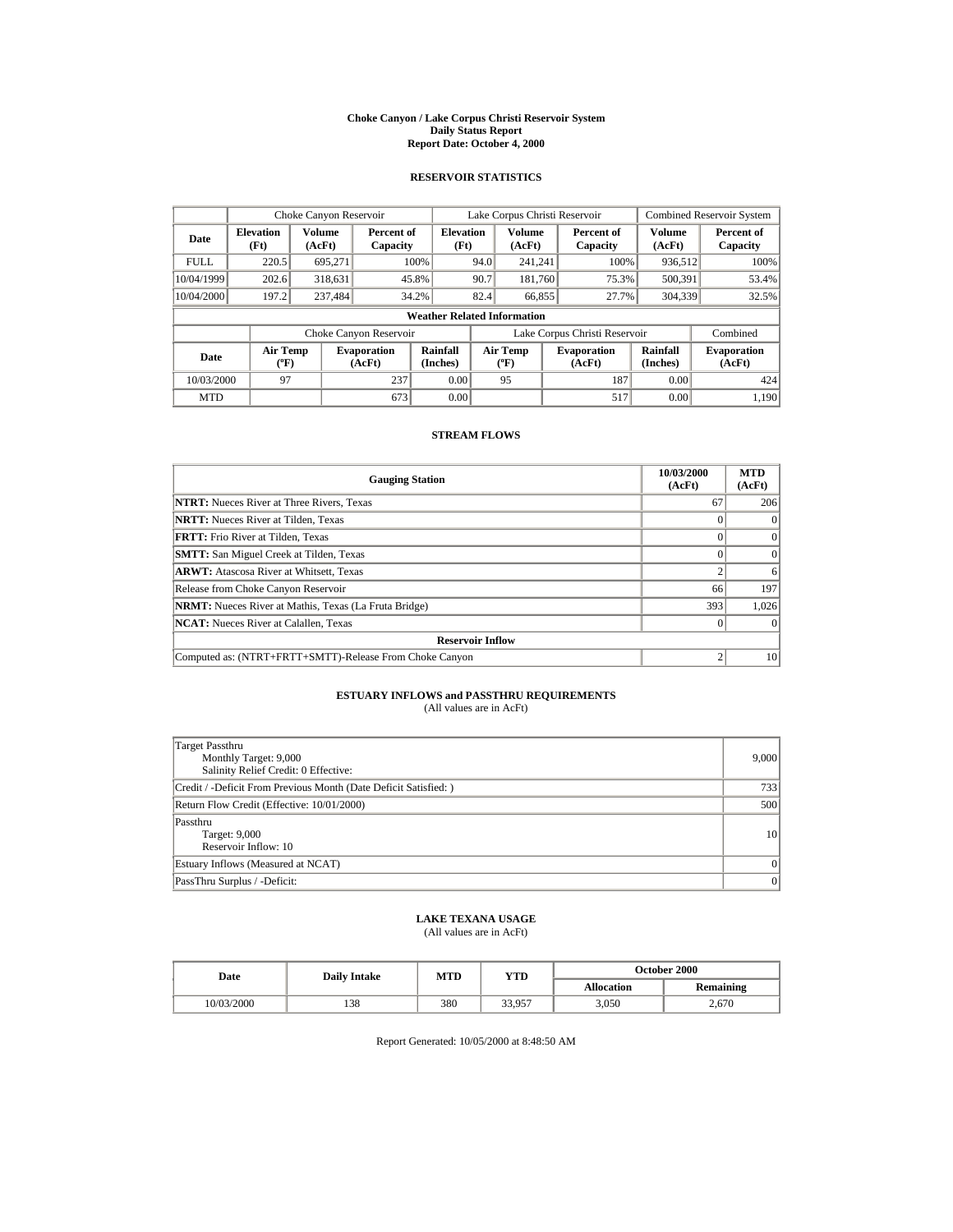#### **Choke Canyon / Lake Corpus Christi Reservoir System Daily Status Report Report Date: October 4, 2000**

## **RESERVOIR STATISTICS**

|             | Choke Canyon Reservoir                      |                  |                              |                                    | Lake Corpus Christi Reservoir |                                  |  |                               | <b>Combined Reservoir System</b> |                              |
|-------------|---------------------------------------------|------------------|------------------------------|------------------------------------|-------------------------------|----------------------------------|--|-------------------------------|----------------------------------|------------------------------|
| Date        | <b>Elevation</b><br>(Ft)                    | Volume<br>(AcFt) | Percent of<br>Capacity       | <b>Elevation</b><br>(Ft)           |                               | <b>Volume</b><br>(AcFt)          |  | Percent of<br>Capacity        | <b>Volume</b><br>(AcFt)          | Percent of<br>Capacity       |
| <b>FULL</b> | 220.5                                       | 695,271          |                              | 100%                               | 94.0                          | 241.241                          |  | 100%                          | 936,512                          | 100%                         |
| 10/04/1999  | 202.6                                       | 318,631          |                              | 45.8%                              | 90.7                          | 181.760                          |  | 75.3%                         | 500,391                          | 53.4%                        |
| 10/04/2000  | 197.2                                       | 237,484          |                              | 34.2%                              | 82.4                          | 66,855                           |  | 27.7%                         | 304,339                          | 32.5%                        |
|             |                                             |                  |                              | <b>Weather Related Information</b> |                               |                                  |  |                               |                                  |                              |
|             |                                             |                  | Choke Canyon Reservoir       |                                    |                               |                                  |  | Lake Corpus Christi Reservoir |                                  | Combined                     |
| Date        | <b>Air Temp</b><br>$({}^{\circ}\mathrm{F})$ |                  | <b>Evaporation</b><br>(AcFt) | Rainfall<br>(Inches)               |                               | <b>Air Temp</b><br>$(^{\circ}F)$ |  | <b>Evaporation</b><br>(AcFt)  | Rainfall<br>(Inches)             | <b>Evaporation</b><br>(AcFt) |
| 10/03/2000  | 97                                          |                  | 237                          | 0.00                               |                               | 95                               |  | 187                           | 0.00                             | 424                          |
| <b>MTD</b>  |                                             |                  | 673                          | 0.00                               |                               |                                  |  | 517                           | 0.00                             | 1.190                        |

## **STREAM FLOWS**

| <b>Gauging Station</b>                                       | 10/03/2000<br>(AcFt) | <b>MTD</b><br>(AcFt) |  |  |  |
|--------------------------------------------------------------|----------------------|----------------------|--|--|--|
| <b>NTRT:</b> Nueces River at Three Rivers, Texas             | 67                   | 206                  |  |  |  |
| <b>NRTT:</b> Nueces River at Tilden, Texas                   |                      | $\Omega$             |  |  |  |
| <b>FRTT:</b> Frio River at Tilden, Texas                     |                      | $\Omega$             |  |  |  |
| <b>SMTT:</b> San Miguel Creek at Tilden, Texas               |                      | $\Omega$             |  |  |  |
| <b>ARWT:</b> Atascosa River at Whitsett, Texas               |                      | 6                    |  |  |  |
| Release from Choke Canyon Reservoir                          | 66                   | 197                  |  |  |  |
| <b>NRMT:</b> Nueces River at Mathis, Texas (La Fruta Bridge) | 393                  | 1.026                |  |  |  |
| <b>NCAT:</b> Nueces River at Calallen, Texas                 |                      |                      |  |  |  |
| <b>Reservoir Inflow</b>                                      |                      |                      |  |  |  |
| Computed as: (NTRT+FRTT+SMTT)-Release From Choke Canyon      |                      | 10                   |  |  |  |

# **ESTUARY INFLOWS and PASSTHRU REQUIREMENTS**<br>(All values are in AcFt)

| Target Passthru<br>Monthly Target: 9,000<br>Salinity Relief Credit: 0 Effective: | 9,000           |
|----------------------------------------------------------------------------------|-----------------|
| Credit / -Deficit From Previous Month (Date Deficit Satisfied: )                 | 7331            |
| Return Flow Credit (Effective: 10/01/2000)                                       | 500             |
| Passthru<br>Target: 9,000<br>Reservoir Inflow: 10                                | 10 <sup>1</sup> |
| Estuary Inflows (Measured at NCAT)                                               | $\Omega$        |
| PassThru Surplus / -Deficit:                                                     | 0               |

# **LAKE TEXANA USAGE**

(All values are in AcFt)

| Date       | <b>Daily Intake</b> | <b>MTD</b> | YTD    | <b>October 2000</b> |                  |  |
|------------|---------------------|------------|--------|---------------------|------------------|--|
|            |                     |            |        | <b>Allocation</b>   | <b>Remaining</b> |  |
| 10/03/2000 | 138                 | 380        | 33.957 | 3.050               | 2.670            |  |

Report Generated: 10/05/2000 at 8:48:50 AM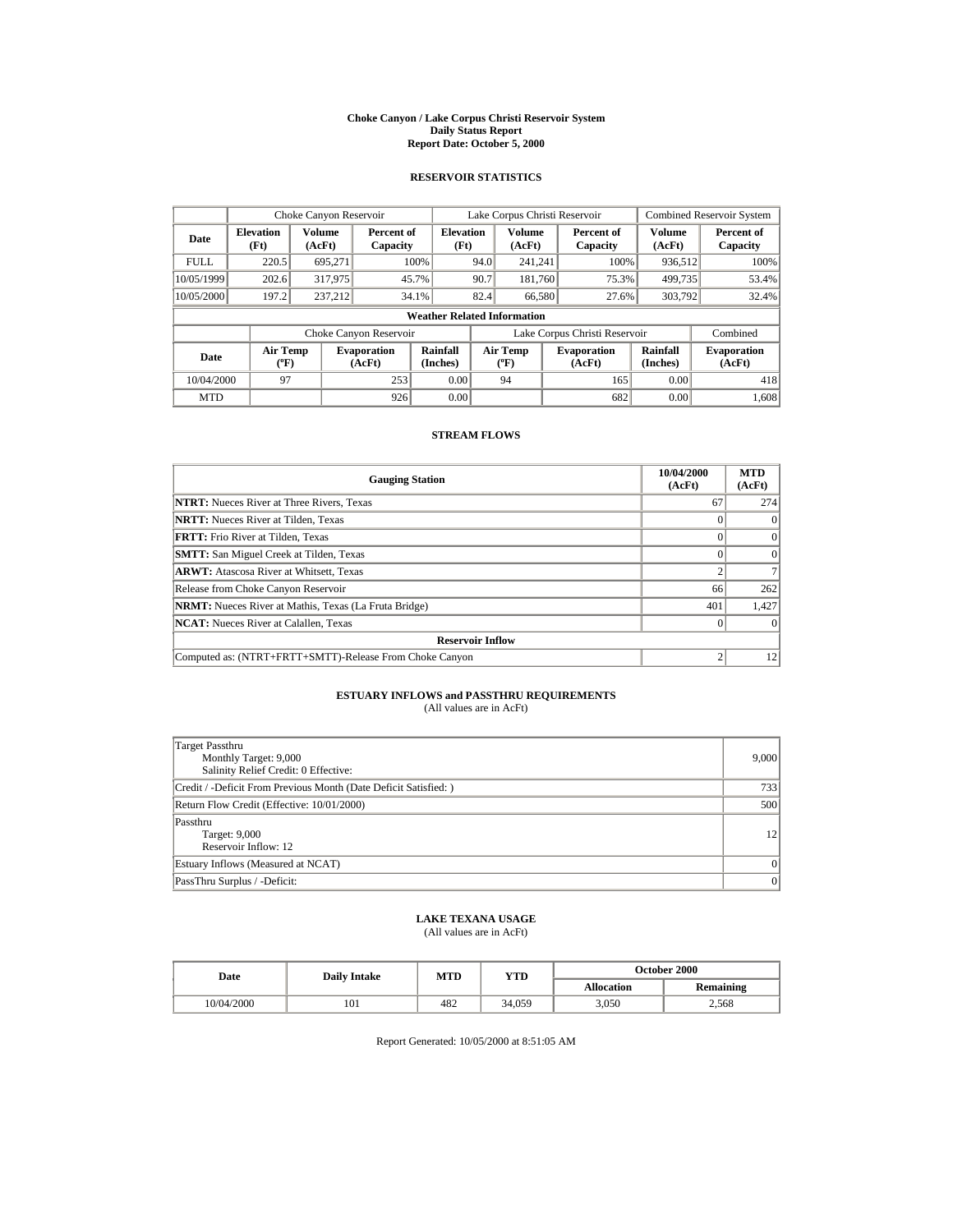#### **Choke Canyon / Lake Corpus Christi Reservoir System Daily Status Report Report Date: October 5, 2000**

## **RESERVOIR STATISTICS**

|             | Choke Canyon Reservoir                      |                  |                              |                                    | Lake Corpus Christi Reservoir |                                           |  |                               | <b>Combined Reservoir System</b> |                              |
|-------------|---------------------------------------------|------------------|------------------------------|------------------------------------|-------------------------------|-------------------------------------------|--|-------------------------------|----------------------------------|------------------------------|
| Date        | <b>Elevation</b><br>(Ft)                    | Volume<br>(AcFt) | Percent of<br>Capacity       | <b>Elevation</b><br>(Ft)           |                               | Volume<br>(AcFt)                          |  | Percent of<br>Capacity        | Volume<br>(AcFt)                 | Percent of<br>Capacity       |
| <b>FULL</b> | 220.5                                       | 695,271          |                              | 100%                               | 94.0                          | 241.241                                   |  | 100%                          | 936,512                          | 100%                         |
| 10/05/1999  | 202.6                                       | 317,975          |                              | 45.7%                              | 90.7                          | 181.760                                   |  | 75.3%                         | 499,735                          | 53.4%                        |
| 10/05/2000  | 197.2                                       | 237.212          |                              | 34.1%                              | 82.4                          | 66,580                                    |  | 27.6%                         | 303,792                          | 32.4%                        |
|             |                                             |                  |                              | <b>Weather Related Information</b> |                               |                                           |  |                               |                                  |                              |
|             |                                             |                  | Choke Canyon Reservoir       |                                    |                               |                                           |  | Lake Corpus Christi Reservoir |                                  | Combined                     |
| Date        | <b>Air Temp</b><br>$({}^{\circ}\mathrm{F})$ |                  | <b>Evaporation</b><br>(AcFt) | Rainfall<br>(Inches)               |                               | <b>Air Temp</b><br>$({}^{\circ}\text{F})$ |  | <b>Evaporation</b><br>(AcFt)  | Rainfall<br>(Inches)             | <b>Evaporation</b><br>(AcFt) |
| 10/04/2000  | 97                                          |                  | 253                          | 0.00                               |                               | 94                                        |  | 165                           | 0.00                             | 418                          |
| <b>MTD</b>  |                                             |                  | 926                          | 0.00                               |                               |                                           |  | 682                           | 0.00                             | 1,608                        |

### **STREAM FLOWS**

| <b>Gauging Station</b>                                       | 10/04/2000<br>(AcFt) | <b>MTD</b><br>(AcFt) |  |  |  |
|--------------------------------------------------------------|----------------------|----------------------|--|--|--|
| <b>NTRT:</b> Nueces River at Three Rivers, Texas             | 67                   | 274                  |  |  |  |
| <b>NRTT:</b> Nueces River at Tilden, Texas                   |                      | $\Omega$             |  |  |  |
| FRTT: Frio River at Tilden, Texas                            |                      | $\Omega$             |  |  |  |
| <b>SMTT:</b> San Miguel Creek at Tilden, Texas               |                      | $\Omega$             |  |  |  |
| <b>ARWT:</b> Atascosa River at Whitsett, Texas               |                      |                      |  |  |  |
| Release from Choke Canyon Reservoir                          | 66                   | 262                  |  |  |  |
| <b>NRMT:</b> Nueces River at Mathis, Texas (La Fruta Bridge) | 401                  | 1,427                |  |  |  |
| <b>NCAT:</b> Nueces River at Calallen, Texas                 |                      | $\Omega$             |  |  |  |
| <b>Reservoir Inflow</b>                                      |                      |                      |  |  |  |
| Computed as: (NTRT+FRTT+SMTT)-Release From Choke Canyon      |                      | 12                   |  |  |  |

# **ESTUARY INFLOWS and PASSTHRU REQUIREMENTS**<br>(All values are in AcFt)

| Target Passthru<br>Monthly Target: 9,000<br>Salinity Relief Credit: 0 Effective: | 9,000     |
|----------------------------------------------------------------------------------|-----------|
| Credit / -Deficit From Previous Month (Date Deficit Satisfied:)                  | 733       |
| Return Flow Credit (Effective: 10/01/2000)                                       | 500       |
| Passthru<br>Target: 9,000<br>Reservoir Inflow: 12                                | 12        |
| Estuary Inflows (Measured at NCAT)                                               | $\vert$ 0 |
| PassThru Surplus / -Deficit:                                                     | 0         |

# **LAKE TEXANA USAGE**

(All values are in AcFt)

| Date       | <b>Daily Intake</b> | MTD | YTD    | <b>October 2000</b> |                  |  |
|------------|---------------------|-----|--------|---------------------|------------------|--|
|            |                     |     |        | <b>Allocation</b>   | <b>Remaining</b> |  |
| 10/04/2000 | 101                 | 482 | 34.059 | 3.050               | 2.568            |  |

Report Generated: 10/05/2000 at 8:51:05 AM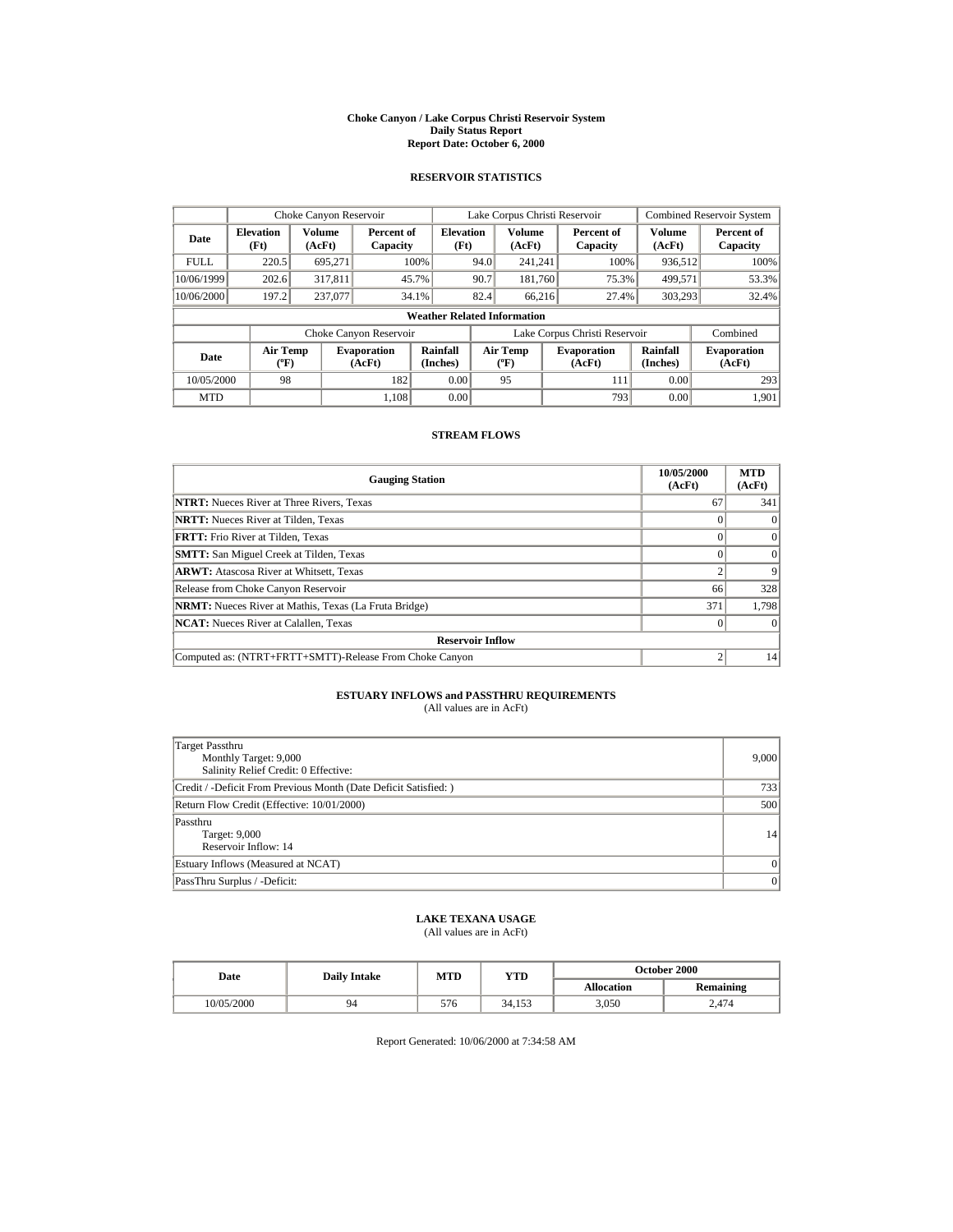#### **Choke Canyon / Lake Corpus Christi Reservoir System Daily Status Report Report Date: October 6, 2000**

## **RESERVOIR STATISTICS**

|             | Choke Canyon Reservoir                      |                  |                              |                                    | Lake Corpus Christi Reservoir |                                             |  |                               | <b>Combined Reservoir System</b> |                              |
|-------------|---------------------------------------------|------------------|------------------------------|------------------------------------|-------------------------------|---------------------------------------------|--|-------------------------------|----------------------------------|------------------------------|
| Date        | <b>Elevation</b><br>(Ft)                    | Volume<br>(AcFt) | Percent of<br>Capacity       | <b>Elevation</b><br>(Ft)           |                               | <b>Volume</b><br>(AcFt)                     |  | Percent of<br>Capacity        | Volume<br>(AcFt)                 | Percent of<br>Capacity       |
| <b>FULL</b> | 220.5                                       | 695,271          |                              | 100%                               | 94.0                          | 241.241                                     |  | 100%                          | 936,512                          | 100%                         |
| 10/06/1999  | 202.6                                       | 317,811          |                              | 45.7%                              | 90.7                          | 181.760                                     |  | 75.3%                         | 499,571                          | 53.3%                        |
| 10/06/2000  | 197.2                                       | 237,077          |                              | 34.1%                              | 82.4                          | 66,216                                      |  | 27.4%                         | 303,293                          | 32.4%                        |
|             |                                             |                  |                              | <b>Weather Related Information</b> |                               |                                             |  |                               |                                  |                              |
|             |                                             |                  | Choke Canyon Reservoir       |                                    |                               |                                             |  | Lake Corpus Christi Reservoir |                                  | Combined                     |
| Date        | <b>Air Temp</b><br>$({}^{\circ}\mathrm{F})$ |                  | <b>Evaporation</b><br>(AcFt) | Rainfall<br>(Inches)               |                               | <b>Air Temp</b><br>$({}^{\circ}\mathbf{F})$ |  | <b>Evaporation</b><br>(AcFt)  | Rainfall<br>(Inches)             | <b>Evaporation</b><br>(AcFt) |
| 10/05/2000  | 98                                          |                  | 182                          | 0.00                               |                               | 95                                          |  | 111                           | 0.00                             | 293                          |
| <b>MTD</b>  |                                             |                  | 1.108                        | 0.00                               |                               |                                             |  | 793                           | 0.00                             | 1.901                        |

### **STREAM FLOWS**

| <b>Gauging Station</b>                                       | 10/05/2000<br>(AcFt) | <b>MTD</b><br>(AcFt) |  |  |  |
|--------------------------------------------------------------|----------------------|----------------------|--|--|--|
| <b>NTRT:</b> Nueces River at Three Rivers, Texas             | 67                   | 341                  |  |  |  |
| <b>NRTT:</b> Nueces River at Tilden, Texas                   |                      | $\Omega$             |  |  |  |
| <b>FRTT:</b> Frio River at Tilden, Texas                     |                      | $\Omega$             |  |  |  |
| <b>SMTT:</b> San Miguel Creek at Tilden, Texas               |                      | $\Omega$             |  |  |  |
| <b>ARWT:</b> Atascosa River at Whitsett, Texas               |                      | $\mathbf Q$          |  |  |  |
| Release from Choke Canyon Reservoir                          | 66                   | 328                  |  |  |  |
| <b>NRMT:</b> Nueces River at Mathis, Texas (La Fruta Bridge) | 371                  | 1,798                |  |  |  |
| <b>NCAT:</b> Nueces River at Calallen, Texas                 |                      |                      |  |  |  |
| <b>Reservoir Inflow</b>                                      |                      |                      |  |  |  |
| Computed as: (NTRT+FRTT+SMTT)-Release From Choke Canyon      |                      | 14                   |  |  |  |

# **ESTUARY INFLOWS and PASSTHRU REQUIREMENTS**<br>(All values are in AcFt)

| <b>Target Passthru</b><br>Monthly Target: 9,000<br>Salinity Relief Credit: 0 Effective: | 9,000    |
|-----------------------------------------------------------------------------------------|----------|
| Credit / -Deficit From Previous Month (Date Deficit Satisfied:)                         | 7331     |
| Return Flow Credit (Effective: 10/01/2000)                                              | 500      |
| Passthru<br>Target: 9,000<br>Reservoir Inflow: 14                                       | 4        |
| Estuary Inflows (Measured at NCAT)                                                      | $\Omega$ |
| PassThru Surplus / -Deficit:                                                            | $\Omega$ |

# **LAKE TEXANA USAGE**

(All values are in AcFt)

| Date       | <b>Daily Intake</b> | MTD | YTD    | October 2000      |           |  |
|------------|---------------------|-----|--------|-------------------|-----------|--|
|            |                     |     |        | <b>Allocation</b> | Remaining |  |
| 10/05/2000 | 94                  | 576 | 34.153 | 3,050             | 2.474     |  |

Report Generated: 10/06/2000 at 7:34:58 AM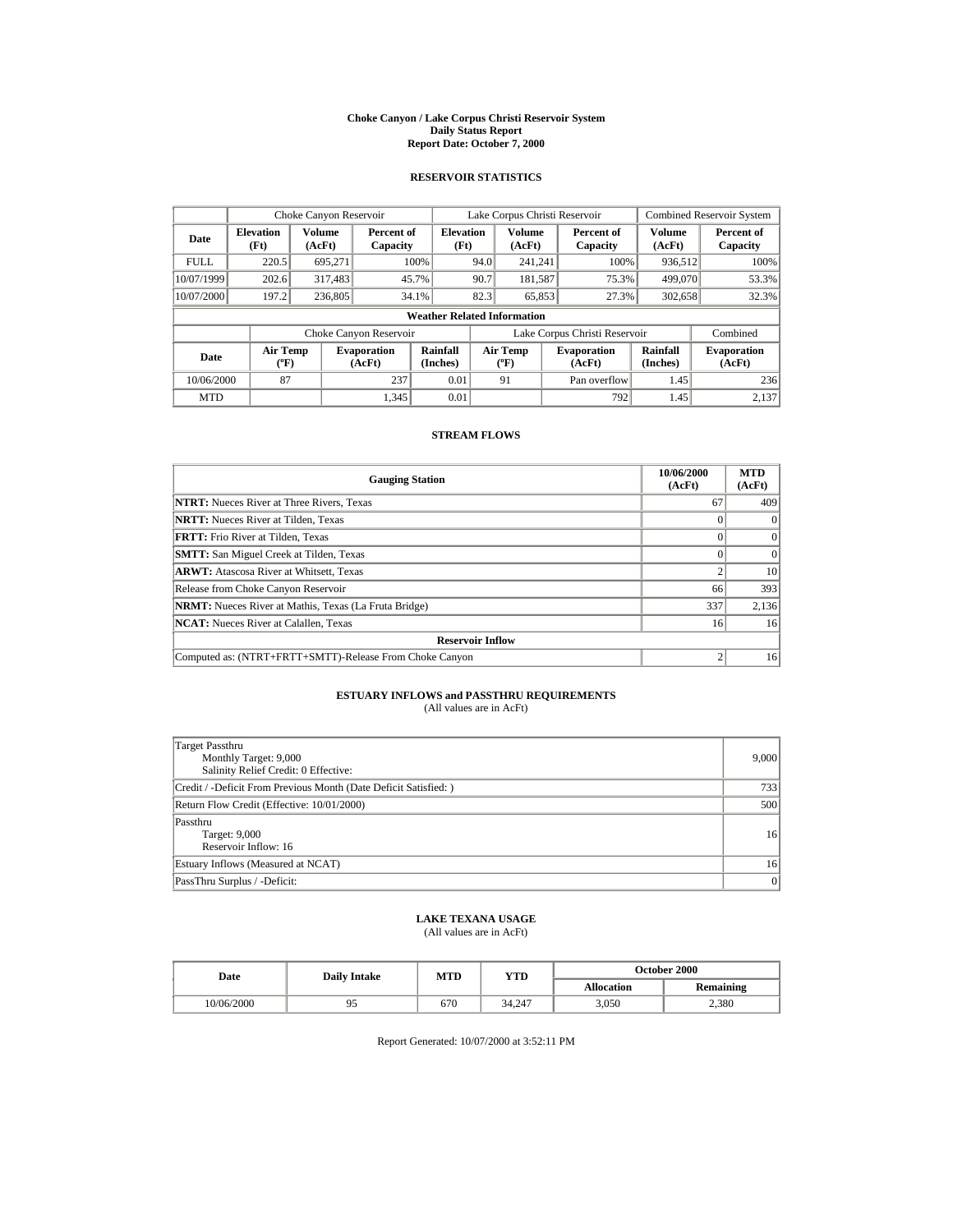#### **Choke Canyon / Lake Corpus Christi Reservoir System Daily Status Report Report Date: October 7, 2000**

## **RESERVOIR STATISTICS**

| Choke Canyon Reservoir             |                                       |                  |                              |                          | Lake Corpus Christi Reservoir |                                  |  |                               | <b>Combined Reservoir System</b> |                              |
|------------------------------------|---------------------------------------|------------------|------------------------------|--------------------------|-------------------------------|----------------------------------|--|-------------------------------|----------------------------------|------------------------------|
| Date                               | <b>Elevation</b><br>(Ft)              | Volume<br>(AcFt) | Percent of<br>Capacity       | <b>Elevation</b><br>(Ft) |                               | <b>Volume</b><br>(AcFt)          |  | Percent of<br>Capacity        | <b>Volume</b><br>(AcFt)          | Percent of<br>Capacity       |
| <b>FULL</b>                        | 220.5                                 | 695.271          |                              | 100%                     | 94.0                          | 241.241                          |  | 100%                          | 936.512                          | 100%                         |
| 10/07/1999                         | 202.6                                 | 317,483          |                              | 45.7%                    | 90.7                          | 181,587                          |  | 75.3%                         | 499,070                          | 53.3%                        |
| 10/07/2000                         | 197.2                                 | 236,805          |                              | 34.1%                    | 82.3                          | 65,853                           |  | 27.3%                         | 302,658                          | 32.3%                        |
| <b>Weather Related Information</b> |                                       |                  |                              |                          |                               |                                  |  |                               |                                  |                              |
|                                    |                                       |                  | Choke Canyon Reservoir       |                          |                               |                                  |  | Lake Corpus Christi Reservoir |                                  | Combined                     |
| Date                               | <b>Air Temp</b><br>$({}^o\mathrm{F})$ |                  | <b>Evaporation</b><br>(AcFt) | Rainfall<br>(Inches)     |                               | <b>Air Temp</b><br>$(^{\circ}F)$ |  | <b>Evaporation</b><br>(AcFt)  | <b>Rainfall</b><br>(Inches)      | <b>Evaporation</b><br>(AcFt) |
| 10/06/2000                         | 87                                    |                  | 237                          | 0.01                     |                               | 91                               |  | Pan overflow                  | 1.45                             | 236                          |
| <b>MTD</b>                         |                                       |                  | 1.345                        | 0.01                     |                               |                                  |  | 792                           | 1.45                             | 2.137                        |

### **STREAM FLOWS**

| <b>Gauging Station</b>                                       | 10/06/2000<br>(AcFt) | <b>MTD</b><br>(AcFt) |  |  |  |
|--------------------------------------------------------------|----------------------|----------------------|--|--|--|
| <b>NTRT:</b> Nueces River at Three Rivers, Texas             | 67                   | 409                  |  |  |  |
| <b>NRTT:</b> Nueces River at Tilden, Texas                   |                      | $\Omega$             |  |  |  |
| <b>FRTT:</b> Frio River at Tilden, Texas                     |                      | $\Omega$             |  |  |  |
| <b>SMTT:</b> San Miguel Creek at Tilden, Texas               |                      | $\Omega$             |  |  |  |
| <b>ARWT:</b> Atascosa River at Whitsett, Texas               |                      | 10                   |  |  |  |
| Release from Choke Canyon Reservoir                          | 66                   | 393                  |  |  |  |
| <b>NRMT:</b> Nueces River at Mathis, Texas (La Fruta Bridge) | 337                  | 2,136                |  |  |  |
| <b>NCAT:</b> Nueces River at Calallen, Texas                 | 16                   | 16                   |  |  |  |
| <b>Reservoir Inflow</b>                                      |                      |                      |  |  |  |
| Computed as: (NTRT+FRTT+SMTT)-Release From Choke Canyon      |                      | 16                   |  |  |  |

# **ESTUARY INFLOWS and PASSTHRU REQUIREMENTS**<br>(All values are in AcFt)

| <b>Target Passthru</b><br>Monthly Target: 9,000<br>Salinity Relief Credit: 0 Effective: | 9,000 |
|-----------------------------------------------------------------------------------------|-------|
| Credit / -Deficit From Previous Month (Date Deficit Satisfied:)                         | 733   |
| Return Flow Credit (Effective: 10/01/2000)                                              | 500   |
| Passthru<br>Target: 9,000<br>Reservoir Inflow: 16                                       | 16    |
| Estuary Inflows (Measured at NCAT)                                                      | 16    |
| PassThru Surplus / -Deficit:                                                            | 0     |

# **LAKE TEXANA USAGE**

(All values are in AcFt)

| Date       | <b>Daily Intake</b> | MTD | YTD    | <b>October 2000</b> |                  |  |
|------------|---------------------|-----|--------|---------------------|------------------|--|
|            |                     |     |        | <b>Allocation</b>   | <b>Remaining</b> |  |
| 10/06/2000 |                     | 670 | 34,247 | 3.050               | 2,380            |  |

Report Generated: 10/07/2000 at 3:52:11 PM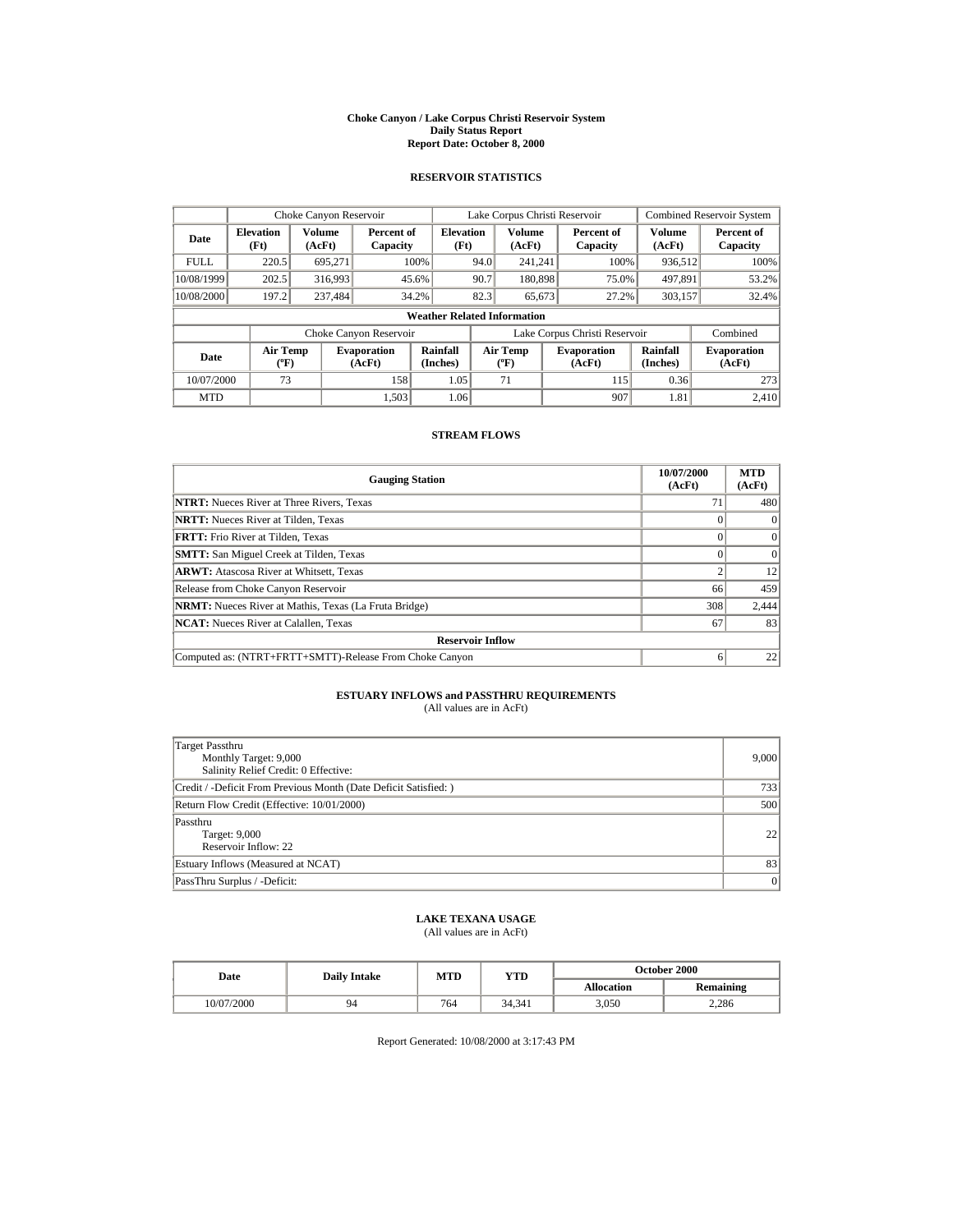#### **Choke Canyon / Lake Corpus Christi Reservoir System Daily Status Report Report Date: October 8, 2000**

## **RESERVOIR STATISTICS**

| Choke Canyon Reservoir             |                                             |                  |                              |                          | Lake Corpus Christi Reservoir |                                             |  |                               | <b>Combined Reservoir System</b> |                              |
|------------------------------------|---------------------------------------------|------------------|------------------------------|--------------------------|-------------------------------|---------------------------------------------|--|-------------------------------|----------------------------------|------------------------------|
| Date                               | <b>Elevation</b><br>(Ft)                    | Volume<br>(AcFt) | Percent of<br>Capacity       | <b>Elevation</b><br>(Ft) |                               | Volume<br>(AcFt)                            |  | Percent of<br>Capacity        | Volume<br>(AcFt)                 | Percent of<br>Capacity       |
| <b>FULL</b>                        | 220.5                                       | 695.271          |                              | 100%                     | 94.0                          | 241.241                                     |  | 100%                          | 936,512                          | 100%                         |
| 10/08/1999                         | 202.5                                       | 316,993          |                              | 45.6%                    | 90.7                          | 180,898                                     |  | 75.0%                         | 497.891                          | 53.2%                        |
| 10/08/2000                         | 197.2                                       | 237,484          |                              | 34.2%                    | 82.3                          | 65.673                                      |  | 27.2%                         | 303,157                          | 32.4%                        |
| <b>Weather Related Information</b> |                                             |                  |                              |                          |                               |                                             |  |                               |                                  |                              |
|                                    |                                             |                  | Choke Canyon Reservoir       |                          |                               |                                             |  | Lake Corpus Christi Reservoir |                                  | Combined                     |
| Date                               | <b>Air Temp</b><br>$({}^{\circ}\mathrm{F})$ |                  | <b>Evaporation</b><br>(AcFt) | Rainfall<br>(Inches)     |                               | <b>Air Temp</b><br>$({}^{\circ}\mathbf{F})$ |  | <b>Evaporation</b><br>(AcFt)  | Rainfall<br>(Inches)             | <b>Evaporation</b><br>(AcFt) |
| 10/07/2000                         | 73                                          |                  | 158                          | 1.05                     |                               | 71                                          |  | 115                           | 0.36                             | 273                          |
| <b>MTD</b>                         |                                             |                  | 1.503                        | 1.06                     |                               |                                             |  | 907                           | 1.81                             | 2.410                        |

### **STREAM FLOWS**

| <b>Gauging Station</b>                                       | 10/07/2000<br>(AcFt) | <b>MTD</b><br>(AcFt) |  |  |  |
|--------------------------------------------------------------|----------------------|----------------------|--|--|--|
| <b>NTRT:</b> Nueces River at Three Rivers, Texas             | 7                    | 480                  |  |  |  |
| <b>NRTT:</b> Nueces River at Tilden, Texas                   |                      | $\Omega$             |  |  |  |
| <b>FRTT:</b> Frio River at Tilden, Texas                     |                      | $\Omega$             |  |  |  |
| <b>SMTT:</b> San Miguel Creek at Tilden, Texas               |                      | $\Omega$             |  |  |  |
| <b>ARWT:</b> Atascosa River at Whitsett, Texas               |                      | 12                   |  |  |  |
| Release from Choke Canyon Reservoir                          | 66                   | 459                  |  |  |  |
| <b>NRMT:</b> Nueces River at Mathis, Texas (La Fruta Bridge) | 308                  | 2,444                |  |  |  |
| <b>NCAT:</b> Nueces River at Calallen, Texas                 | 67                   | 83                   |  |  |  |
| <b>Reservoir Inflow</b>                                      |                      |                      |  |  |  |
| Computed as: (NTRT+FRTT+SMTT)-Release From Choke Canyon      | 6                    | 22                   |  |  |  |

# **ESTUARY INFLOWS and PASSTHRU REQUIREMENTS**<br>(All values are in AcFt)

| <b>Target Passthru</b><br>Monthly Target: 9,000<br>Salinity Relief Credit: 0 Effective: | 9,000           |
|-----------------------------------------------------------------------------------------|-----------------|
| Credit / -Deficit From Previous Month (Date Deficit Satisfied:)                         | 7331            |
| Return Flow Credit (Effective: 10/01/2000)                                              | 500             |
| Passthru<br>Target: 9,000<br>Reservoir Inflow: 22                                       | 22 <sub>1</sub> |
| Estuary Inflows (Measured at NCAT)                                                      | 83              |
| PassThru Surplus / -Deficit:                                                            | $\vert$ 0       |

# **LAKE TEXANA USAGE**

(All values are in AcFt)

| Date       | <b>Daily Intake</b> | MTD | YTD    | <b>October 2000</b> |                  |  |
|------------|---------------------|-----|--------|---------------------|------------------|--|
|            |                     |     |        | <b>Allocation</b>   | <b>Remaining</b> |  |
| 10/07/2000 | 94                  | 764 | 34.341 | 3.050               | 2.286            |  |

Report Generated: 10/08/2000 at 3:17:43 PM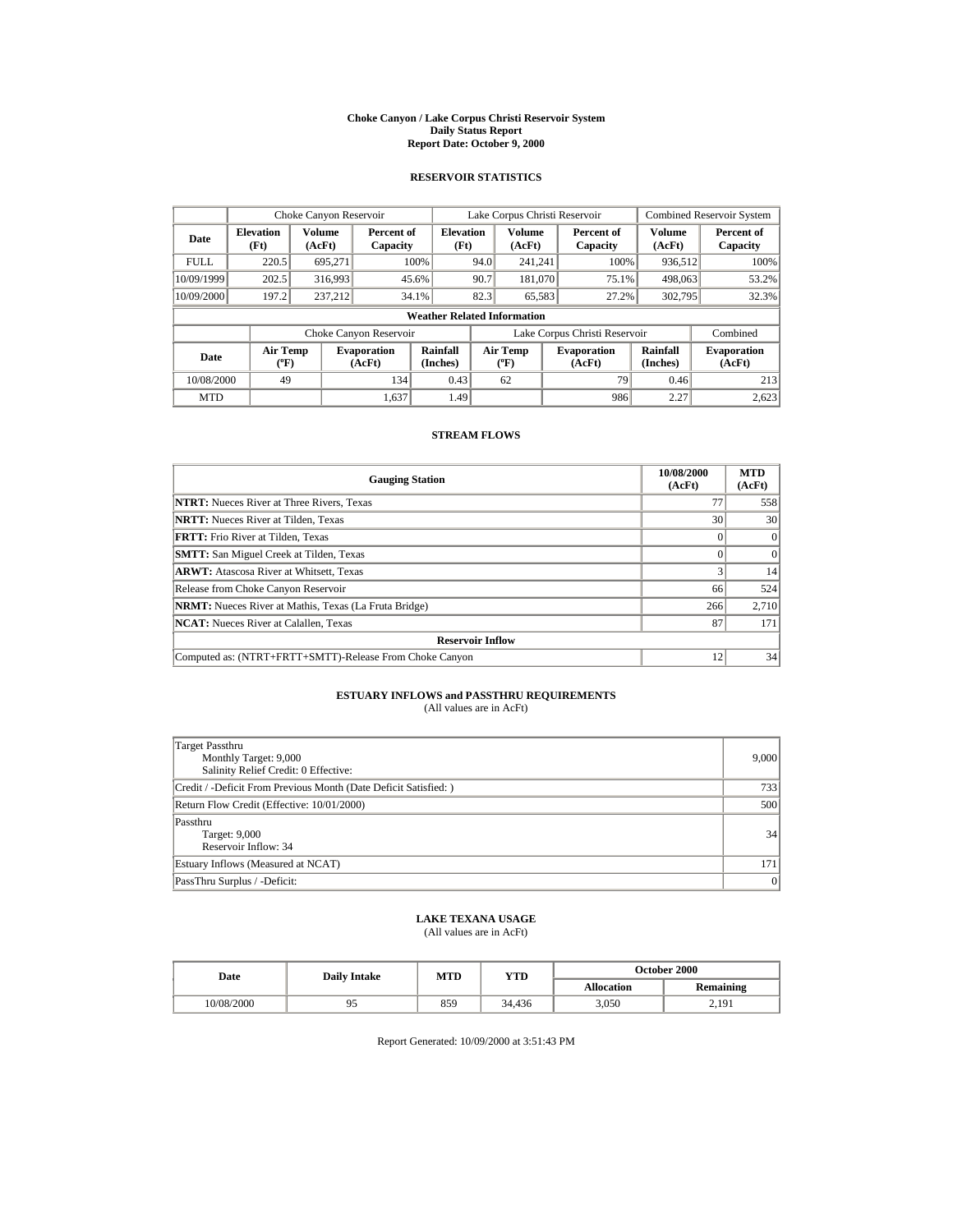#### **Choke Canyon / Lake Corpus Christi Reservoir System Daily Status Report Report Date: October 9, 2000**

## **RESERVOIR STATISTICS**

| Choke Canyon Reservoir |                                             |                  |                              |                          | Lake Corpus Christi Reservoir |                                             |  |                               | <b>Combined Reservoir System</b> |                              |
|------------------------|---------------------------------------------|------------------|------------------------------|--------------------------|-------------------------------|---------------------------------------------|--|-------------------------------|----------------------------------|------------------------------|
| Date                   | <b>Elevation</b><br>(Ft)                    | Volume<br>(AcFt) | Percent of<br>Capacity       | <b>Elevation</b><br>(Ft) |                               | Volume<br>(AcFt)                            |  | Percent of<br>Capacity        | Volume<br>(AcFt)                 | Percent of<br>Capacity       |
| <b>FULL</b>            | 220.5                                       | 695.271          |                              | 100%                     | 94.0                          | 241.241                                     |  | 100%                          | 936,512                          | 100%                         |
| 10/09/1999             | 202.5                                       | 316,993          |                              | 45.6%                    | 90.7                          | 181,070                                     |  | 75.1%                         | 498,063                          | 53.2%                        |
| 10/09/2000             | 197.2                                       | 237.212          |                              | 34.1%                    | 82.3                          | 65,583                                      |  | 27.2%                         | 302,795                          | 32.3%                        |
|                        | <b>Weather Related Information</b>          |                  |                              |                          |                               |                                             |  |                               |                                  |                              |
|                        |                                             |                  | Choke Canyon Reservoir       |                          |                               |                                             |  | Lake Corpus Christi Reservoir |                                  | Combined                     |
| Date                   | <b>Air Temp</b><br>$({}^{\circ}\mathrm{F})$ |                  | <b>Evaporation</b><br>(AcFt) | Rainfall<br>(Inches)     |                               | <b>Air Temp</b><br>$({}^{\circ}\mathbf{F})$ |  | <b>Evaporation</b><br>(AcFt)  | Rainfall<br>(Inches)             | <b>Evaporation</b><br>(AcFt) |
| 10/08/2000             | 49                                          |                  | 134                          | 0.43                     |                               | 62                                          |  | 79                            | 0.46                             | 213                          |
| <b>MTD</b>             |                                             |                  | 1.637                        | 1.49                     |                               |                                             |  | 986                           | 2.27                             | 2,623                        |

## **STREAM FLOWS**

| <b>Gauging Station</b>                                       | 10/08/2000<br>(AcFt) | <b>MTD</b><br>(AcFt) |  |  |  |
|--------------------------------------------------------------|----------------------|----------------------|--|--|--|
| <b>NTRT:</b> Nueces River at Three Rivers, Texas             | 77                   | 558                  |  |  |  |
| <b>NRTT:</b> Nueces River at Tilden, Texas                   | 30                   | 30                   |  |  |  |
| <b>FRTT:</b> Frio River at Tilden, Texas                     |                      | $\Omega$             |  |  |  |
| <b>SMTT:</b> San Miguel Creek at Tilden, Texas               |                      | $\Omega$             |  |  |  |
| <b>ARWT:</b> Atascosa River at Whitsett, Texas               |                      | 14                   |  |  |  |
| Release from Choke Canyon Reservoir                          | 66                   | 524                  |  |  |  |
| <b>NRMT:</b> Nueces River at Mathis, Texas (La Fruta Bridge) | 266                  | 2,710                |  |  |  |
| <b>NCAT:</b> Nueces River at Calallen, Texas                 | 87                   | 171                  |  |  |  |
| <b>Reservoir Inflow</b>                                      |                      |                      |  |  |  |
| Computed as: (NTRT+FRTT+SMTT)-Release From Choke Canyon      | $12 \overline{ }$    | 34                   |  |  |  |

# **ESTUARY INFLOWS and PASSTHRU REQUIREMENTS**<br>(All values are in AcFt)

| Target Passthru<br>Monthly Target: 9,000<br>Salinity Relief Credit: 0 Effective: | 9,000        |
|----------------------------------------------------------------------------------|--------------|
| Credit / -Deficit From Previous Month (Date Deficit Satisfied: )                 | 733          |
| Return Flow Credit (Effective: 10/01/2000)                                       | 500          |
| Passthru<br>Target: 9,000<br>Reservoir Inflow: 34                                | 34           |
| Estuary Inflows (Measured at NCAT)                                               | 171          |
| PassThru Surplus / -Deficit:                                                     | $\mathbf{0}$ |

# **LAKE TEXANA USAGE**

(All values are in AcFt)

| Date       | <b>Daily Intake</b> | MTD | YTD    | <b>October 2000</b> |           |  |
|------------|---------------------|-----|--------|---------------------|-----------|--|
|            |                     |     |        | <b>Allocation</b>   | Remaining |  |
| 10/08/2000 | フコ                  | 859 | 34.436 | 3.050               | 2.191     |  |

Report Generated: 10/09/2000 at 3:51:43 PM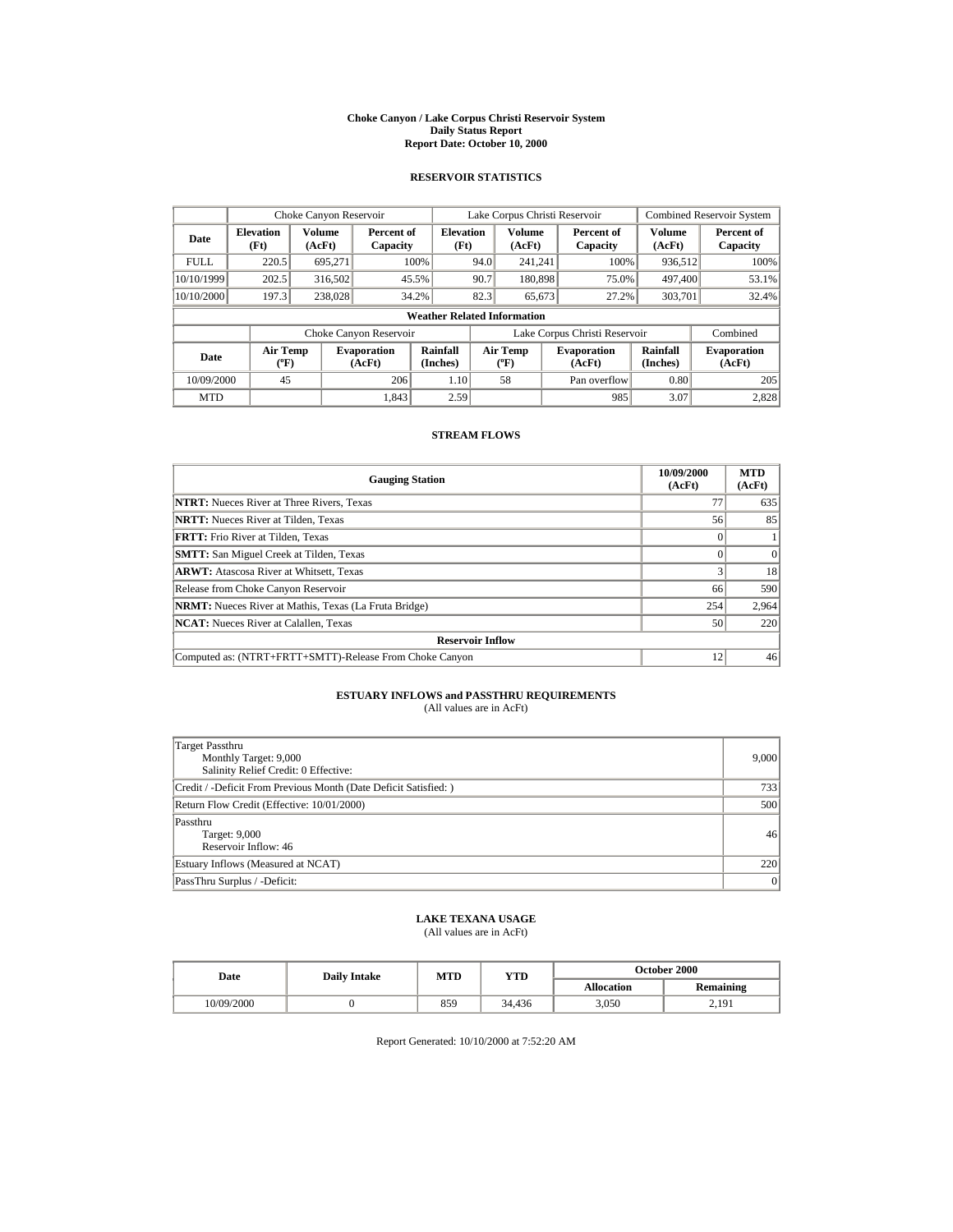#### **Choke Canyon / Lake Corpus Christi Reservoir System Daily Status Report Report Date: October 10, 2000**

## **RESERVOIR STATISTICS**

|             | Choke Canyon Reservoir                |                  |                              |                          | Lake Corpus Christi Reservoir |                                  |  |                               | <b>Combined Reservoir System</b> |                              |
|-------------|---------------------------------------|------------------|------------------------------|--------------------------|-------------------------------|----------------------------------|--|-------------------------------|----------------------------------|------------------------------|
| Date        | <b>Elevation</b><br>(Ft)              | Volume<br>(AcFt) | Percent of<br>Capacity       | <b>Elevation</b><br>(Ft) |                               | <b>Volume</b><br>(AcFt)          |  | Percent of<br>Capacity        | <b>Volume</b><br>(AcFt)          | Percent of<br>Capacity       |
| <b>FULL</b> | 220.5                                 | 695.271          |                              | 100%                     | 94.0                          | 241.241                          |  | 100%                          | 936.512                          | 100%                         |
| 10/10/1999  | 202.5                                 | 316,502          |                              | 45.5%                    | 90.7                          | 180,898                          |  | 75.0%                         | 497,400                          | 53.1%                        |
| 10/10/2000  | 197.3                                 | 238,028          |                              | 34.2%                    | 82.3                          | 65,673                           |  | 27.2%                         | 303,701                          | 32.4%                        |
|             | <b>Weather Related Information</b>    |                  |                              |                          |                               |                                  |  |                               |                                  |                              |
|             |                                       |                  | Choke Canyon Reservoir       |                          |                               |                                  |  | Lake Corpus Christi Reservoir |                                  | Combined                     |
| Date        | <b>Air Temp</b><br>$({}^o\mathrm{F})$ |                  | <b>Evaporation</b><br>(AcFt) | Rainfall<br>(Inches)     |                               | <b>Air Temp</b><br>$(^{\circ}F)$ |  | <b>Evaporation</b><br>(AcFt)  | <b>Rainfall</b><br>(Inches)      | <b>Evaporation</b><br>(AcFt) |
| 10/09/2000  | 45                                    |                  | 206                          | 1.10                     |                               | 58                               |  | Pan overflow                  | 0.80                             | 205                          |
| <b>MTD</b>  |                                       |                  | 1.843                        | 2.59                     |                               |                                  |  | 985                           | 3.07                             | 2,828                        |

### **STREAM FLOWS**

| <b>Gauging Station</b>                                       | 10/09/2000<br>(AcFt) | <b>MTD</b><br>(AcFt) |  |  |  |
|--------------------------------------------------------------|----------------------|----------------------|--|--|--|
| <b>NTRT:</b> Nueces River at Three Rivers, Texas             | 77                   | 635                  |  |  |  |
| <b>NRTT:</b> Nueces River at Tilden, Texas                   | 56                   | 85                   |  |  |  |
| <b>FRTT:</b> Frio River at Tilden, Texas                     |                      |                      |  |  |  |
| <b>SMTT:</b> San Miguel Creek at Tilden, Texas               |                      | $\Omega$             |  |  |  |
| <b>ARWT:</b> Atascosa River at Whitsett, Texas               |                      | 18                   |  |  |  |
| Release from Choke Canyon Reservoir                          | 66                   | 590                  |  |  |  |
| <b>NRMT:</b> Nueces River at Mathis, Texas (La Fruta Bridge) | 254                  | 2,964                |  |  |  |
| <b>NCAT:</b> Nueces River at Calallen, Texas                 | 50                   | 220                  |  |  |  |
| <b>Reservoir Inflow</b>                                      |                      |                      |  |  |  |
| Computed as: (NTRT+FRTT+SMTT)-Release From Choke Canyon      | 12 <sub>1</sub>      | 46                   |  |  |  |

# **ESTUARY INFLOWS and PASSTHRU REQUIREMENTS**<br>(All values are in AcFt)

| <b>Target Passthru</b><br>Monthly Target: 9,000<br>Salinity Relief Credit: 0 Effective: | 9,000 |
|-----------------------------------------------------------------------------------------|-------|
| Credit / -Deficit From Previous Month (Date Deficit Satisfied:)                         | 733   |
| Return Flow Credit (Effective: 10/01/2000)                                              | 500   |
| Passthru<br>Target: 9,000<br>Reservoir Inflow: 46                                       | 46    |
| Estuary Inflows (Measured at NCAT)                                                      | 220   |
| PassThru Surplus / -Deficit:                                                            | 0     |

# **LAKE TEXANA USAGE**

(All values are in AcFt)

| Date       | <b>Daily Intake</b> | MTD | YTD    | <b>October 2000</b> |           |  |
|------------|---------------------|-----|--------|---------------------|-----------|--|
|            |                     |     |        | <b>Allocation</b>   | Remaining |  |
| 10/09/2000 |                     | 859 | 34.436 | 3.050               | 2.191     |  |

Report Generated: 10/10/2000 at 7:52:20 AM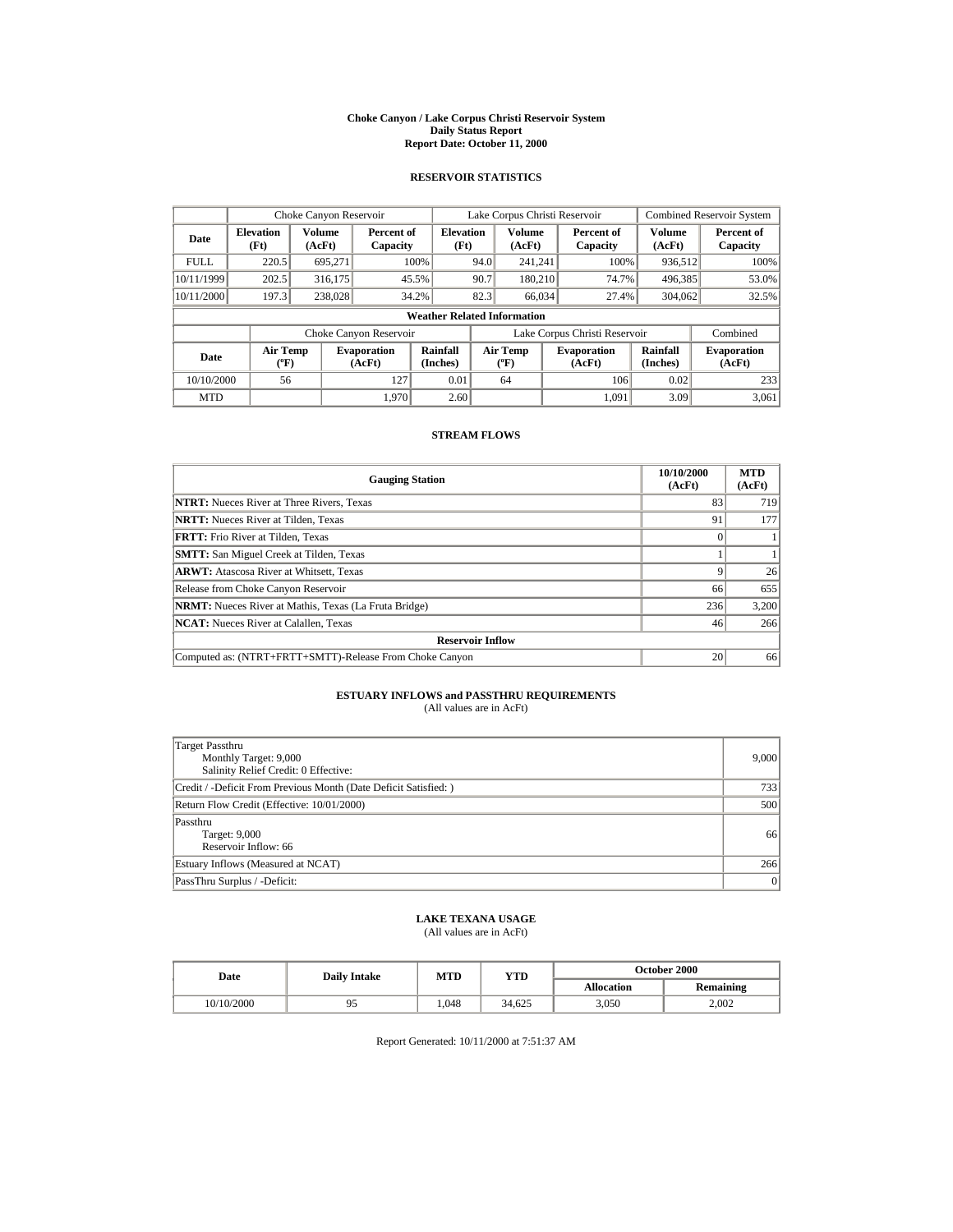#### **Choke Canyon / Lake Corpus Christi Reservoir System Daily Status Report Report Date: October 11, 2000**

## **RESERVOIR STATISTICS**

|             | Choke Canyon Reservoir                      |                  |                              |                          | Lake Corpus Christi Reservoir |                                             |  |                               |                      | <b>Combined Reservoir System</b> |  |
|-------------|---------------------------------------------|------------------|------------------------------|--------------------------|-------------------------------|---------------------------------------------|--|-------------------------------|----------------------|----------------------------------|--|
| Date        | <b>Elevation</b><br>(Ft)                    | Volume<br>(AcFt) | Percent of<br>Capacity       | <b>Elevation</b><br>(Ft) |                               | Volume<br>(AcFt)                            |  | Percent of<br>Capacity        | Volume<br>(AcFt)     | Percent of<br>Capacity           |  |
| <b>FULL</b> | 220.5                                       | 695.271          |                              | 100%                     | 94.0                          | 241.241                                     |  | 100%                          | 936,512              | 100%                             |  |
| 10/11/1999  | 202.5                                       | 316,175          |                              | 45.5%                    | 90.7                          | 180.210                                     |  | 74.7%                         | 496,385              | 53.0%                            |  |
| 10/11/2000  | 197.3                                       | 238,028          |                              | 34.2%                    | 82.3                          | 66,034                                      |  | 27.4%                         | 304.062              | 32.5%                            |  |
|             | <b>Weather Related Information</b>          |                  |                              |                          |                               |                                             |  |                               |                      |                                  |  |
|             |                                             |                  | Choke Canyon Reservoir       |                          |                               |                                             |  | Lake Corpus Christi Reservoir |                      | Combined                         |  |
| Date        | <b>Air Temp</b><br>$({}^{\circ}\mathrm{F})$ |                  | <b>Evaporation</b><br>(AcFt) | Rainfall<br>(Inches)     |                               | <b>Air Temp</b><br>$({}^{\circ}\mathbf{F})$ |  | <b>Evaporation</b><br>(AcFt)  | Rainfall<br>(Inches) | <b>Evaporation</b><br>(AcFt)     |  |
| 10/10/2000  | 56                                          |                  | 127                          | 0.01                     |                               | 64                                          |  | 106                           | 0.02                 | 233                              |  |
| <b>MTD</b>  |                                             |                  | 1.970                        | 2.60                     |                               |                                             |  | 1.091                         | 3.09                 | 3.061                            |  |

### **STREAM FLOWS**

| <b>Gauging Station</b>                                       | 10/10/2000<br>(AcFt) | <b>MTD</b><br>(AcFt) |  |  |  |
|--------------------------------------------------------------|----------------------|----------------------|--|--|--|
| <b>NTRT:</b> Nueces River at Three Rivers, Texas             | 83                   | 719                  |  |  |  |
| <b>NRTT:</b> Nueces River at Tilden, Texas                   | 91                   | 177                  |  |  |  |
| <b>FRTT:</b> Frio River at Tilden, Texas                     |                      |                      |  |  |  |
| <b>SMTT:</b> San Miguel Creek at Tilden, Texas               |                      |                      |  |  |  |
| <b>ARWT:</b> Atascosa River at Whitsett, Texas               |                      | 26                   |  |  |  |
| Release from Choke Canyon Reservoir                          | 66                   | 655                  |  |  |  |
| <b>NRMT:</b> Nueces River at Mathis, Texas (La Fruta Bridge) | 236                  | 3,200                |  |  |  |
| <b>NCAT:</b> Nueces River at Calallen, Texas                 | 46                   | 266                  |  |  |  |
| <b>Reservoir Inflow</b>                                      |                      |                      |  |  |  |
| Computed as: (NTRT+FRTT+SMTT)-Release From Choke Canyon      | 20                   | 66                   |  |  |  |

# **ESTUARY INFLOWS and PASSTHRU REQUIREMENTS**<br>(All values are in AcFt)

| Target Passthru<br>Monthly Target: 9,000<br>Salinity Relief Credit: 0 Effective: | 9,000 |
|----------------------------------------------------------------------------------|-------|
| Credit / -Deficit From Previous Month (Date Deficit Satisfied:)                  | 733   |
| Return Flow Credit (Effective: 10/01/2000)                                       | 500   |
| Passthru<br>Target: 9,000<br>Reservoir Inflow: 66                                | 66    |
| Estuary Inflows (Measured at NCAT)                                               | 266   |
| PassThru Surplus / -Deficit:                                                     | 0     |

# **LAKE TEXANA USAGE**

(All values are in AcFt)

| Date       | <b>Daily Intake</b> | MTD  | YTD    | <b>October 2000</b> |                  |  |
|------------|---------------------|------|--------|---------------------|------------------|--|
|            |                     |      |        | <b>Allocation</b>   | <b>Remaining</b> |  |
| 10/10/2000 | フコ                  | .048 | 34.625 | 3.050               | 2.002            |  |

Report Generated: 10/11/2000 at 7:51:37 AM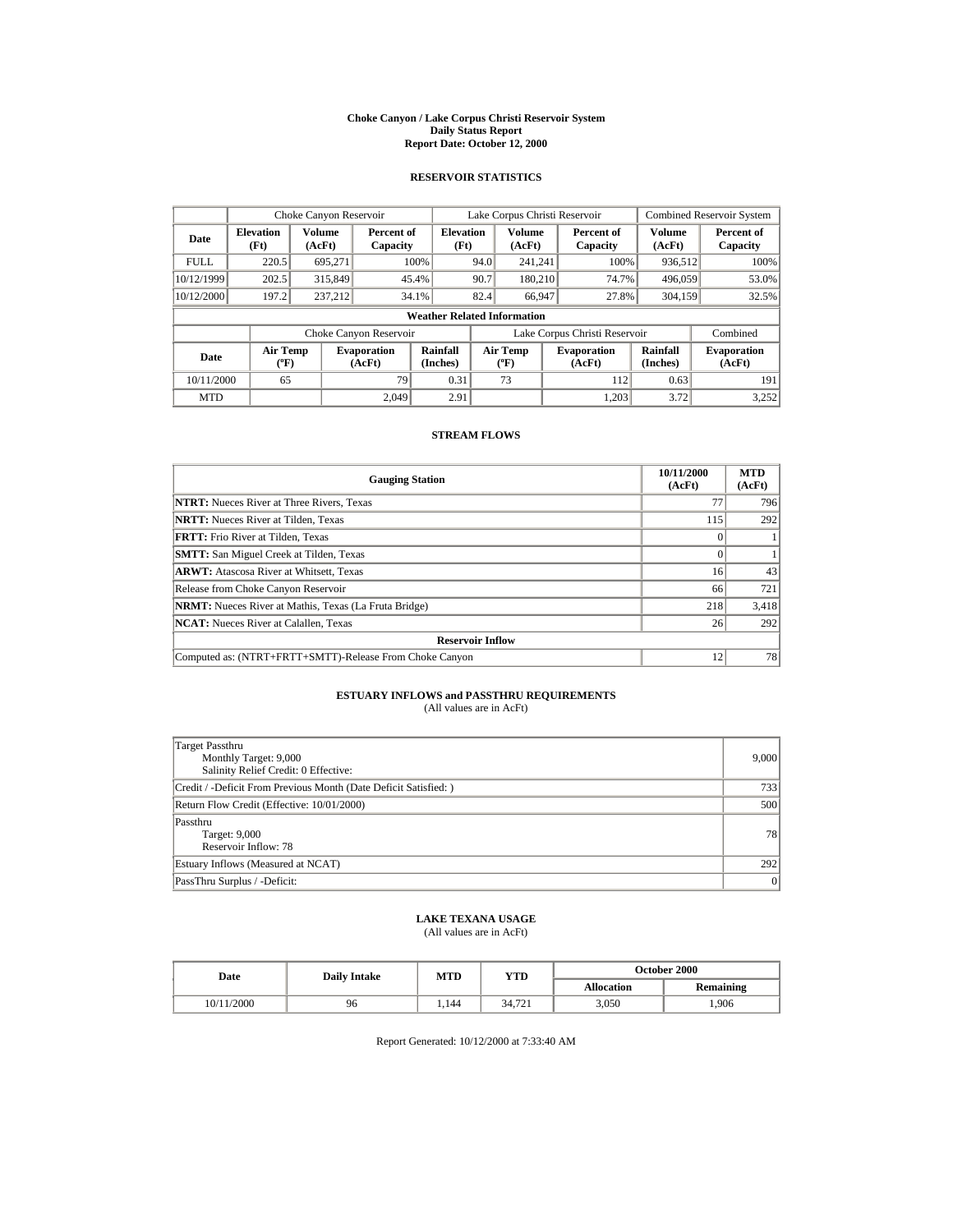#### **Choke Canyon / Lake Corpus Christi Reservoir System Daily Status Report Report Date: October 12, 2000**

## **RESERVOIR STATISTICS**

|             | Choke Canyon Reservoir                      |                  |                              |                          | Lake Corpus Christi Reservoir |                                             |  |                               | <b>Combined Reservoir System</b> |                              |
|-------------|---------------------------------------------|------------------|------------------------------|--------------------------|-------------------------------|---------------------------------------------|--|-------------------------------|----------------------------------|------------------------------|
| Date        | <b>Elevation</b><br>(Ft)                    | Volume<br>(AcFt) | Percent of<br>Capacity       | <b>Elevation</b><br>(Ft) |                               | Volume<br>(AcFt)                            |  | Percent of<br>Capacity        | Volume<br>(AcFt)                 | Percent of<br>Capacity       |
| <b>FULL</b> | 220.5                                       | 695.271          |                              | 100%                     | 94.0                          | 241.241                                     |  | 100%                          | 936,512                          | 100%                         |
| 10/12/1999  | 202.5                                       | 315,849          |                              | 45.4%                    | 90.7                          | 180.210                                     |  | 74.7%                         | 496,059                          | 53.0%                        |
| 10/12/2000  | 197.2                                       | 237.212          |                              | 34.1%                    | 82.4                          | 66.947                                      |  | 27.8%                         | 304.159                          | 32.5%                        |
|             | <b>Weather Related Information</b>          |                  |                              |                          |                               |                                             |  |                               |                                  |                              |
|             |                                             |                  | Choke Canyon Reservoir       |                          |                               |                                             |  | Lake Corpus Christi Reservoir |                                  | Combined                     |
| Date        | <b>Air Temp</b><br>$({}^{\circ}\mathrm{F})$ |                  | <b>Evaporation</b><br>(AcFt) | Rainfall<br>(Inches)     |                               | <b>Air Temp</b><br>$({}^{\circ}\mathbf{F})$ |  | <b>Evaporation</b><br>(AcFt)  | Rainfall<br>(Inches)             | <b>Evaporation</b><br>(AcFt) |
| 10/11/2000  | 65                                          |                  | 79                           | 0.31                     |                               | 73                                          |  | 112                           | 0.63                             | 191                          |
| <b>MTD</b>  |                                             |                  | 2.049                        | 2.91                     |                               |                                             |  | 1.203                         | 3.72                             | 3.252                        |

### **STREAM FLOWS**

| <b>Gauging Station</b>                                       | 10/11/2000<br>(AcFt) | <b>MTD</b><br>(AcFt) |  |  |  |
|--------------------------------------------------------------|----------------------|----------------------|--|--|--|
| <b>NTRT:</b> Nueces River at Three Rivers, Texas             | 77                   | 796                  |  |  |  |
| <b>NRTT:</b> Nueces River at Tilden, Texas                   | 115                  | 292                  |  |  |  |
| <b>FRTT:</b> Frio River at Tilden, Texas                     |                      |                      |  |  |  |
| <b>SMTT:</b> San Miguel Creek at Tilden, Texas               |                      |                      |  |  |  |
| <b>ARWT:</b> Atascosa River at Whitsett, Texas               | 16                   | 43                   |  |  |  |
| Release from Choke Canyon Reservoir                          | 66                   | 721                  |  |  |  |
| <b>NRMT:</b> Nueces River at Mathis, Texas (La Fruta Bridge) | 218                  | 3,418                |  |  |  |
| <b>NCAT:</b> Nueces River at Calallen, Texas                 | 26                   | 292                  |  |  |  |
| <b>Reservoir Inflow</b>                                      |                      |                      |  |  |  |
| Computed as: (NTRT+FRTT+SMTT)-Release From Choke Canyon      | 12                   | 78                   |  |  |  |

# **ESTUARY INFLOWS and PASSTHRU REQUIREMENTS**<br>(All values are in AcFt)

| Target Passthru<br>Monthly Target: 9,000<br>Salinity Relief Credit: 0 Effective: | 9,000 |
|----------------------------------------------------------------------------------|-------|
| Credit / -Deficit From Previous Month (Date Deficit Satisfied:)                  | 733   |
| Return Flow Credit (Effective: 10/01/2000)                                       | 500   |
| Passthru<br>Target: 9,000<br>Reservoir Inflow: 78                                | 78    |
| Estuary Inflows (Measured at NCAT)                                               | 292   |
| PassThru Surplus / -Deficit:                                                     | 0     |

# **LAKE TEXANA USAGE**

(All values are in AcFt)

| Date       | <b>Daily Intake</b> | MTD  | YTD    | <b>October 2000</b> |                  |  |
|------------|---------------------|------|--------|---------------------|------------------|--|
|            |                     |      |        | <b>Allocation</b>   | <b>Remaining</b> |  |
| 10/11/2000 | 96                  | .144 | 34.721 | 3,050               | .906             |  |

Report Generated: 10/12/2000 at 7:33:40 AM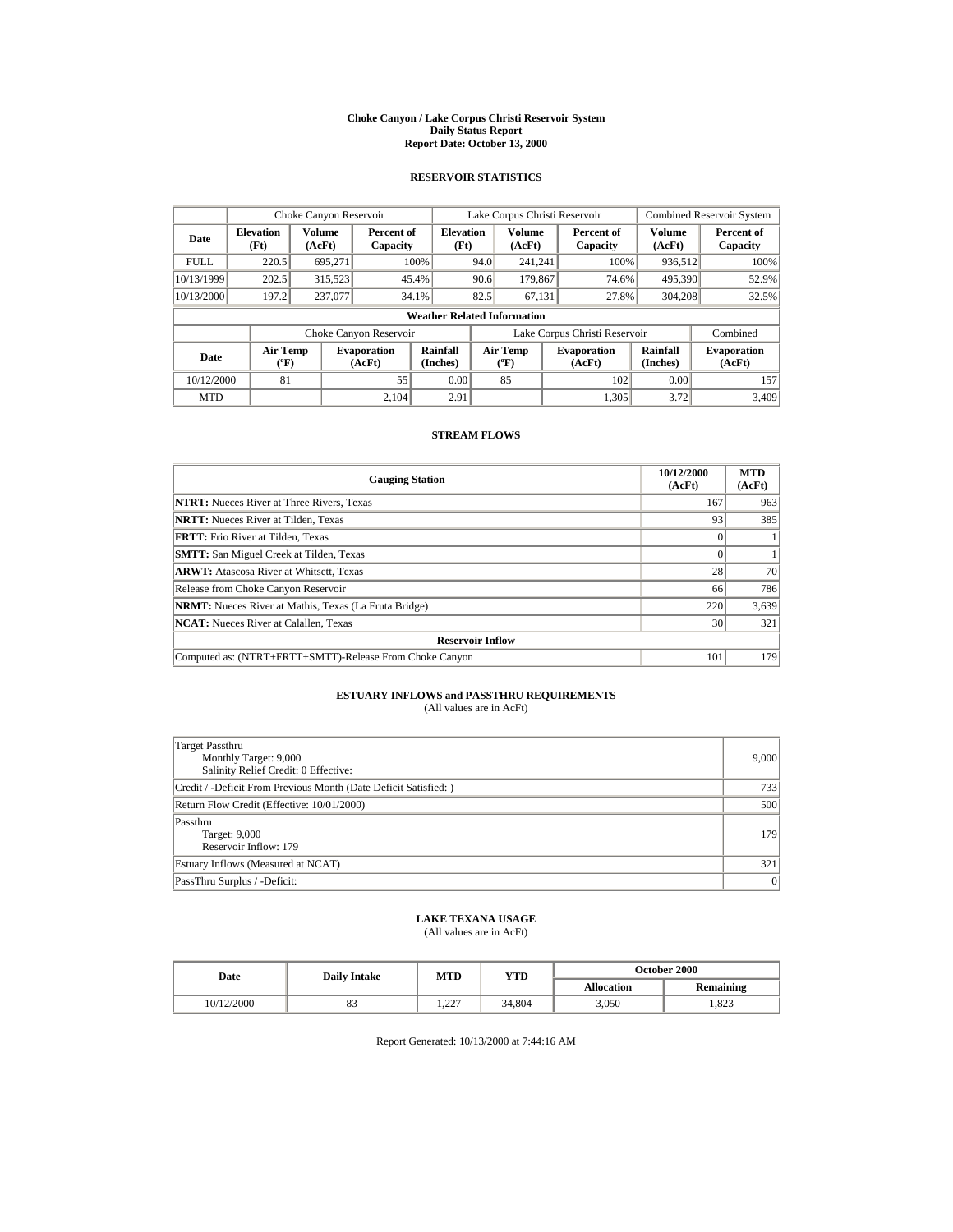#### **Choke Canyon / Lake Corpus Christi Reservoir System Daily Status Report Report Date: October 13, 2000**

## **RESERVOIR STATISTICS**

| Choke Canyon Reservoir |                                             |                  |                              |                          | Lake Corpus Christi Reservoir |                                         |  |                               |                      | <b>Combined Reservoir System</b> |  |
|------------------------|---------------------------------------------|------------------|------------------------------|--------------------------|-------------------------------|-----------------------------------------|--|-------------------------------|----------------------|----------------------------------|--|
| Date                   | <b>Elevation</b><br>(Ft)                    | Volume<br>(AcFt) | Percent of<br>Capacity       | <b>Elevation</b><br>(Ft) |                               | <b>Volume</b><br>(AcFt)                 |  | Percent of<br>Capacity        | Volume<br>(AcFt)     | Percent of<br>Capacity           |  |
| <b>FULL</b>            | 220.5                                       | 695.271          |                              | 100%                     | 94.0                          | 241.241                                 |  | 100%                          | 936,512              | 100%                             |  |
| 10/13/1999             | 202.5                                       | 315,523          |                              | 45.4%                    | 90.6                          | 179,867                                 |  | 74.6%                         | 495,390              | 52.9%                            |  |
| 10/13/2000             | 197.2                                       | 237,077          |                              | 34.1%                    | 82.5                          | 67,131                                  |  | 27.8%                         | 304,208              | 32.5%                            |  |
|                        | <b>Weather Related Information</b>          |                  |                              |                          |                               |                                         |  |                               |                      |                                  |  |
|                        |                                             |                  | Choke Canyon Reservoir       |                          |                               |                                         |  | Lake Corpus Christi Reservoir |                      | Combined                         |  |
| Date                   | <b>Air Temp</b><br>$({}^{\circ}\mathrm{F})$ |                  | <b>Evaporation</b><br>(AcFt) | Rainfall<br>(Inches)     |                               | <b>Air Temp</b><br>$(^{\circ}\text{F})$ |  | <b>Evaporation</b><br>(AcFt)  | Rainfall<br>(Inches) | <b>Evaporation</b><br>(AcFt)     |  |
| 10/12/2000             | 81                                          |                  | 55                           | 0.00                     |                               | 85                                      |  | 102                           | 0.00                 | 157                              |  |
| <b>MTD</b>             |                                             |                  | 2.104                        | 2.91                     |                               |                                         |  | 1.305                         | 3.72                 | 3.409                            |  |

### **STREAM FLOWS**

| <b>Gauging Station</b>                                       | 10/12/2000<br>(AcFt) | <b>MTD</b><br>(AcFt) |  |  |  |
|--------------------------------------------------------------|----------------------|----------------------|--|--|--|
| <b>NTRT:</b> Nueces River at Three Rivers, Texas             | 167                  | 963                  |  |  |  |
| <b>NRTT:</b> Nueces River at Tilden, Texas                   | 93                   | 385                  |  |  |  |
| <b>FRTT:</b> Frio River at Tilden, Texas                     |                      |                      |  |  |  |
| <b>SMTT:</b> San Miguel Creek at Tilden, Texas               |                      |                      |  |  |  |
| <b>ARWT:</b> Atascosa River at Whitsett, Texas               | 28                   | 70                   |  |  |  |
| Release from Choke Canyon Reservoir                          | 66                   | 786                  |  |  |  |
| <b>NRMT:</b> Nueces River at Mathis, Texas (La Fruta Bridge) | 220                  | 3,639                |  |  |  |
| <b>NCAT:</b> Nueces River at Calallen, Texas                 | 30                   | 321                  |  |  |  |
| <b>Reservoir Inflow</b>                                      |                      |                      |  |  |  |
| Computed as: (NTRT+FRTT+SMTT)-Release From Choke Canyon      | 101                  | 179                  |  |  |  |

# **ESTUARY INFLOWS and PASSTHRU REQUIREMENTS**<br>(All values are in AcFt)

| Target Passthru<br>Monthly Target: 9,000<br>Salinity Relief Credit: 0 Effective: | 9,000 |
|----------------------------------------------------------------------------------|-------|
| Credit / -Deficit From Previous Month (Date Deficit Satisfied:)                  | 733   |
| Return Flow Credit (Effective: 10/01/2000)                                       | 500   |
| Passthru<br>Target: 9,000<br>Reservoir Inflow: 179                               | 179   |
| Estuary Inflows (Measured at NCAT)                                               | 321   |
| PassThru Surplus / -Deficit:                                                     | 0     |

## **LAKE TEXANA USAGE**

(All values are in AcFt)

| Date       | <b>Daily Intake</b> | MTD         | YTD    | <b>October 2000</b> |                  |  |
|------------|---------------------|-------------|--------|---------------------|------------------|--|
|            |                     |             |        | <b>Allocation</b>   | <b>Remaining</b> |  |
| 10/12/2000 | o.                  | 227<br>1.44 | 34.804 | 3.050               | 1.823            |  |

Report Generated: 10/13/2000 at 7:44:16 AM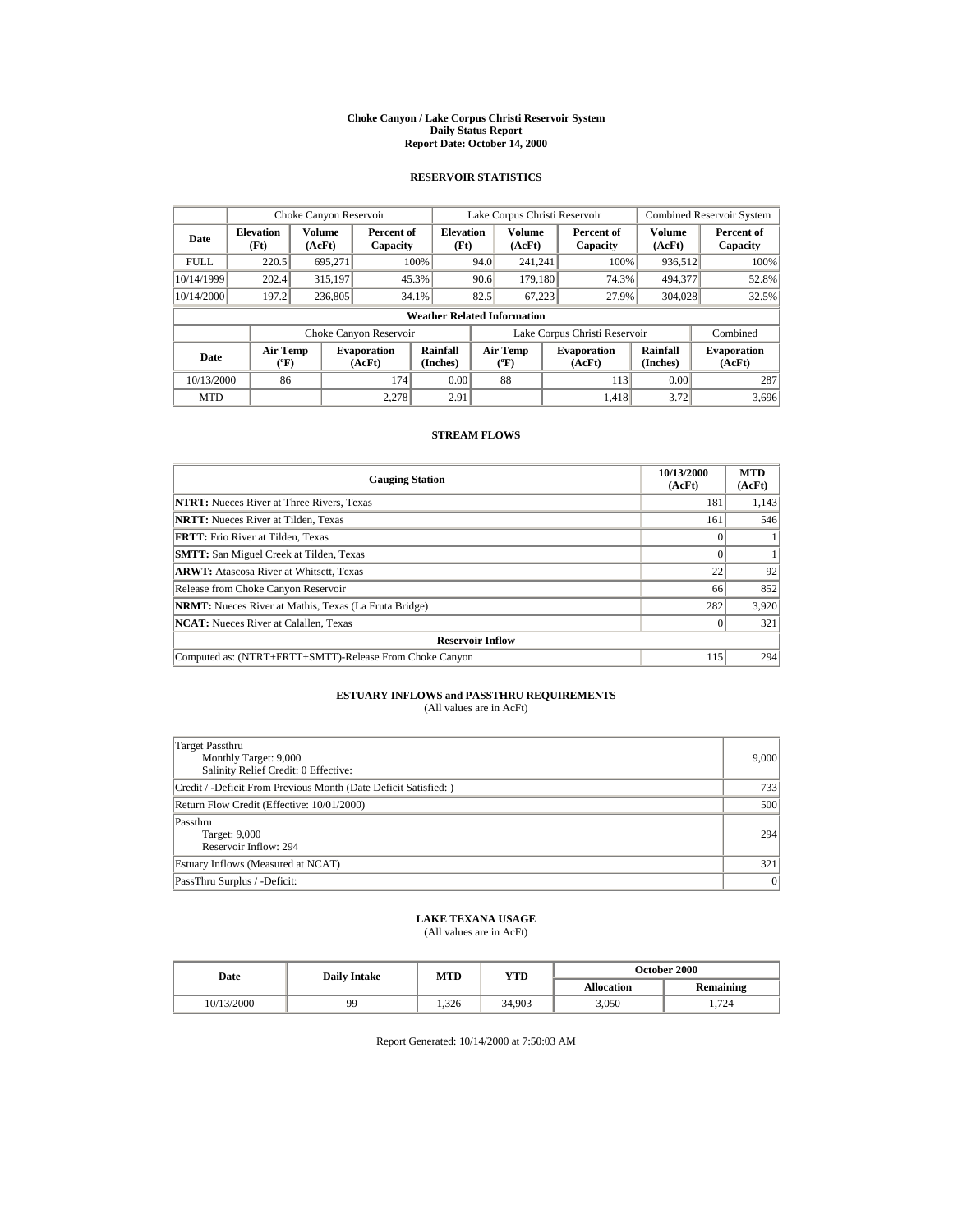#### **Choke Canyon / Lake Corpus Christi Reservoir System Daily Status Report Report Date: October 14, 2000**

## **RESERVOIR STATISTICS**

|             | Choke Canyon Reservoir                      |                  |                              |                          | Lake Corpus Christi Reservoir |                                             |  |                               | <b>Combined Reservoir System</b> |                              |
|-------------|---------------------------------------------|------------------|------------------------------|--------------------------|-------------------------------|---------------------------------------------|--|-------------------------------|----------------------------------|------------------------------|
| Date        | <b>Elevation</b><br>(Ft)                    | Volume<br>(AcFt) | Percent of<br>Capacity       | <b>Elevation</b><br>(Ft) |                               | Volume<br>(AcFt)                            |  | Percent of<br>Capacity        | Volume<br>(AcFt)                 | Percent of<br>Capacity       |
| <b>FULL</b> | 220.5                                       | 695.271          |                              | 100%                     | 94.0                          | 241.241                                     |  | 100%                          | 936,512                          | 100%                         |
| 10/14/1999  | 202.4                                       | 315,197          |                              | 45.3%                    | 90.6                          | 179.180                                     |  | 74.3%                         | 494,377                          | 52.8%                        |
| 10/14/2000  | 197.2                                       | 236,805          |                              | 34.1%                    | 82.5                          | 67.223                                      |  | 27.9%                         | 304.028                          | 32.5%                        |
|             | <b>Weather Related Information</b>          |                  |                              |                          |                               |                                             |  |                               |                                  |                              |
|             |                                             |                  | Choke Canyon Reservoir       |                          |                               |                                             |  | Lake Corpus Christi Reservoir |                                  | Combined                     |
| Date        | <b>Air Temp</b><br>$({}^{\circ}\mathrm{F})$ |                  | <b>Evaporation</b><br>(AcFt) | Rainfall<br>(Inches)     |                               | <b>Air Temp</b><br>$({}^{\circ}\mathbf{F})$ |  | <b>Evaporation</b><br>(AcFt)  | Rainfall<br>(Inches)             | <b>Evaporation</b><br>(AcFt) |
| 10/13/2000  | 86                                          |                  | 174                          | 0.00                     |                               | 88                                          |  | 113                           | 0.00                             | 287                          |
| <b>MTD</b>  |                                             |                  | 2.278                        | 2.91                     |                               |                                             |  | 1.418                         | 3.72                             | 3,696                        |

### **STREAM FLOWS**

| <b>Gauging Station</b>                                       | 10/13/2000<br>(AcFt) | <b>MTD</b><br>(AcFt) |  |  |  |
|--------------------------------------------------------------|----------------------|----------------------|--|--|--|
| <b>NTRT:</b> Nueces River at Three Rivers, Texas             | 181                  | 1,143                |  |  |  |
| <b>NRTT:</b> Nueces River at Tilden. Texas                   | 161                  | 546                  |  |  |  |
| FRTT: Frio River at Tilden, Texas                            |                      |                      |  |  |  |
| <b>SMTT:</b> San Miguel Creek at Tilden, Texas               |                      |                      |  |  |  |
| <b>ARWT:</b> Atascosa River at Whitsett, Texas               | 22                   | 92                   |  |  |  |
| Release from Choke Canyon Reservoir                          | 66                   | 852                  |  |  |  |
| <b>NRMT:</b> Nueces River at Mathis, Texas (La Fruta Bridge) | 282                  | 3,920                |  |  |  |
| <b>NCAT:</b> Nueces River at Calallen, Texas                 |                      | 321                  |  |  |  |
| <b>Reservoir Inflow</b>                                      |                      |                      |  |  |  |
| Computed as: (NTRT+FRTT+SMTT)-Release From Choke Canyon      | 115                  | 294                  |  |  |  |

# **ESTUARY INFLOWS and PASSTHRU REQUIREMENTS**<br>(All values are in AcFt)

| Target Passthru<br>Monthly Target: 9,000<br>Salinity Relief Credit: 0 Effective: | 9,000 |
|----------------------------------------------------------------------------------|-------|
| Credit / -Deficit From Previous Month (Date Deficit Satisfied:)                  | 733   |
| Return Flow Credit (Effective: 10/01/2000)                                       | 500   |
| Passthru<br>Target: 9,000<br>Reservoir Inflow: 294                               | 294   |
| Estuary Inflows (Measured at NCAT)                                               | 321   |
| PassThru Surplus / -Deficit:                                                     | 0     |

# **LAKE TEXANA USAGE**

(All values are in AcFt)

| Date       | <b>Daily Intake</b> | MTD   | YTD    | <b>October 2000</b> |                  |  |
|------------|---------------------|-------|--------|---------------------|------------------|--|
|            |                     |       |        | <b>Allocation</b>   | <b>Remaining</b> |  |
| 10/13/2000 | 99                  | 1.326 | 34.903 | 3.050               | 1.724            |  |

Report Generated: 10/14/2000 at 7:50:03 AM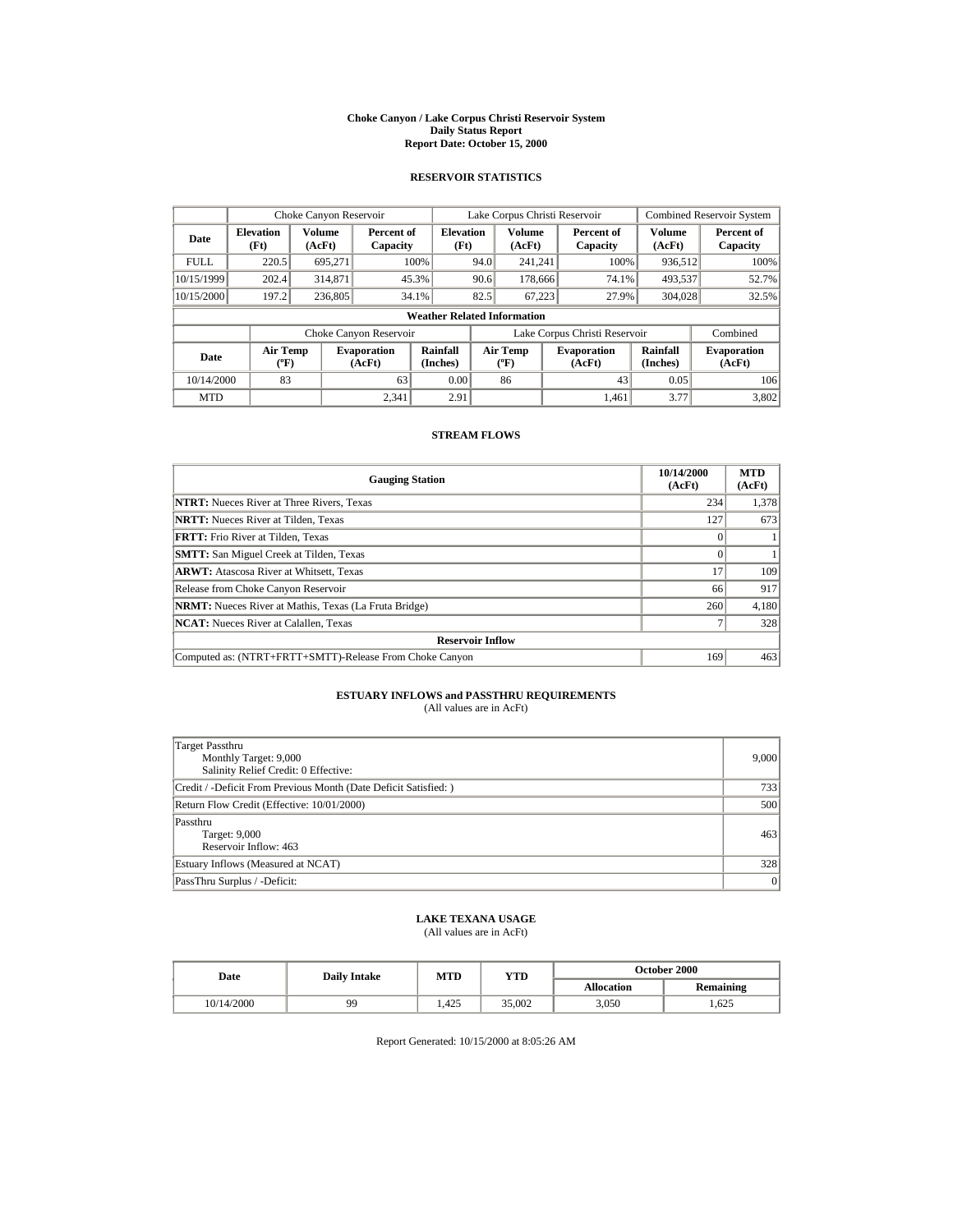#### **Choke Canyon / Lake Corpus Christi Reservoir System Daily Status Report Report Date: October 15, 2000**

## **RESERVOIR STATISTICS**

| Choke Canyon Reservoir |                                             |                  |                              |                          | Lake Corpus Christi Reservoir |                                         |  |                               | <b>Combined Reservoir System</b> |                              |
|------------------------|---------------------------------------------|------------------|------------------------------|--------------------------|-------------------------------|-----------------------------------------|--|-------------------------------|----------------------------------|------------------------------|
| Date                   | <b>Elevation</b><br>(Ft)                    | Volume<br>(AcFt) | Percent of<br>Capacity       | <b>Elevation</b><br>(Ft) |                               | Volume<br>(AcFt)                        |  | Percent of<br>Capacity        | Volume<br>(AcFt)                 | Percent of<br>Capacity       |
| <b>FULL</b>            | 220.5                                       | 695.271          |                              | 100%                     | 94.0                          | 241.241                                 |  | 100%                          | 936,512                          | 100%                         |
| 10/15/1999             | 202.4                                       | 314,871          |                              | 45.3%                    | 90.6                          | 178,666                                 |  | 74.1%                         | 493,537                          | 52.7%                        |
| 10/15/2000             | 197.2                                       | 236,805          |                              | 34.1%                    | 82.5                          | 67,223                                  |  | 27.9%                         | 304,028                          | 32.5%                        |
|                        | <b>Weather Related Information</b>          |                  |                              |                          |                               |                                         |  |                               |                                  |                              |
|                        |                                             |                  | Choke Canyon Reservoir       |                          |                               |                                         |  | Lake Corpus Christi Reservoir |                                  | Combined                     |
| Date                   | <b>Air Temp</b><br>$({}^{\circ}\mathrm{F})$ |                  | <b>Evaporation</b><br>(AcFt) | Rainfall<br>(Inches)     |                               | <b>Air Temp</b><br>$(^{\circ}\text{F})$ |  | <b>Evaporation</b><br>(AcFt)  | Rainfall<br>(Inches)             | <b>Evaporation</b><br>(AcFt) |
| 10/14/2000             | 83                                          |                  | 63                           | 0.00                     |                               | 86                                      |  | 43                            | 0.05                             | 106                          |
| <b>MTD</b>             |                                             |                  | 2.341                        | 2.91                     |                               |                                         |  | 1.461                         | 3.77                             | 3.802                        |

### **STREAM FLOWS**

| <b>Gauging Station</b>                                       | 10/14/2000<br>(AcFt) | <b>MTD</b><br>(AcFt) |  |  |  |
|--------------------------------------------------------------|----------------------|----------------------|--|--|--|
| <b>NTRT:</b> Nueces River at Three Rivers, Texas             | 234                  | 1,378                |  |  |  |
| <b>NRTT:</b> Nueces River at Tilden. Texas                   | 127                  | 673                  |  |  |  |
| <b>FRTT:</b> Frio River at Tilden. Texas                     |                      |                      |  |  |  |
| <b>SMTT:</b> San Miguel Creek at Tilden, Texas               |                      |                      |  |  |  |
| <b>ARWT:</b> Atascosa River at Whitsett, Texas               | 17                   | 109                  |  |  |  |
| Release from Choke Canyon Reservoir                          | 66                   | 917                  |  |  |  |
| <b>NRMT:</b> Nueces River at Mathis, Texas (La Fruta Bridge) | 260                  | 4,180                |  |  |  |
| <b>NCAT:</b> Nueces River at Calallen, Texas                 |                      | 328                  |  |  |  |
| <b>Reservoir Inflow</b>                                      |                      |                      |  |  |  |
| Computed as: (NTRT+FRTT+SMTT)-Release From Choke Canyon      | 169                  | 463                  |  |  |  |

# **ESTUARY INFLOWS and PASSTHRU REQUIREMENTS**<br>(All values are in AcFt)

| Target Passthru<br>Monthly Target: 9,000<br>Salinity Relief Credit: 0 Effective: | 9,000 |
|----------------------------------------------------------------------------------|-------|
| Credit / -Deficit From Previous Month (Date Deficit Satisfied:)                  | 733   |
| Return Flow Credit (Effective: 10/01/2000)                                       | 500   |
| Passthru<br>Target: 9,000<br>Reservoir Inflow: 463                               | 463   |
| Estuary Inflows (Measured at NCAT)                                               | 328   |
| PassThru Surplus / -Deficit:                                                     | 0     |

# **LAKE TEXANA USAGE**

(All values are in AcFt)

| Date       | <b>Daily Intake</b> | MTD  | YTD    | <b>October 2000</b> |                  |  |
|------------|---------------------|------|--------|---------------------|------------------|--|
|            |                     |      |        | <b>Allocation</b>   | <b>Remaining</b> |  |
| 10/14/2000 | 99                  | .425 | 35.002 | 3.050               | .625             |  |

Report Generated: 10/15/2000 at 8:05:26 AM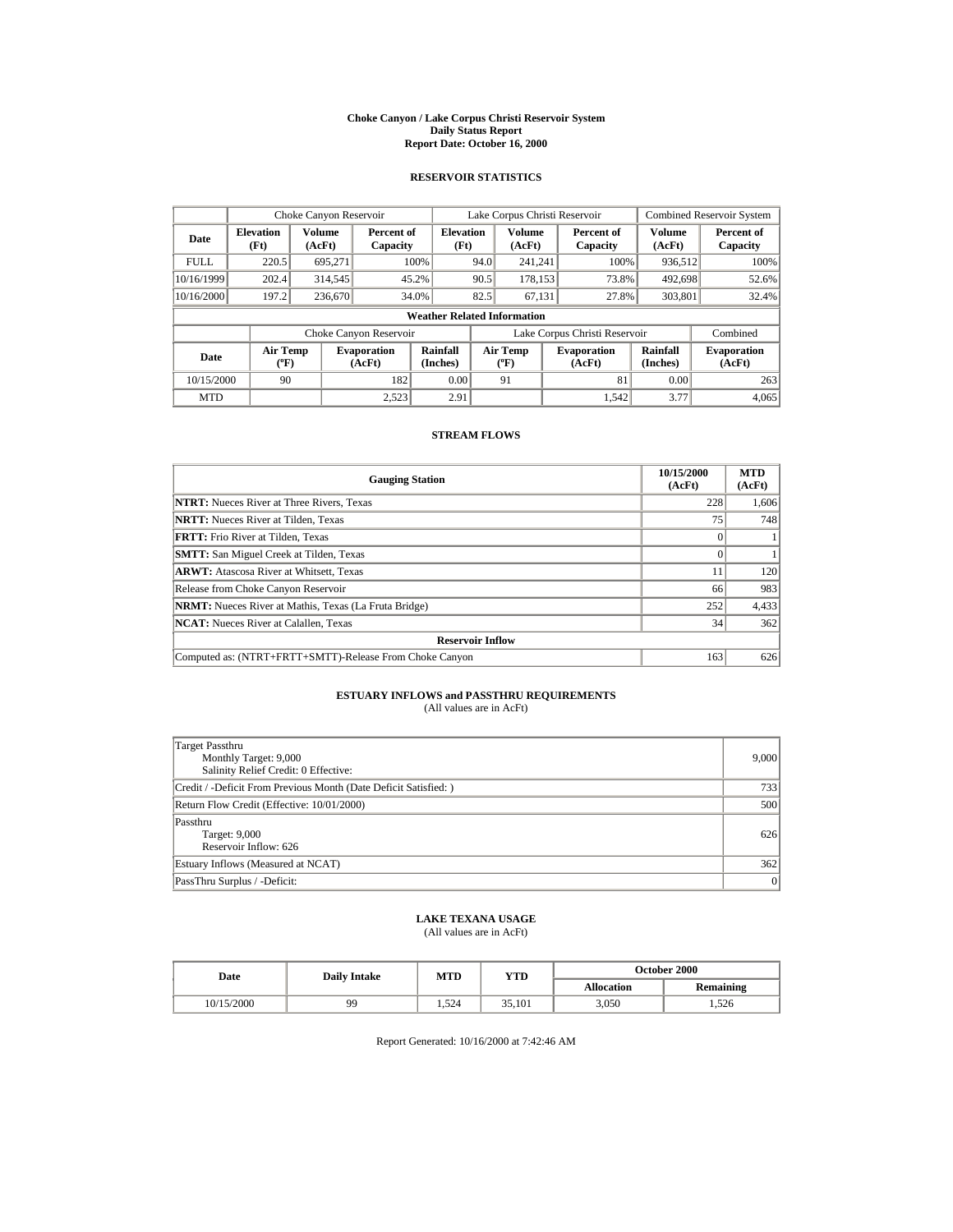#### **Choke Canyon / Lake Corpus Christi Reservoir System Daily Status Report Report Date: October 16, 2000**

## **RESERVOIR STATISTICS**

|             | Choke Canyon Reservoir                |                  |                              |                          | Lake Corpus Christi Reservoir |                                   |  |                               |                         | <b>Combined Reservoir System</b> |  |
|-------------|---------------------------------------|------------------|------------------------------|--------------------------|-------------------------------|-----------------------------------|--|-------------------------------|-------------------------|----------------------------------|--|
| Date        | <b>Elevation</b><br>(Ft)              | Volume<br>(AcFt) | Percent of<br>Capacity       | <b>Elevation</b><br>(Ft) |                               | <b>Volume</b><br>(AcFt)           |  | Percent of<br>Capacity        | <b>Volume</b><br>(AcFt) | Percent of<br>Capacity           |  |
| <b>FULL</b> | 220.5                                 | 695.271          |                              | 100%                     | 94.0                          | 241.241                           |  | 100%                          | 936,512                 | 100%                             |  |
| 10/16/1999  | 202.4                                 | 314,545          |                              | 45.2%                    | 90.5                          | 178.153                           |  | 73.8%                         | 492,698                 | 52.6%                            |  |
| 10/16/2000  | 197.2                                 | 236,670          |                              | 34.0%                    | 82.5                          | 67.131                            |  | 27.8%                         | 303,801                 | 32.4%                            |  |
|             | <b>Weather Related Information</b>    |                  |                              |                          |                               |                                   |  |                               |                         |                                  |  |
|             |                                       |                  | Choke Canyon Reservoir       |                          |                               |                                   |  | Lake Corpus Christi Reservoir |                         | Combined                         |  |
| Date        | <b>Air Temp</b><br>$({}^o\mathrm{F})$ |                  | <b>Evaporation</b><br>(AcFt) | Rainfall<br>(Inches)     |                               | Air Temp<br>$({}^{\circ}{\rm F})$ |  | <b>Evaporation</b><br>(AcFt)  | Rainfall<br>(Inches)    | <b>Evaporation</b><br>(AcFt)     |  |
| 10/15/2000  | 90                                    |                  | 182                          | 0.00                     |                               | 91                                |  | 81                            | 0.00                    | 263                              |  |
| <b>MTD</b>  |                                       |                  | 2.523                        | 2.91                     |                               |                                   |  | 1.542                         | 3.77                    | 4,065                            |  |

### **STREAM FLOWS**

| <b>Gauging Station</b>                                       | 10/15/2000<br>(AcFt) | <b>MTD</b><br>(AcFt) |  |  |  |
|--------------------------------------------------------------|----------------------|----------------------|--|--|--|
| <b>NTRT:</b> Nueces River at Three Rivers, Texas             | 228                  | 1,606                |  |  |  |
| <b>NRTT:</b> Nueces River at Tilden, Texas                   | 75                   | 748                  |  |  |  |
| <b>FRTT:</b> Frio River at Tilden, Texas                     |                      |                      |  |  |  |
| <b>SMTT:</b> San Miguel Creek at Tilden, Texas               |                      |                      |  |  |  |
| <b>ARWT:</b> Atascosa River at Whitsett, Texas               |                      | 120                  |  |  |  |
| Release from Choke Canyon Reservoir                          | 66                   | 983                  |  |  |  |
| <b>NRMT:</b> Nueces River at Mathis, Texas (La Fruta Bridge) | 252                  | 4,433                |  |  |  |
| <b>NCAT:</b> Nueces River at Calallen, Texas                 | 34                   | 362                  |  |  |  |
| <b>Reservoir Inflow</b>                                      |                      |                      |  |  |  |
| Computed as: (NTRT+FRTT+SMTT)-Release From Choke Canyon      | 163                  | 626                  |  |  |  |

# **ESTUARY INFLOWS and PASSTHRU REQUIREMENTS**<br>(All values are in AcFt)

| Target Passthru<br>Monthly Target: 9,000<br>Salinity Relief Credit: 0 Effective: | 9,000 |
|----------------------------------------------------------------------------------|-------|
| Credit / -Deficit From Previous Month (Date Deficit Satisfied:)                  | 733   |
| Return Flow Credit (Effective: 10/01/2000)                                       | 500   |
| Passthru<br>Target: 9,000<br>Reservoir Inflow: 626                               | 626   |
| Estuary Inflows (Measured at NCAT)                                               | 362   |
| PassThru Surplus / -Deficit:                                                     | 0     |

# **LAKE TEXANA USAGE**

(All values are in AcFt)

| Date       | <b>Daily Intake</b> | MTD   | YTD    | <b>October 2000</b> |                  |  |
|------------|---------------------|-------|--------|---------------------|------------------|--|
|            |                     |       |        | <b>Allocation</b>   | <b>Remaining</b> |  |
| 10/15/2000 | 99                  | 1.524 | 35.101 | 3.050               | .526             |  |

Report Generated: 10/16/2000 at 7:42:46 AM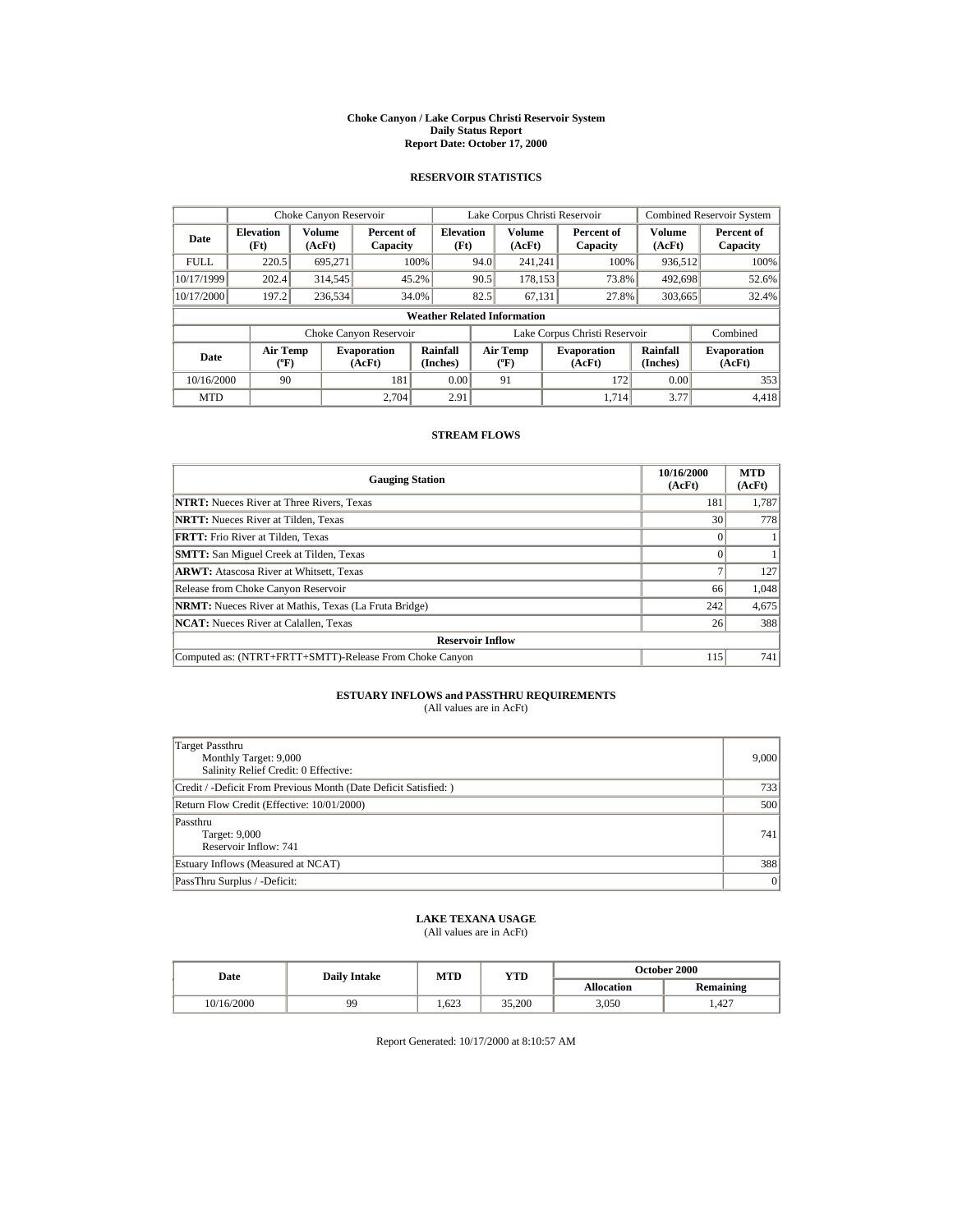#### **Choke Canyon / Lake Corpus Christi Reservoir System Daily Status Report Report Date: October 17, 2000**

## **RESERVOIR STATISTICS**

|             | Choke Canyon Reservoir                      |                  |                              |                          | Lake Corpus Christi Reservoir |                                  |  |                               |                      | <b>Combined Reservoir System</b> |  |
|-------------|---------------------------------------------|------------------|------------------------------|--------------------------|-------------------------------|----------------------------------|--|-------------------------------|----------------------|----------------------------------|--|
| Date        | <b>Elevation</b><br>(Ft)                    | Volume<br>(AcFt) | Percent of<br>Capacity       | <b>Elevation</b><br>(Ft) |                               | Volume<br>(AcFt)                 |  | Percent of<br>Capacity        | Volume<br>(AcFt)     | Percent of<br>Capacity           |  |
| <b>FULL</b> | 220.5                                       | 695.271          |                              | 100%                     | 94.0                          | 241.241                          |  | 100%                          | 936,512              | 100%                             |  |
| 10/17/1999  | 202.4                                       | 314,545          |                              | 45.2%                    | 90.5                          | 178.153                          |  | 73.8%                         | 492,698              | 52.6%                            |  |
| 10/17/2000  | 197.2                                       | 236,534          |                              | 34.0%                    | 82.5                          | 67.131                           |  | 27.8%                         | 303,665              | 32.4%                            |  |
|             | <b>Weather Related Information</b>          |                  |                              |                          |                               |                                  |  |                               |                      |                                  |  |
|             |                                             |                  | Choke Canyon Reservoir       |                          |                               |                                  |  | Lake Corpus Christi Reservoir |                      | Combined                         |  |
| Date        | <b>Air Temp</b><br>$({}^{\circ}\mathrm{F})$ |                  | <b>Evaporation</b><br>(AcFt) | Rainfall<br>(Inches)     |                               | <b>Air Temp</b><br>$(^{\circ}F)$ |  | <b>Evaporation</b><br>(AcFt)  | Rainfall<br>(Inches) | <b>Evaporation</b><br>(AcFt)     |  |
| 10/16/2000  | 90                                          |                  | 181                          | 0.00                     |                               | 91                               |  | 172                           | 0.00                 | 353                              |  |
| <b>MTD</b>  |                                             |                  | 2.704                        | 2.91                     |                               |                                  |  | 1.714                         | 3.77                 | 4,418                            |  |

### **STREAM FLOWS**

| <b>Gauging Station</b>                                       | 10/16/2000<br>(AcFt) | <b>MTD</b><br>(AcFt) |  |  |  |
|--------------------------------------------------------------|----------------------|----------------------|--|--|--|
| <b>NTRT:</b> Nueces River at Three Rivers, Texas             | 181                  | 1,787                |  |  |  |
| <b>NRTT:</b> Nueces River at Tilden, Texas                   | 30                   | 778                  |  |  |  |
| <b>FRTT:</b> Frio River at Tilden, Texas                     |                      |                      |  |  |  |
| <b>SMTT:</b> San Miguel Creek at Tilden, Texas               |                      |                      |  |  |  |
| <b>ARWT:</b> Atascosa River at Whitsett, Texas               |                      | 127                  |  |  |  |
| Release from Choke Canyon Reservoir                          | 66                   | 1,048                |  |  |  |
| <b>NRMT:</b> Nueces River at Mathis, Texas (La Fruta Bridge) | 242                  | 4,675                |  |  |  |
| <b>NCAT:</b> Nueces River at Calallen, Texas                 | 26                   | 388                  |  |  |  |
| <b>Reservoir Inflow</b>                                      |                      |                      |  |  |  |
| Computed as: (NTRT+FRTT+SMTT)-Release From Choke Canyon      | 115                  | 741                  |  |  |  |

# **ESTUARY INFLOWS and PASSTHRU REQUIREMENTS**<br>(All values are in AcFt)

| Target Passthru<br>Monthly Target: 9,000<br>Salinity Relief Credit: 0 Effective: | 9,000 |
|----------------------------------------------------------------------------------|-------|
| Credit / -Deficit From Previous Month (Date Deficit Satisfied:)                  | 733   |
| Return Flow Credit (Effective: 10/01/2000)                                       | 500   |
| Passthru<br>Target: 9,000<br>Reservoir Inflow: 741                               | 741   |
| Estuary Inflows (Measured at NCAT)                                               | 388   |
| PassThru Surplus / -Deficit:                                                     | 0     |

# **LAKE TEXANA USAGE**

(All values are in AcFt)

| Date       | <b>Daily Intake</b> | MTD   | YTD    | <b>October 2000</b> |                  |  |
|------------|---------------------|-------|--------|---------------------|------------------|--|
|            |                     |       |        | <b>Allocation</b>   | <b>Remaining</b> |  |
| 10/16/2000 | 99                  | 1.623 | 35,200 | 3.050               | .427             |  |

Report Generated: 10/17/2000 at 8:10:57 AM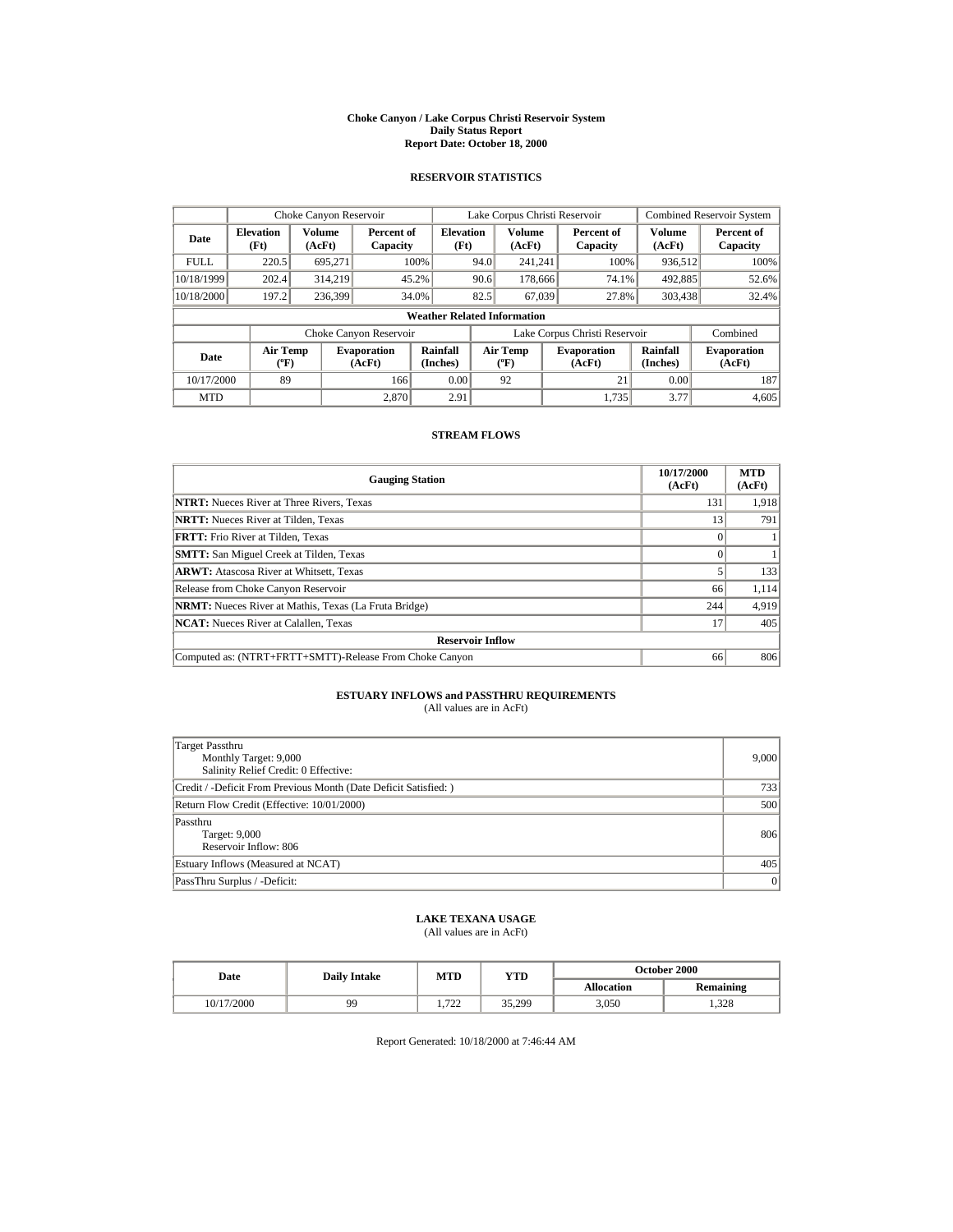#### **Choke Canyon / Lake Corpus Christi Reservoir System Daily Status Report Report Date: October 18, 2000**

## **RESERVOIR STATISTICS**

|             | Choke Canyon Reservoir                      |                  |                              |                          | Lake Corpus Christi Reservoir |                                                  |  |                               | <b>Combined Reservoir System</b> |                              |
|-------------|---------------------------------------------|------------------|------------------------------|--------------------------|-------------------------------|--------------------------------------------------|--|-------------------------------|----------------------------------|------------------------------|
| Date        | <b>Elevation</b><br>(Ft)                    | Volume<br>(AcFt) | Percent of<br>Capacity       | <b>Elevation</b><br>(Ft) |                               | <b>Volume</b><br>(AcFt)                          |  | Percent of<br>Capacity        | <b>Volume</b><br>(AcFt)          | Percent of<br>Capacity       |
| <b>FULL</b> | 220.5                                       | 695.271          |                              | 100%                     | 94.0                          | 241.241                                          |  | 100%                          | 936,512                          | 100%                         |
| 10/18/1999  | 202.4                                       | 314.219          |                              | 45.2%                    | 90.6                          | 178,666                                          |  | 74.1%                         | 492,885                          | 52.6%                        |
| 10/18/2000  | 197.2                                       | 236,399          |                              | 34.0%                    | 82.5                          | 67,039                                           |  | 27.8%                         | 303,438                          | 32.4%                        |
|             | <b>Weather Related Information</b>          |                  |                              |                          |                               |                                                  |  |                               |                                  |                              |
|             |                                             |                  | Choke Canyon Reservoir       |                          |                               |                                                  |  | Lake Corpus Christi Reservoir |                                  | Combined                     |
| Date        | <b>Air Temp</b><br>$({}^{\circ}\mathrm{F})$ |                  | <b>Evaporation</b><br>(AcFt) | Rainfall<br>(Inches)     |                               | <b>Air Temp</b><br>$({}^{\mathrm{o}}\mathrm{F})$ |  | <b>Evaporation</b><br>(AcFt)  | Rainfall<br>(Inches)             | <b>Evaporation</b><br>(AcFt) |
| 10/17/2000  | 89                                          |                  | 166                          | 0.00                     |                               | 92                                               |  | 21                            | 0.00                             | 187                          |
| <b>MTD</b>  |                                             |                  | 2.870                        | 2.91                     |                               |                                                  |  | 1.735                         | 3.77                             | 4.605                        |

### **STREAM FLOWS**

| <b>Gauging Station</b>                                       | 10/17/2000<br>(AcFt) | <b>MTD</b><br>(AcFt) |  |  |  |
|--------------------------------------------------------------|----------------------|----------------------|--|--|--|
| <b>NTRT:</b> Nueces River at Three Rivers, Texas             | 131                  | 1,918                |  |  |  |
| <b>NRTT:</b> Nueces River at Tilden, Texas                   | 13                   | 791                  |  |  |  |
| <b>FRTT:</b> Frio River at Tilden, Texas                     |                      |                      |  |  |  |
| <b>SMTT:</b> San Miguel Creek at Tilden, Texas               |                      |                      |  |  |  |
| <b>ARWT:</b> Atascosa River at Whitsett, Texas               |                      | 133                  |  |  |  |
| Release from Choke Canyon Reservoir                          | 66                   | 1,114                |  |  |  |
| <b>NRMT:</b> Nueces River at Mathis, Texas (La Fruta Bridge) | 244                  | 4,919                |  |  |  |
| <b>NCAT:</b> Nueces River at Calallen, Texas                 | 17                   | 405                  |  |  |  |
| <b>Reservoir Inflow</b>                                      |                      |                      |  |  |  |
| Computed as: (NTRT+FRTT+SMTT)-Release From Choke Canyon      | 66                   | 806                  |  |  |  |

# **ESTUARY INFLOWS and PASSTHRU REQUIREMENTS**<br>(All values are in AcFt)

| Target Passthru<br>Monthly Target: 9,000<br>Salinity Relief Credit: 0 Effective: | 9,000 |
|----------------------------------------------------------------------------------|-------|
| Credit / -Deficit From Previous Month (Date Deficit Satisfied:)                  | 733   |
| Return Flow Credit (Effective: 10/01/2000)                                       | 500   |
| Passthru<br>Target: 9,000<br>Reservoir Inflow: 806                               | 806   |
| Estuary Inflows (Measured at NCAT)                                               | 405   |
| PassThru Surplus / -Deficit:                                                     | 0     |

## **LAKE TEXANA USAGE**

(All values are in AcFt)

| Date       | <b>Daily Intake</b> | MTD          | YTD    | <b>October 2000</b> |           |  |
|------------|---------------------|--------------|--------|---------------------|-----------|--|
|            |                     |              |        | <b>Allocation</b>   | Remaining |  |
| 10/17/2000 | 99                  | 722<br>1.122 | 35.299 | 3.050               | .328      |  |

Report Generated: 10/18/2000 at 7:46:44 AM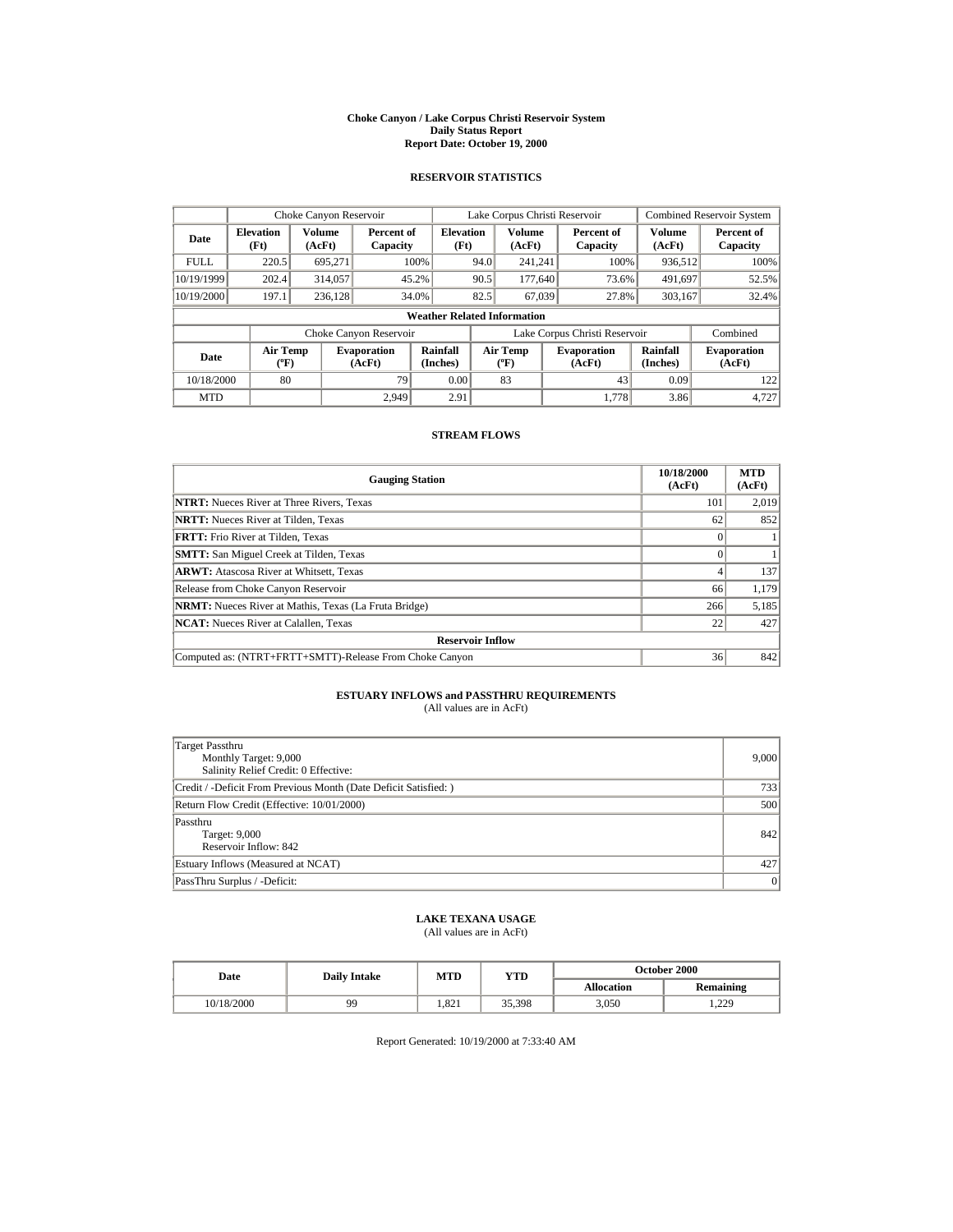#### **Choke Canyon / Lake Corpus Christi Reservoir System Daily Status Report Report Date: October 19, 2000**

## **RESERVOIR STATISTICS**

|             | Choke Canyon Reservoir                      |                  |                              |                          | Lake Corpus Christi Reservoir |                                           |  |                               | <b>Combined Reservoir System</b> |                              |
|-------------|---------------------------------------------|------------------|------------------------------|--------------------------|-------------------------------|-------------------------------------------|--|-------------------------------|----------------------------------|------------------------------|
| Date        | <b>Elevation</b><br>(Ft)                    | Volume<br>(AcFt) | Percent of<br>Capacity       | <b>Elevation</b><br>(Ft) |                               | Volume<br>(AcFt)                          |  | Percent of<br>Capacity        | Volume<br>(AcFt)                 | Percent of<br>Capacity       |
| <b>FULL</b> | 220.5                                       | 695.271          |                              | 100%                     | 94.0                          | 241.241                                   |  | 100%                          | 936,512                          | 100%                         |
| 10/19/1999  | 202.4                                       | 314,057          |                              | 45.2%                    | 90.5                          | 177,640                                   |  | 73.6%                         | 491,697                          | 52.5%                        |
| 10/19/2000  | 197.1                                       | 236.128          |                              | 34.0%                    | 82.5                          | 67.039                                    |  | 27.8%                         | 303,167                          | 32.4%                        |
|             | <b>Weather Related Information</b>          |                  |                              |                          |                               |                                           |  |                               |                                  |                              |
|             |                                             |                  | Choke Canyon Reservoir       |                          |                               |                                           |  | Lake Corpus Christi Reservoir |                                  | Combined                     |
| Date        | <b>Air Temp</b><br>$({}^{\circ}\mathrm{F})$ |                  | <b>Evaporation</b><br>(AcFt) | Rainfall<br>(Inches)     |                               | <b>Air Temp</b><br>$({}^{\circ}\text{F})$ |  | <b>Evaporation</b><br>(AcFt)  | Rainfall<br>(Inches)             | <b>Evaporation</b><br>(AcFt) |
| 10/18/2000  | 80                                          |                  | 79                           | 0.00                     |                               | 83                                        |  | 43                            | 0.09                             | 122                          |
| <b>MTD</b>  |                                             |                  | 2.949                        | 2.91                     |                               |                                           |  | 1.778                         | 3.86                             | 4.727                        |

### **STREAM FLOWS**

| <b>Gauging Station</b>                                       | 10/18/2000<br>(AcFt) | <b>MTD</b><br>(AcFt) |  |  |  |
|--------------------------------------------------------------|----------------------|----------------------|--|--|--|
| <b>NTRT:</b> Nueces River at Three Rivers, Texas             | 101                  | 2,019                |  |  |  |
| <b>NRTT:</b> Nueces River at Tilden, Texas                   | 62                   | 852                  |  |  |  |
| <b>FRTT:</b> Frio River at Tilden, Texas                     |                      |                      |  |  |  |
| <b>SMTT:</b> San Miguel Creek at Tilden, Texas               |                      |                      |  |  |  |
| <b>ARWT:</b> Atascosa River at Whitsett, Texas               |                      | 137                  |  |  |  |
| Release from Choke Canyon Reservoir                          | 66                   | 1,179                |  |  |  |
| <b>NRMT:</b> Nueces River at Mathis, Texas (La Fruta Bridge) | 266                  | 5,185                |  |  |  |
| <b>NCAT:</b> Nueces River at Calallen, Texas                 | 22                   | 427                  |  |  |  |
| <b>Reservoir Inflow</b>                                      |                      |                      |  |  |  |
| Computed as: (NTRT+FRTT+SMTT)-Release From Choke Canyon      | 36                   | 842                  |  |  |  |

# **ESTUARY INFLOWS and PASSTHRU REQUIREMENTS**<br>(All values are in AcFt)

| Target Passthru<br>Monthly Target: 9,000<br>Salinity Relief Credit: 0 Effective: | 9,000 |
|----------------------------------------------------------------------------------|-------|
| Credit / -Deficit From Previous Month (Date Deficit Satisfied:)                  | 733   |
| Return Flow Credit (Effective: 10/01/2000)                                       | 500   |
| Passthru<br>Target: 9,000<br>Reservoir Inflow: 842                               | 842   |
| Estuary Inflows (Measured at NCAT)                                               | 427   |
| PassThru Surplus / -Deficit:                                                     | 0     |

# **LAKE TEXANA USAGE**

## (All values are in AcFt)

| Date       | <b>Daily Intake</b> | MTD   | YTD    | <b>October 2000</b> |                  |  |
|------------|---------------------|-------|--------|---------------------|------------------|--|
|            |                     |       |        | <b>Allocation</b>   | <b>Remaining</b> |  |
| 10/18/2000 | 99                  | 1.821 | 35,398 | 3,050               | 1.229            |  |

Report Generated: 10/19/2000 at 7:33:40 AM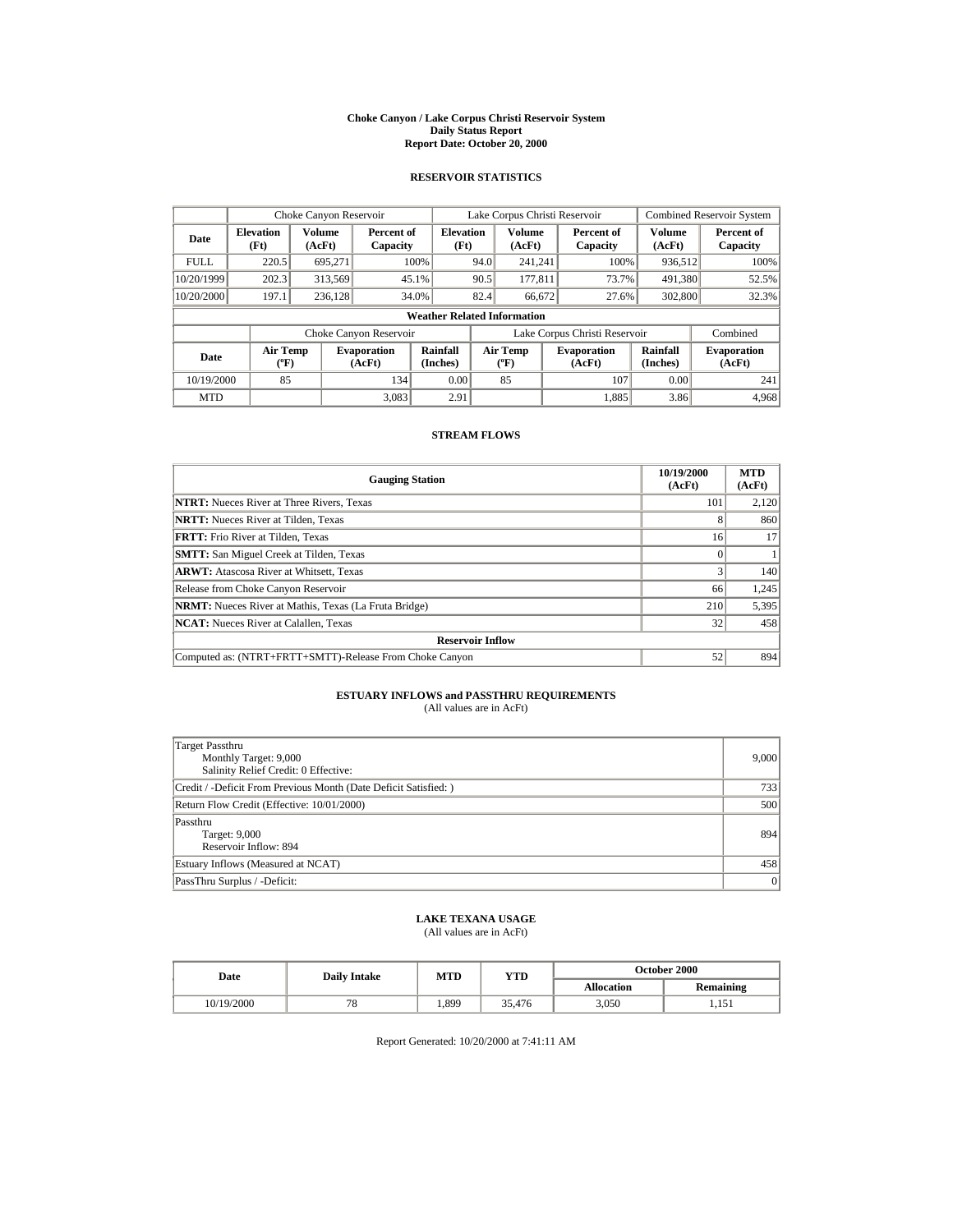#### **Choke Canyon / Lake Corpus Christi Reservoir System Daily Status Report Report Date: October 20, 2000**

## **RESERVOIR STATISTICS**

|             | Choke Canyon Reservoir                |                  |                              |                          | Lake Corpus Christi Reservoir |                                   |  |                               | <b>Combined Reservoir System</b> |                              |
|-------------|---------------------------------------|------------------|------------------------------|--------------------------|-------------------------------|-----------------------------------|--|-------------------------------|----------------------------------|------------------------------|
| Date        | <b>Elevation</b><br>(Ft)              | Volume<br>(AcFt) | Percent of<br>Capacity       | <b>Elevation</b><br>(Ft) |                               | <b>Volume</b><br>(AcFt)           |  | Percent of<br>Capacity        | <b>Volume</b><br>(AcFt)          | Percent of<br>Capacity       |
| <b>FULL</b> | 220.5                                 | 695.271          |                              | 100%                     | 94.0                          | 241.241                           |  | 100%                          | 936,512                          | 100%                         |
| 10/20/1999  | 202.3                                 | 313,569          |                              | 45.1%                    | 90.5                          | 177.811                           |  | 73.7%                         | 491.380                          | 52.5%                        |
| 10/20/2000  | 197.1                                 | 236.128          |                              | 34.0%                    | 82.4                          | 66,672                            |  | 27.6%                         | 302,800                          | 32.3%                        |
|             | <b>Weather Related Information</b>    |                  |                              |                          |                               |                                   |  |                               |                                  |                              |
|             |                                       |                  | Choke Canyon Reservoir       |                          |                               |                                   |  | Lake Corpus Christi Reservoir |                                  | Combined                     |
| Date        | <b>Air Temp</b><br>$({}^o\mathrm{F})$ |                  | <b>Evaporation</b><br>(AcFt) | Rainfall<br>(Inches)     |                               | Air Temp<br>$({}^{\circ}{\rm F})$ |  | <b>Evaporation</b><br>(AcFt)  | Rainfall<br>(Inches)             | <b>Evaporation</b><br>(AcFt) |
| 10/19/2000  | 85                                    |                  | 134                          | 0.00                     |                               | 85                                |  | 107                           | 0.00                             | 241                          |
| <b>MTD</b>  |                                       |                  | 3,083                        | 2.91                     |                               |                                   |  | 1.885                         | 3.86                             | 4,968                        |

### **STREAM FLOWS**

| <b>Gauging Station</b>                                       | 10/19/2000<br>(AcFt) | <b>MTD</b><br>(AcFt) |  |  |  |
|--------------------------------------------------------------|----------------------|----------------------|--|--|--|
| <b>NTRT:</b> Nueces River at Three Rivers, Texas             | 101                  | 2,120                |  |  |  |
| <b>NRTT:</b> Nueces River at Tilden, Texas                   | 8                    | 860                  |  |  |  |
| <b>FRTT:</b> Frio River at Tilden, Texas                     | 16                   | 17                   |  |  |  |
| <b>SMTT:</b> San Miguel Creek at Tilden, Texas               |                      |                      |  |  |  |
| <b>ARWT:</b> Atascosa River at Whitsett, Texas               |                      | 140                  |  |  |  |
| Release from Choke Canyon Reservoir                          | 66                   | 1,245                |  |  |  |
| <b>NRMT:</b> Nueces River at Mathis, Texas (La Fruta Bridge) | 210                  | 5,395                |  |  |  |
| <b>NCAT:</b> Nueces River at Calallen, Texas                 | 32                   | 458                  |  |  |  |
| <b>Reservoir Inflow</b>                                      |                      |                      |  |  |  |
| Computed as: (NTRT+FRTT+SMTT)-Release From Choke Canyon      | 52                   | 894                  |  |  |  |

# **ESTUARY INFLOWS and PASSTHRU REQUIREMENTS**<br>(All values are in AcFt)

| Target Passthru<br>Monthly Target: 9,000<br>Salinity Relief Credit: 0 Effective: | 9,000 |
|----------------------------------------------------------------------------------|-------|
| Credit / -Deficit From Previous Month (Date Deficit Satisfied:)                  | 733   |
| Return Flow Credit (Effective: 10/01/2000)                                       | 500   |
| Passthru<br>Target: 9,000<br>Reservoir Inflow: 894                               | 894   |
| Estuary Inflows (Measured at NCAT)                                               | 458   |
| PassThru Surplus / -Deficit:                                                     | 0     |

# **LAKE TEXANA USAGE**

(All values are in AcFt)

| Date       | <b>Daily Intake</b> | MTD  | YTD    | <b>October 2000</b> |                                 |  |
|------------|---------------------|------|--------|---------------------|---------------------------------|--|
|            |                     |      |        | <b>Allocation</b>   | <b>Remaining</b>                |  |
| 10/19/2000 | 78                  | .899 | 35,476 | 3.050               | 15 <sup>7</sup><br>. <i>.</i> . |  |

Report Generated: 10/20/2000 at 7:41:11 AM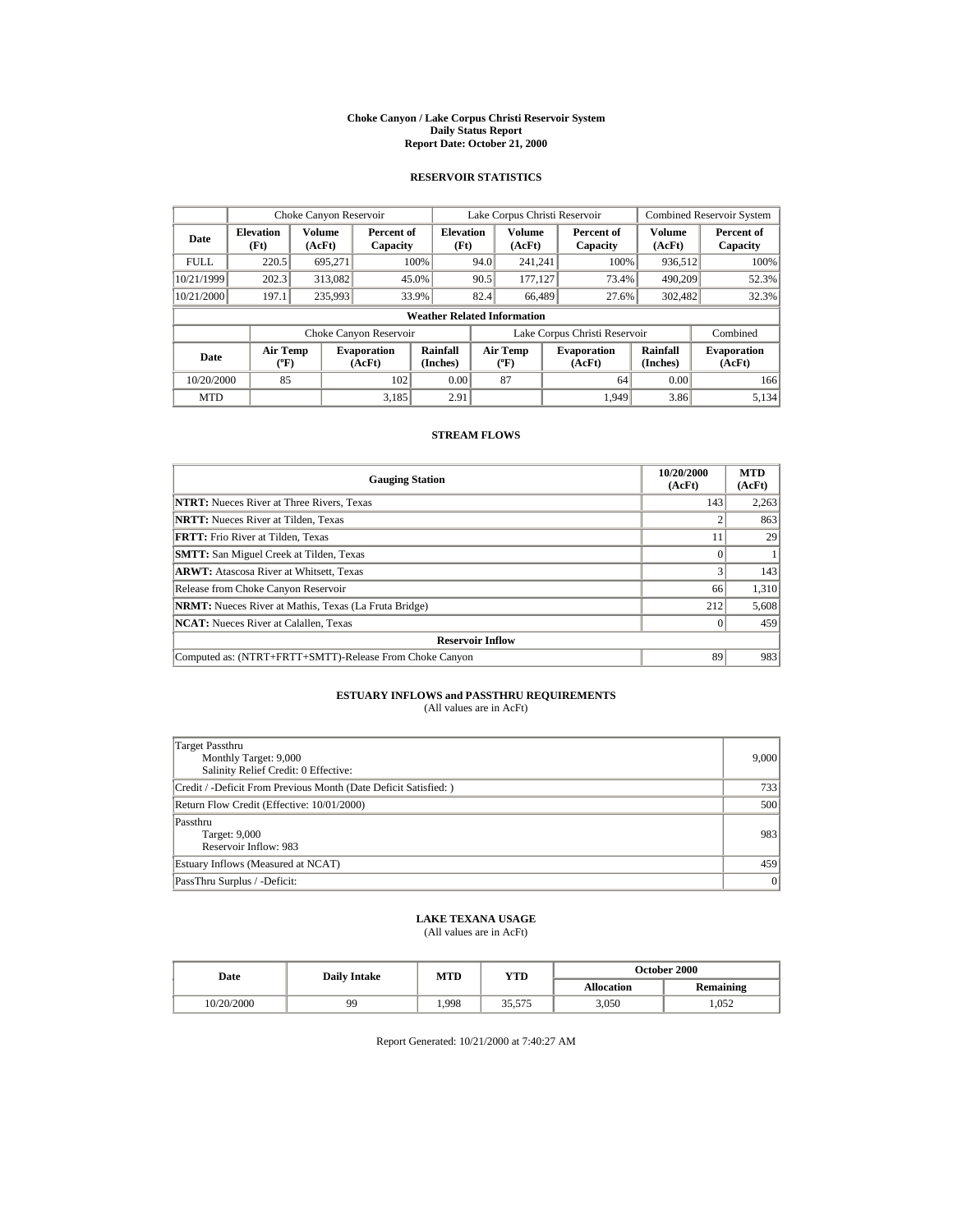#### **Choke Canyon / Lake Corpus Christi Reservoir System Daily Status Report Report Date: October 21, 2000**

## **RESERVOIR STATISTICS**

|             | Choke Canyon Reservoir                      |                  |                              |                          | Lake Corpus Christi Reservoir |                                           |  |                               | <b>Combined Reservoir System</b> |                              |
|-------------|---------------------------------------------|------------------|------------------------------|--------------------------|-------------------------------|-------------------------------------------|--|-------------------------------|----------------------------------|------------------------------|
| Date        | <b>Elevation</b><br>(Ft)                    | Volume<br>(AcFt) | Percent of<br>Capacity       | <b>Elevation</b><br>(Ft) |                               | Volume<br>(AcFt)                          |  | Percent of<br>Capacity        | Volume<br>(AcFt)                 | Percent of<br>Capacity       |
| <b>FULL</b> | 220.5                                       | 695.271          |                              | 100%                     | 94.0                          | 241.241                                   |  | 100%                          | 936,512                          | 100%                         |
| 10/21/1999  | 202.3                                       | 313,082          |                              | 45.0%                    | 90.5                          | 177.127                                   |  | 73.4%                         | 490.209                          | 52.3%                        |
| 10/21/2000  | 197.1                                       | 235,993          |                              | 33.9%                    | 82.4                          | 66.489                                    |  | 27.6%                         | 302,482                          | 32.3%                        |
|             | <b>Weather Related Information</b>          |                  |                              |                          |                               |                                           |  |                               |                                  |                              |
|             |                                             |                  | Choke Canyon Reservoir       |                          |                               |                                           |  | Lake Corpus Christi Reservoir |                                  | Combined                     |
| Date        | <b>Air Temp</b><br>$({}^{\circ}\mathrm{F})$ |                  | <b>Evaporation</b><br>(AcFt) | Rainfall<br>(Inches)     |                               | <b>Air Temp</b><br>$({}^{\circ}\text{F})$ |  | <b>Evaporation</b><br>(AcFt)  | Rainfall<br>(Inches)             | <b>Evaporation</b><br>(AcFt) |
| 10/20/2000  | 85                                          |                  | 102                          | 0.00                     |                               | 87                                        |  | 64                            | 0.00                             | 166                          |
| <b>MTD</b>  |                                             |                  | 3.185                        | 2.91                     |                               |                                           |  | 1.949                         | 3.86                             | 5.134                        |

### **STREAM FLOWS**

| <b>Gauging Station</b>                                       | 10/20/2000<br>(AcFt) | <b>MTD</b><br>(AcFt) |  |  |  |
|--------------------------------------------------------------|----------------------|----------------------|--|--|--|
| <b>NTRT:</b> Nueces River at Three Rivers, Texas             | 143                  | 2,263                |  |  |  |
| <b>NRTT:</b> Nueces River at Tilden, Texas                   |                      | 863                  |  |  |  |
| <b>FRTT:</b> Frio River at Tilden, Texas                     |                      | 29                   |  |  |  |
| <b>SMTT:</b> San Miguel Creek at Tilden, Texas               |                      |                      |  |  |  |
| <b>ARWT:</b> Atascosa River at Whitsett, Texas               |                      | 143                  |  |  |  |
| Release from Choke Canyon Reservoir                          | 66                   | 1,310                |  |  |  |
| <b>NRMT:</b> Nueces River at Mathis, Texas (La Fruta Bridge) | 212                  | 5,608                |  |  |  |
| <b>NCAT:</b> Nueces River at Calallen, Texas                 |                      | 459                  |  |  |  |
| <b>Reservoir Inflow</b>                                      |                      |                      |  |  |  |
| Computed as: (NTRT+FRTT+SMTT)-Release From Choke Canyon      | 89                   | 983                  |  |  |  |

# **ESTUARY INFLOWS and PASSTHRU REQUIREMENTS**<br>(All values are in AcFt)

| Target Passthru<br>Monthly Target: 9,000<br>Salinity Relief Credit: 0 Effective: | 9,000 |
|----------------------------------------------------------------------------------|-------|
| Credit / -Deficit From Previous Month (Date Deficit Satisfied:)                  | 733   |
| Return Flow Credit (Effective: 10/01/2000)                                       | 500   |
| Passthru<br>Target: 9,000<br>Reservoir Inflow: 983                               | 983   |
| Estuary Inflows (Measured at NCAT)                                               | 459   |
| PassThru Surplus / -Deficit:                                                     | 0     |

## **LAKE TEXANA USAGE**

(All values are in AcFt)

| Date       | <b>Daily Intake</b> | MTD  | YTD    | <b>October 2000</b> |                  |  |
|------------|---------------------|------|--------|---------------------|------------------|--|
|            |                     |      |        | <b>Allocation</b>   | <b>Remaining</b> |  |
| 10/20/2000 | 99                  | .998 | 35,575 | 3.050               | 1.052            |  |

Report Generated: 10/21/2000 at 7:40:27 AM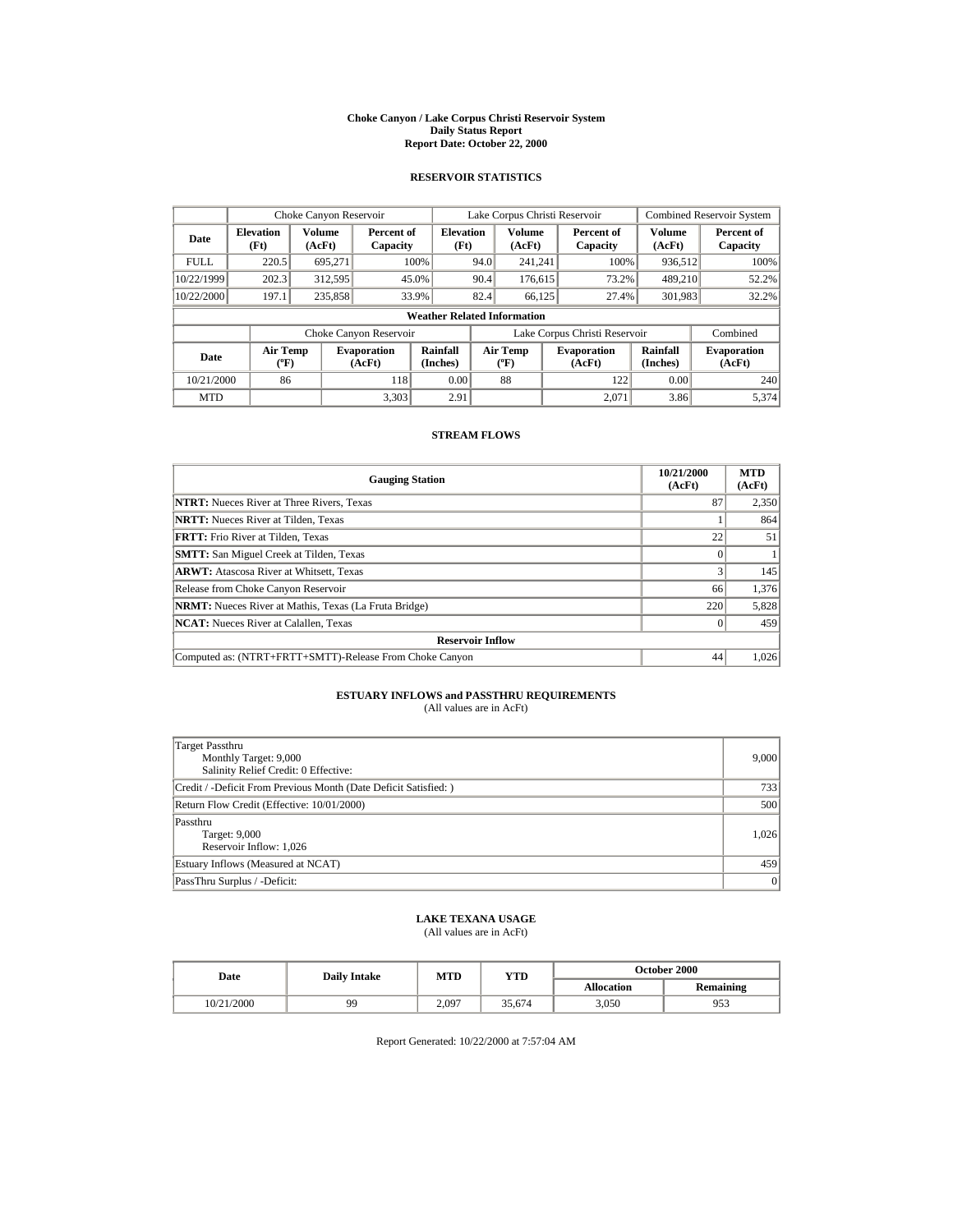#### **Choke Canyon / Lake Corpus Christi Reservoir System Daily Status Report Report Date: October 22, 2000**

## **RESERVOIR STATISTICS**

|             | Choke Canyon Reservoir                      |                         |                              |                          | Lake Corpus Christi Reservoir |                                  |  |                               | <b>Combined Reservoir System</b> |                              |
|-------------|---------------------------------------------|-------------------------|------------------------------|--------------------------|-------------------------------|----------------------------------|--|-------------------------------|----------------------------------|------------------------------|
| Date        | <b>Elevation</b><br>(Ft)                    | <b>Volume</b><br>(AcFt) | Percent of<br>Capacity       | <b>Elevation</b><br>(Ft) |                               | <b>Volume</b><br>(AcFt)          |  | Percent of<br>Capacity        | Volume<br>(AcFt)                 | Percent of<br>Capacity       |
| <b>FULL</b> | 220.5                                       | 695,271                 |                              | 100%                     | 94.0                          | 241.241                          |  | 100%                          | 936,512                          | 100%                         |
| 10/22/1999  | 202.3                                       | 312,595                 |                              | 45.0%                    | 90.4                          | 176,615                          |  | 73.2%                         | 489,210                          | 52.2%                        |
| 10/22/2000  | 197.1                                       | 235,858                 |                              | 33.9%                    | 82.4                          | 66.125                           |  | 27.4%                         | 301,983                          | 32.2%                        |
|             | <b>Weather Related Information</b>          |                         |                              |                          |                               |                                  |  |                               |                                  |                              |
|             |                                             |                         | Choke Canyon Reservoir       |                          |                               |                                  |  | Lake Corpus Christi Reservoir |                                  | Combined                     |
| Date        | <b>Air Temp</b><br>$({}^{\circ}\mathrm{F})$ |                         | <b>Evaporation</b><br>(AcFt) | Rainfall<br>(Inches)     |                               | <b>Air Temp</b><br>$(^{\circ}F)$ |  | <b>Evaporation</b><br>(AcFt)  | Rainfall<br>(Inches)             | <b>Evaporation</b><br>(AcFt) |
| 10/21/2000  | 86                                          |                         | 118                          | 0.00                     |                               | 88                               |  | 122                           | 0.00                             | 240                          |
| <b>MTD</b>  |                                             |                         | 3.303                        | 2.91                     |                               |                                  |  | 2.071                         | 3.86                             | 5.374                        |

### **STREAM FLOWS**

| <b>Gauging Station</b>                                       | 10/21/2000<br>(AcFt) | <b>MTD</b><br>(AcFt) |  |  |  |
|--------------------------------------------------------------|----------------------|----------------------|--|--|--|
| <b>NTRT:</b> Nueces River at Three Rivers, Texas             | 87                   | 2,350                |  |  |  |
| <b>NRTT:</b> Nueces River at Tilden, Texas                   |                      | 864                  |  |  |  |
| <b>FRTT:</b> Frio River at Tilden, Texas                     | 22                   | 51                   |  |  |  |
| <b>SMTT:</b> San Miguel Creek at Tilden, Texas               |                      |                      |  |  |  |
| <b>ARWT:</b> Atascosa River at Whitsett, Texas               |                      | 145                  |  |  |  |
| Release from Choke Canyon Reservoir                          | 66                   | 1,376                |  |  |  |
| <b>NRMT:</b> Nueces River at Mathis, Texas (La Fruta Bridge) | 220                  | 5,828                |  |  |  |
| <b>NCAT:</b> Nueces River at Calallen, Texas                 |                      | 459                  |  |  |  |
| <b>Reservoir Inflow</b>                                      |                      |                      |  |  |  |
| Computed as: (NTRT+FRTT+SMTT)-Release From Choke Canyon      | 44                   | 1,026                |  |  |  |

# **ESTUARY INFLOWS and PASSTHRU REQUIREMENTS**<br>(All values are in AcFt)

| Target Passthru<br>Monthly Target: 9,000<br>Salinity Relief Credit: 0 Effective: | 9,000 |
|----------------------------------------------------------------------------------|-------|
| Credit / -Deficit From Previous Month (Date Deficit Satisfied:)                  | 733   |
| Return Flow Credit (Effective: 10/01/2000)                                       | 500   |
| Passthru<br>Target: 9,000<br>Reservoir Inflow: 1,026                             | 1.026 |
| Estuary Inflows (Measured at NCAT)                                               | 459   |
| PassThru Surplus / -Deficit:                                                     | 0     |

# **LAKE TEXANA USAGE**

(All values are in AcFt)

| Date       | <b>Daily Intake</b> | MTD   | YTD    | <b>October 2000</b> |                  |  |
|------------|---------------------|-------|--------|---------------------|------------------|--|
|            |                     |       |        | <b>Allocation</b>   | <b>Remaining</b> |  |
| 10/21/2000 | 99                  | 2.097 | 35.674 | 3.050               | 953              |  |

Report Generated: 10/22/2000 at 7:57:04 AM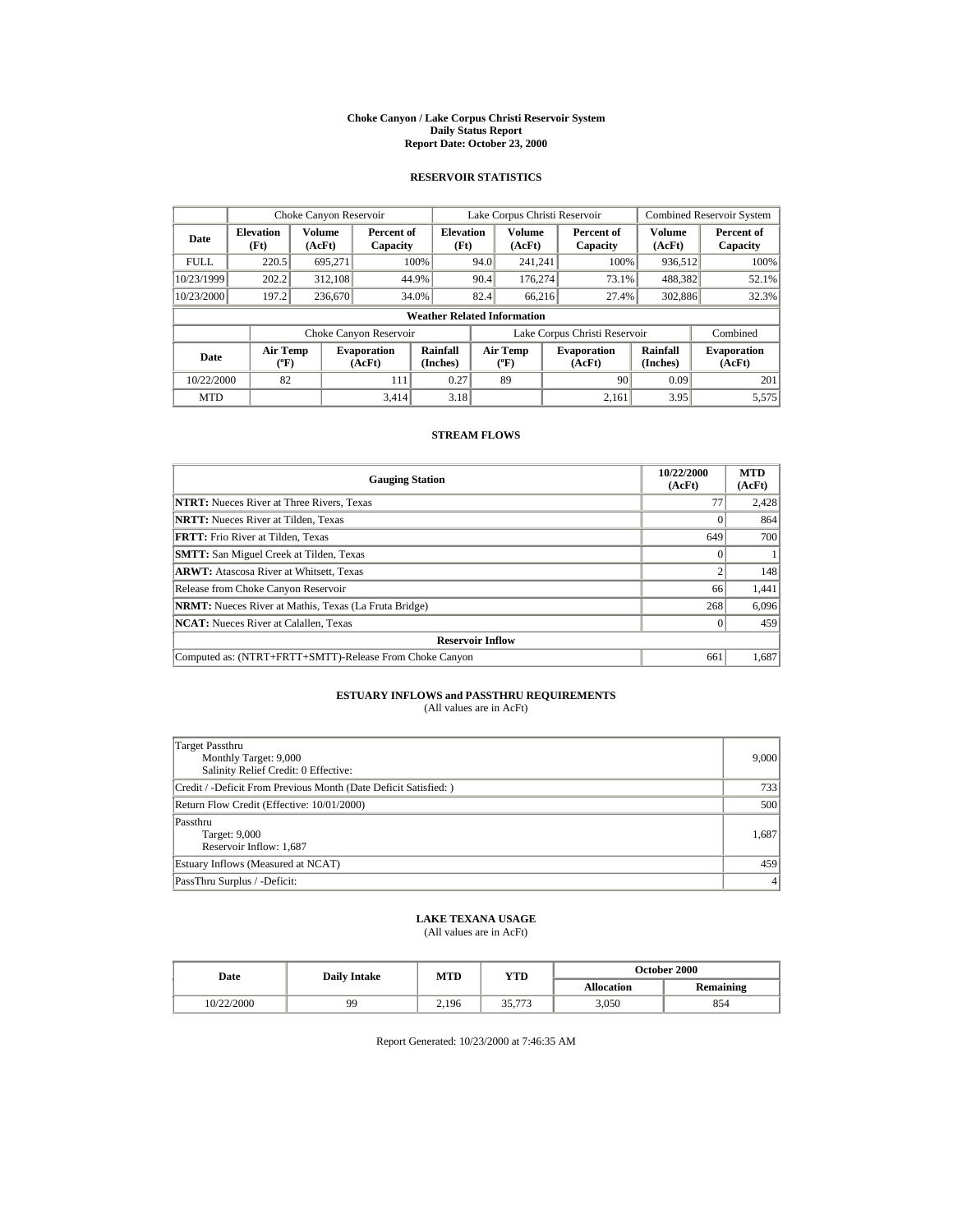#### **Choke Canyon / Lake Corpus Christi Reservoir System Daily Status Report Report Date: October 23, 2000**

## **RESERVOIR STATISTICS**

|             | Choke Canyon Reservoir                      |                  |                              |                          | Lake Corpus Christi Reservoir |                                          |  |                               | <b>Combined Reservoir System</b> |                              |
|-------------|---------------------------------------------|------------------|------------------------------|--------------------------|-------------------------------|------------------------------------------|--|-------------------------------|----------------------------------|------------------------------|
| Date        | <b>Elevation</b><br>(Ft)                    | Volume<br>(AcFt) | Percent of<br>Capacity       | <b>Elevation</b><br>(Ft) |                               | Volume<br>(AcFt)                         |  | Percent of<br>Capacity        | Volume<br>(AcFt)                 | Percent of<br>Capacity       |
| <b>FULL</b> | 220.5                                       | 695.271          |                              | 100%                     | 94.0                          | 241.241                                  |  | 100%                          | 936,512                          | 100%                         |
| 10/23/1999  | 202.2                                       | 312,108          |                              | 44.9%                    | 90.4                          | 176.274                                  |  | 73.1%                         | 488,382                          | 52.1%                        |
| 10/23/2000  | 197.2                                       | 236,670          |                              | 34.0%                    | 82.4                          | 66,216                                   |  | 27.4%                         | 302,886                          | 32.3%                        |
|             | <b>Weather Related Information</b>          |                  |                              |                          |                               |                                          |  |                               |                                  |                              |
|             |                                             |                  | Choke Canyon Reservoir       |                          |                               |                                          |  | Lake Corpus Christi Reservoir |                                  | Combined                     |
| Date        | <b>Air Temp</b><br>$({}^{\circ}\mathrm{F})$ |                  | <b>Evaporation</b><br>(AcFt) | Rainfall<br>(Inches)     |                               | <b>Air Temp</b><br>$({}^{\circ}{\rm F})$ |  | <b>Evaporation</b><br>(AcFt)  | Rainfall<br>(Inches)             | <b>Evaporation</b><br>(AcFt) |
| 10/22/2000  | 82                                          |                  | 111                          | 0.27                     |                               | 89                                       |  | 90                            | 0.09                             | 201                          |
| <b>MTD</b>  |                                             |                  | 3.414                        | 3.18                     |                               |                                          |  | 2.161                         | 3.95                             | 5,575                        |

### **STREAM FLOWS**

| <b>Gauging Station</b>                                       | 10/22/2000<br>(AcFt) | <b>MTD</b><br>(AcFt) |  |  |  |
|--------------------------------------------------------------|----------------------|----------------------|--|--|--|
| <b>NTRT:</b> Nueces River at Three Rivers, Texas             | 77                   | 2,428                |  |  |  |
| <b>NRTT:</b> Nueces River at Tilden, Texas                   |                      | 864                  |  |  |  |
| <b>FRTT:</b> Frio River at Tilden, Texas                     | 649                  | 700                  |  |  |  |
| <b>SMTT:</b> San Miguel Creek at Tilden, Texas               |                      |                      |  |  |  |
| <b>ARWT:</b> Atascosa River at Whitsett, Texas               |                      | 148                  |  |  |  |
| Release from Choke Canyon Reservoir                          | 66                   | 1,441                |  |  |  |
| <b>NRMT:</b> Nueces River at Mathis, Texas (La Fruta Bridge) | 268                  | 6,096                |  |  |  |
| <b>NCAT:</b> Nueces River at Calallen, Texas                 |                      | 459                  |  |  |  |
| <b>Reservoir Inflow</b>                                      |                      |                      |  |  |  |
| Computed as: (NTRT+FRTT+SMTT)-Release From Choke Canyon      | 661                  | 1,687                |  |  |  |

# **ESTUARY INFLOWS and PASSTHRU REQUIREMENTS**<br>(All values are in AcFt)

| Target Passthru<br>Monthly Target: 9,000<br>Salinity Relief Credit: 0 Effective: | 9,000   |
|----------------------------------------------------------------------------------|---------|
| Credit / -Deficit From Previous Month (Date Deficit Satisfied:)                  | 733     |
| Return Flow Credit (Effective: 10/01/2000)                                       | 500     |
| Passthru<br>Target: 9,000<br>Reservoir Inflow: 1,687                             | 1,687   |
| Estuary Inflows (Measured at NCAT)                                               | 459     |
| PassThru Surplus / -Deficit:                                                     | $\vert$ |

# **LAKE TEXANA USAGE**

(All values are in AcFt)

| Date       | <b>Daily Intake</b> | MTD   | YTD    | <b>October 2000</b> |                  |  |
|------------|---------------------|-------|--------|---------------------|------------------|--|
|            |                     |       |        | <b>Allocation</b>   | <b>Remaining</b> |  |
| 10/22/2000 | 99                  | 2.196 | 35,773 | 3,050               | 854              |  |

Report Generated: 10/23/2000 at 7:46:35 AM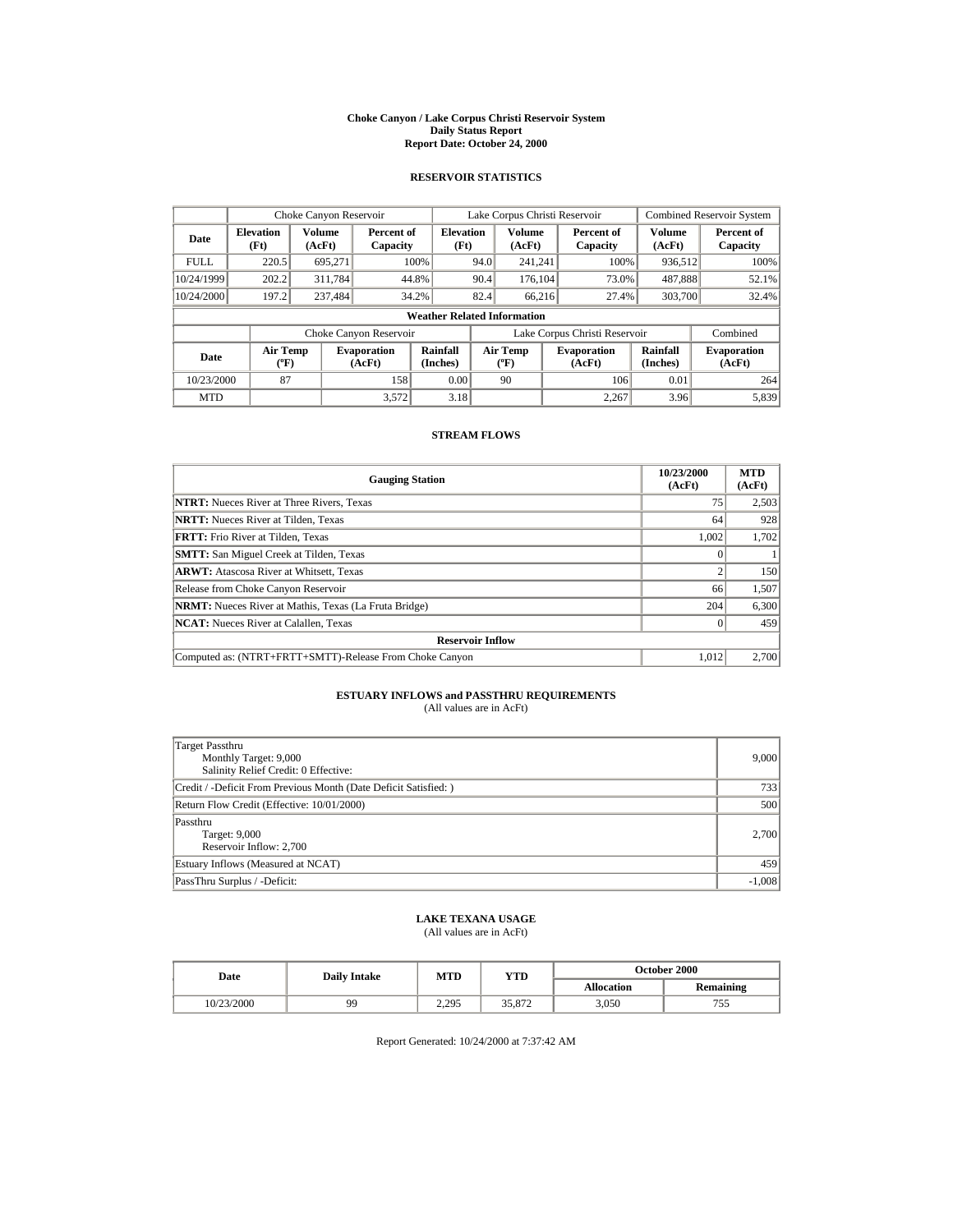#### **Choke Canyon / Lake Corpus Christi Reservoir System Daily Status Report Report Date: October 24, 2000**

## **RESERVOIR STATISTICS**

|             | Choke Canyon Reservoir                      |                  |                              |                          | Lake Corpus Christi Reservoir |                                         |  |                               | <b>Combined Reservoir System</b> |                              |
|-------------|---------------------------------------------|------------------|------------------------------|--------------------------|-------------------------------|-----------------------------------------|--|-------------------------------|----------------------------------|------------------------------|
| Date        | <b>Elevation</b><br>(Ft)                    | Volume<br>(AcFt) | Percent of<br>Capacity       | <b>Elevation</b><br>(Ft) |                               | <b>Volume</b><br>(AcFt)                 |  | Percent of<br>Capacity        | Volume<br>(AcFt)                 | Percent of<br>Capacity       |
| <b>FULL</b> | 220.5                                       | 695.271          |                              | 100%                     | 94.0                          | 241.241                                 |  | 100%                          | 936,512                          | 100%                         |
| 10/24/1999  | 202.2                                       | 311,784          | 44.8%                        |                          | 90.4                          | 176.104                                 |  | 73.0%                         | 487,888                          | 52.1%                        |
| 10/24/2000  | 197.2                                       | 237,484          | 34.2%                        |                          | 82.4                          | 66.216                                  |  | 27.4%                         | 303,700                          | 32.4%                        |
|             | <b>Weather Related Information</b>          |                  |                              |                          |                               |                                         |  |                               |                                  |                              |
|             |                                             |                  | Choke Canyon Reservoir       |                          |                               |                                         |  | Lake Corpus Christi Reservoir |                                  | Combined                     |
| Date        | <b>Air Temp</b><br>$({}^{\circ}\mathrm{F})$ |                  | <b>Evaporation</b><br>(AcFt) | Rainfall<br>(Inches)     |                               | <b>Air Temp</b><br>$(^{\circ}\text{F})$ |  | <b>Evaporation</b><br>(AcFt)  | Rainfall<br>(Inches)             | <b>Evaporation</b><br>(AcFt) |
| 10/23/2000  | 87                                          |                  | 158                          | 0.00                     |                               | 90                                      |  | 106                           | 0.01                             | 264                          |
| <b>MTD</b>  |                                             |                  | 3.572                        | 3.18                     |                               |                                         |  | 2.267                         | 3.96                             | 5.839                        |

### **STREAM FLOWS**

| <b>Gauging Station</b>                                       | 10/23/2000<br>(AcFt) | <b>MTD</b><br>(AcFt) |
|--------------------------------------------------------------|----------------------|----------------------|
| <b>NTRT:</b> Nueces River at Three Rivers, Texas             | 75                   | 2,503                |
| <b>NRTT:</b> Nueces River at Tilden, Texas                   | 64                   | 928                  |
| <b>FRTT:</b> Frio River at Tilden. Texas                     | 1.002                | 1,702                |
| <b>SMTT:</b> San Miguel Creek at Tilden, Texas               |                      |                      |
| <b>ARWT:</b> Atascosa River at Whitsett, Texas               |                      | 150                  |
| Release from Choke Canyon Reservoir                          | 66                   | 1,507                |
| <b>NRMT:</b> Nueces River at Mathis, Texas (La Fruta Bridge) | 204                  | 6,300                |
| <b>NCAT:</b> Nueces River at Calallen, Texas                 |                      | 459                  |
| <b>Reservoir Inflow</b>                                      |                      |                      |
| Computed as: (NTRT+FRTT+SMTT)-Release From Choke Canyon      | 1.012                | 2,700                |

# **ESTUARY INFLOWS and PASSTHRU REQUIREMENTS**<br>(All values are in AcFt)

| Target Passthru<br>Monthly Target: 9,000<br>Salinity Relief Credit: 0 Effective: | 9,000    |
|----------------------------------------------------------------------------------|----------|
| Credit / -Deficit From Previous Month (Date Deficit Satisfied:)                  | 733      |
| Return Flow Credit (Effective: 10/01/2000)                                       | 500      |
| Passthru<br>Target: 9,000<br>Reservoir Inflow: 2,700                             | 2,700    |
| Estuary Inflows (Measured at NCAT)                                               | 459      |
| PassThru Surplus / -Deficit:                                                     | $-1,008$ |

## **LAKE TEXANA USAGE**

(All values are in AcFt)

| Date       | <b>Daily Intake</b> | MTD   | YTD               | <b>October 2000</b> |                  |  |
|------------|---------------------|-------|-------------------|---------------------|------------------|--|
|            |                     |       |                   | <b>Allocation</b>   | <b>Remaining</b> |  |
| 10/23/2000 | 99                  | 2.295 | 25. OTA<br>JJ.OIL | 3.050               | ں ر              |  |

Report Generated: 10/24/2000 at 7:37:42 AM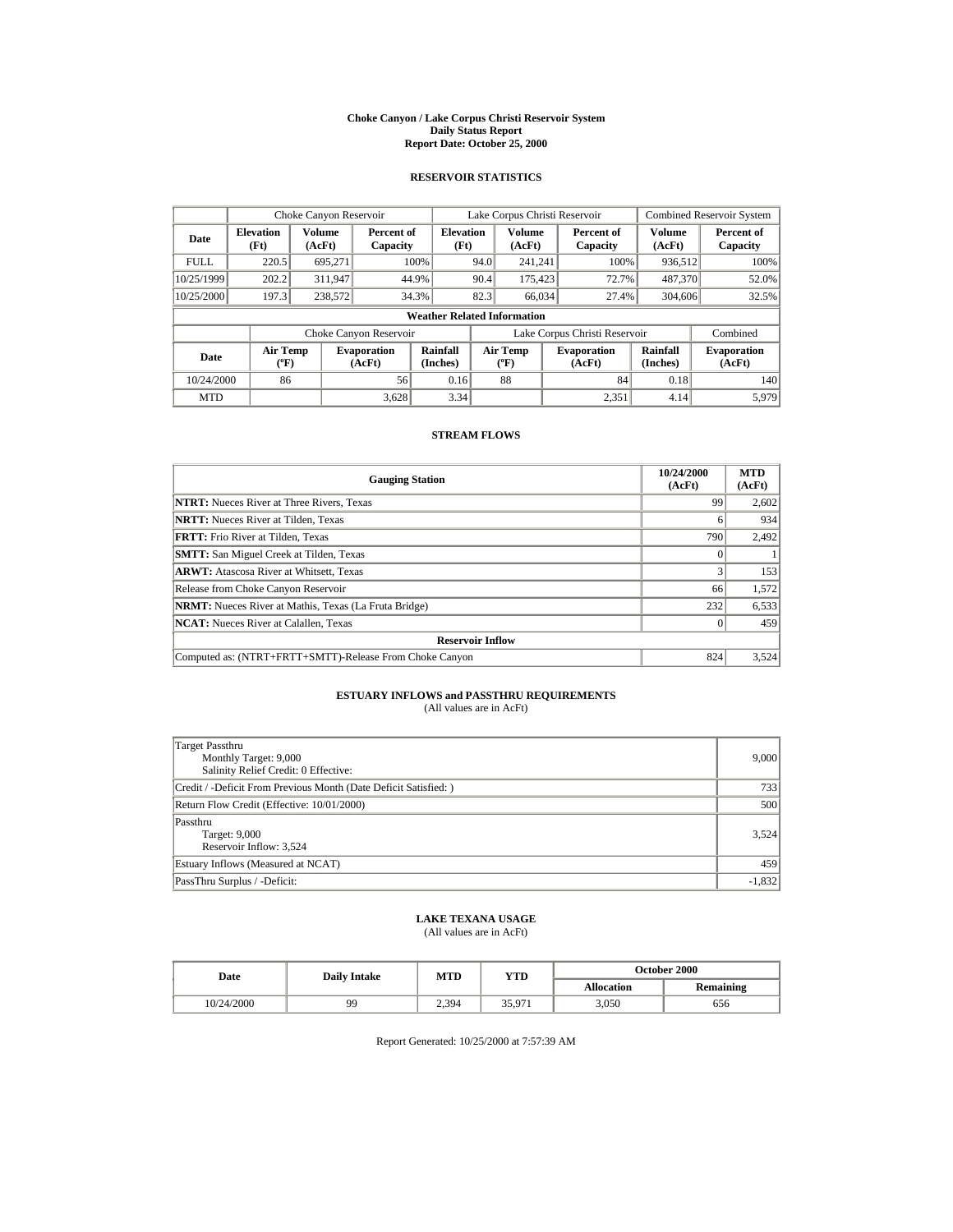#### **Choke Canyon / Lake Corpus Christi Reservoir System Daily Status Report Report Date: October 25, 2000**

## **RESERVOIR STATISTICS**

| Choke Canyon Reservoir |                                       |                  |                              |                          | Lake Corpus Christi Reservoir |                                          |  |                               | <b>Combined Reservoir System</b> |                              |
|------------------------|---------------------------------------|------------------|------------------------------|--------------------------|-------------------------------|------------------------------------------|--|-------------------------------|----------------------------------|------------------------------|
| Date                   | <b>Elevation</b><br>(Ft)              | Volume<br>(AcFt) | Percent of<br>Capacity       | <b>Elevation</b><br>(Ft) |                               | <b>Volume</b><br>(AcFt)                  |  | Percent of<br>Capacity        | <b>Volume</b><br>(AcFt)          | Percent of<br>Capacity       |
| <b>FULL</b>            | 220.5                                 | 695.271          |                              | 100%                     | 94.0                          | 241.241                                  |  | 100%                          | 936,512                          | 100%                         |
| 10/25/1999             | 202.2                                 | 311,947          |                              | 44.9%                    | 90.4                          | 175,423                                  |  | 72.7%                         | 487.370                          | 52.0%                        |
| 10/25/2000             | 197.3                                 | 238,572          |                              | 34.3%                    | 82.3                          | 66,034                                   |  | 27.4%                         | 304,606                          | 32.5%                        |
|                        | <b>Weather Related Information</b>    |                  |                              |                          |                               |                                          |  |                               |                                  |                              |
|                        |                                       |                  | Choke Canyon Reservoir       |                          |                               |                                          |  | Lake Corpus Christi Reservoir |                                  | Combined                     |
| Date                   | <b>Air Temp</b><br>$({}^o\mathrm{F})$ |                  | <b>Evaporation</b><br>(AcFt) | Rainfall<br>(Inches)     |                               | <b>Air Temp</b><br>$({}^{\circ}{\rm F})$ |  | <b>Evaporation</b><br>(AcFt)  | Rainfall<br>(Inches)             | <b>Evaporation</b><br>(AcFt) |
| 10/24/2000             | 86                                    |                  | 56                           | 0.16                     |                               | 88                                       |  | 84                            | 0.18                             | 140                          |
| <b>MTD</b>             |                                       |                  | 3.628                        | 3.34                     |                               |                                          |  | 2.351                         | 4.14                             | 5.979                        |

### **STREAM FLOWS**

| <b>Gauging Station</b>                                       | 10/24/2000<br>(AcFt) | <b>MTD</b><br>(AcFt) |  |  |  |
|--------------------------------------------------------------|----------------------|----------------------|--|--|--|
| <b>NTRT:</b> Nueces River at Three Rivers, Texas             | 99                   | 2,602                |  |  |  |
| <b>NRTT:</b> Nueces River at Tilden, Texas                   |                      | 934                  |  |  |  |
| <b>FRTT:</b> Frio River at Tilden, Texas                     | 790                  | 2.492                |  |  |  |
| <b>SMTT:</b> San Miguel Creek at Tilden, Texas               |                      |                      |  |  |  |
| <b>ARWT:</b> Atascosa River at Whitsett, Texas               |                      | 153                  |  |  |  |
| Release from Choke Canyon Reservoir                          | 66                   | 1,572                |  |  |  |
| <b>NRMT:</b> Nueces River at Mathis, Texas (La Fruta Bridge) | 232                  | 6,533                |  |  |  |
| <b>NCAT:</b> Nueces River at Calallen, Texas                 |                      | 459                  |  |  |  |
| <b>Reservoir Inflow</b>                                      |                      |                      |  |  |  |
| Computed as: (NTRT+FRTT+SMTT)-Release From Choke Canyon      | 824                  | 3,524                |  |  |  |

# **ESTUARY INFLOWS and PASSTHRU REQUIREMENTS**<br>(All values are in AcFt)

| Target Passthru<br>Monthly Target: 9,000<br>Salinity Relief Credit: 0 Effective: | 9,000    |
|----------------------------------------------------------------------------------|----------|
| Credit / -Deficit From Previous Month (Date Deficit Satisfied:)                  | 733      |
| Return Flow Credit (Effective: 10/01/2000)                                       | 500      |
| Passthru<br>Target: 9,000<br>Reservoir Inflow: 3,524                             | 3,524    |
| Estuary Inflows (Measured at NCAT)                                               | 459      |
| PassThru Surplus / -Deficit:                                                     | $-1,832$ |

# **LAKE TEXANA USAGE**

(All values are in AcFt)

| Date       | <b>Daily Intake</b> | MTD   | YTD    | <b>October 2000</b> |                  |  |
|------------|---------------------|-------|--------|---------------------|------------------|--|
|            |                     |       |        | <b>Allocation</b>   | <b>Remaining</b> |  |
| 10/24/2000 | 99                  | 2.394 | 35,971 | 3.050               | 656              |  |

Report Generated: 10/25/2000 at 7:57:39 AM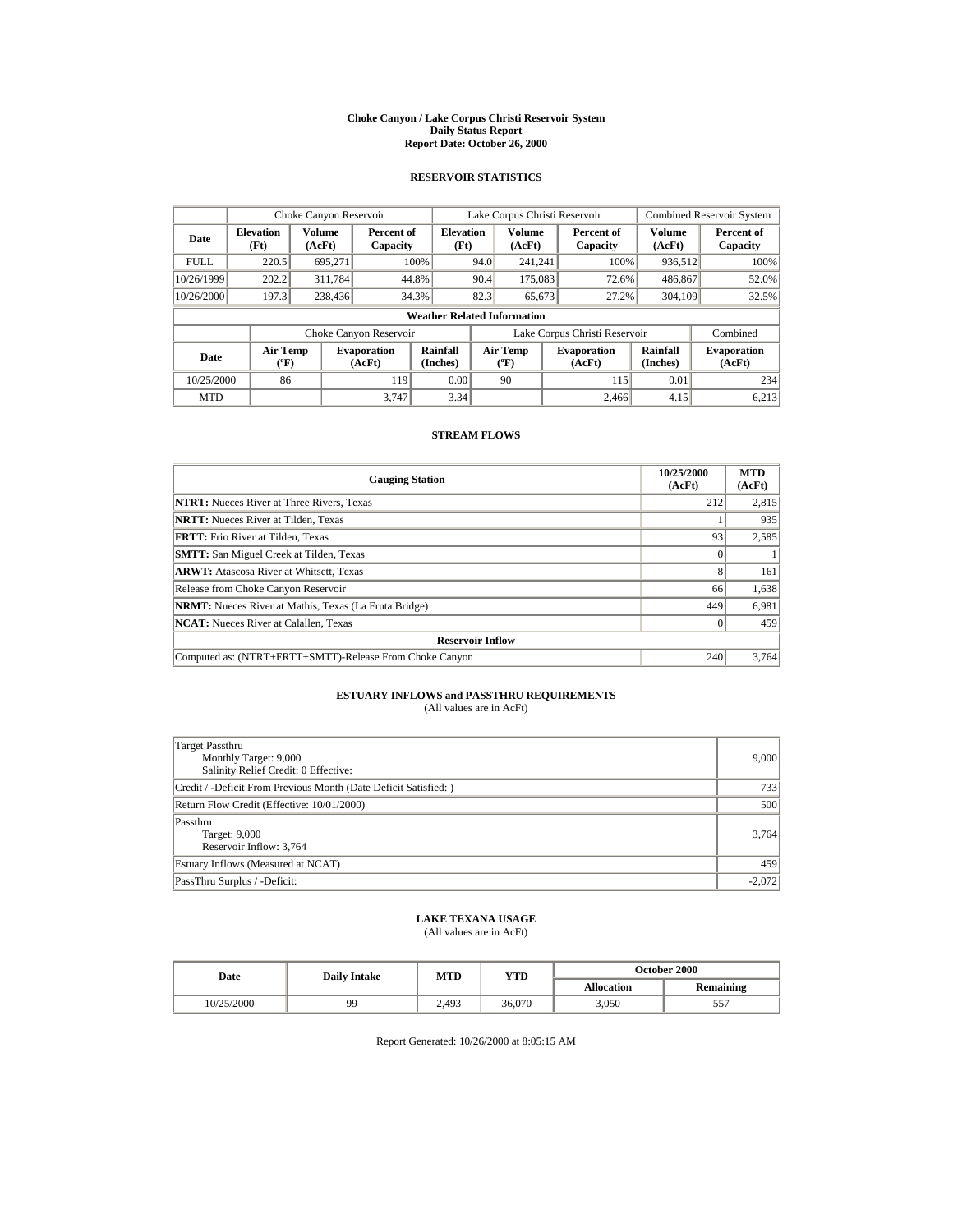#### **Choke Canyon / Lake Corpus Christi Reservoir System Daily Status Report Report Date: October 26, 2000**

## **RESERVOIR STATISTICS**

| Choke Canyon Reservoir |                                       |                  |                              |                          | Lake Corpus Christi Reservoir |                                          |  |                               | <b>Combined Reservoir System</b> |                              |
|------------------------|---------------------------------------|------------------|------------------------------|--------------------------|-------------------------------|------------------------------------------|--|-------------------------------|----------------------------------|------------------------------|
| Date                   | <b>Elevation</b><br>(Ft)              | Volume<br>(AcFt) | Percent of<br>Capacity       | <b>Elevation</b><br>(Ft) |                               | <b>Volume</b><br>(AcFt)                  |  | Percent of<br>Capacity        | <b>Volume</b><br>(AcFt)          | Percent of<br>Capacity       |
| <b>FULL</b>            | 220.5                                 | 695.271          |                              | 100%                     | 94.0                          | 241.241                                  |  | 100%                          | 936,512                          | 100%                         |
| 10/26/1999             | 202.2                                 | 311,784          |                              | 44.8%                    | 90.4                          | 175,083                                  |  | 72.6%                         | 486,867                          | 52.0%                        |
| 10/26/2000             | 197.3                                 | 238,436          |                              | 34.3%                    | 82.3                          | 65,673                                   |  | 27.2%                         | 304,109                          | 32.5%                        |
|                        | <b>Weather Related Information</b>    |                  |                              |                          |                               |                                          |  |                               |                                  |                              |
|                        |                                       |                  | Choke Canyon Reservoir       |                          |                               |                                          |  | Lake Corpus Christi Reservoir |                                  | Combined                     |
| Date                   | <b>Air Temp</b><br>$({}^o\mathrm{F})$ |                  | <b>Evaporation</b><br>(AcFt) | Rainfall<br>(Inches)     |                               | <b>Air Temp</b><br>$({}^{\circ}{\rm F})$ |  | <b>Evaporation</b><br>(AcFt)  | Rainfall<br>(Inches)             | <b>Evaporation</b><br>(AcFt) |
| 10/25/2000             | 86                                    |                  | 119                          | 0.00                     |                               | 90                                       |  | 115                           | 0.01                             | 234                          |
| <b>MTD</b>             |                                       |                  | 3.747                        | 3.34                     |                               |                                          |  | 2.466                         | 4.15                             | 6.213                        |

### **STREAM FLOWS**

| <b>Gauging Station</b>                                       | 10/25/2000<br>(AcFt) | <b>MTD</b><br>(AcFt) |  |  |  |
|--------------------------------------------------------------|----------------------|----------------------|--|--|--|
| <b>NTRT:</b> Nueces River at Three Rivers, Texas             | 212                  | 2,815                |  |  |  |
| <b>NRTT:</b> Nueces River at Tilden. Texas                   |                      | 935                  |  |  |  |
| <b>FRTT:</b> Frio River at Tilden, Texas                     | 93                   | 2,585                |  |  |  |
| <b>SMTT:</b> San Miguel Creek at Tilden, Texas               |                      |                      |  |  |  |
| <b>ARWT:</b> Atascosa River at Whitsett, Texas               | 8                    | 161                  |  |  |  |
| Release from Choke Canyon Reservoir                          | 66                   | 1,638                |  |  |  |
| <b>NRMT:</b> Nueces River at Mathis, Texas (La Fruta Bridge) | 449                  | 6,981                |  |  |  |
| <b>NCAT:</b> Nueces River at Calallen, Texas                 |                      | 459                  |  |  |  |
| <b>Reservoir Inflow</b>                                      |                      |                      |  |  |  |
| Computed as: (NTRT+FRTT+SMTT)-Release From Choke Canyon      | 240                  | 3.764                |  |  |  |

# **ESTUARY INFLOWS and PASSTHRU REQUIREMENTS**<br>(All values are in AcFt)

| Target Passthru<br>Monthly Target: 9,000<br>Salinity Relief Credit: 0 Effective: | 9,000    |
|----------------------------------------------------------------------------------|----------|
| Credit / -Deficit From Previous Month (Date Deficit Satisfied:)                  | 733      |
| Return Flow Credit (Effective: 10/01/2000)                                       | 500      |
| Passthru<br>Target: 9,000<br>Reservoir Inflow: 3,764                             | 3,764    |
| Estuary Inflows (Measured at NCAT)                                               | 459      |
| PassThru Surplus / -Deficit:                                                     | $-2,072$ |

## **LAKE TEXANA USAGE**

(All values are in AcFt)

| Date       | <b>Daily Intake</b> | MTD   | YTD    | <b>October 2000</b> |                  |  |
|------------|---------------------|-------|--------|---------------------|------------------|--|
|            |                     |       |        | <b>Allocation</b>   | <b>Remaining</b> |  |
| 10/25/2000 | 99                  | 2.493 | 36.070 | 3.050               | ັ                |  |

Report Generated: 10/26/2000 at 8:05:15 AM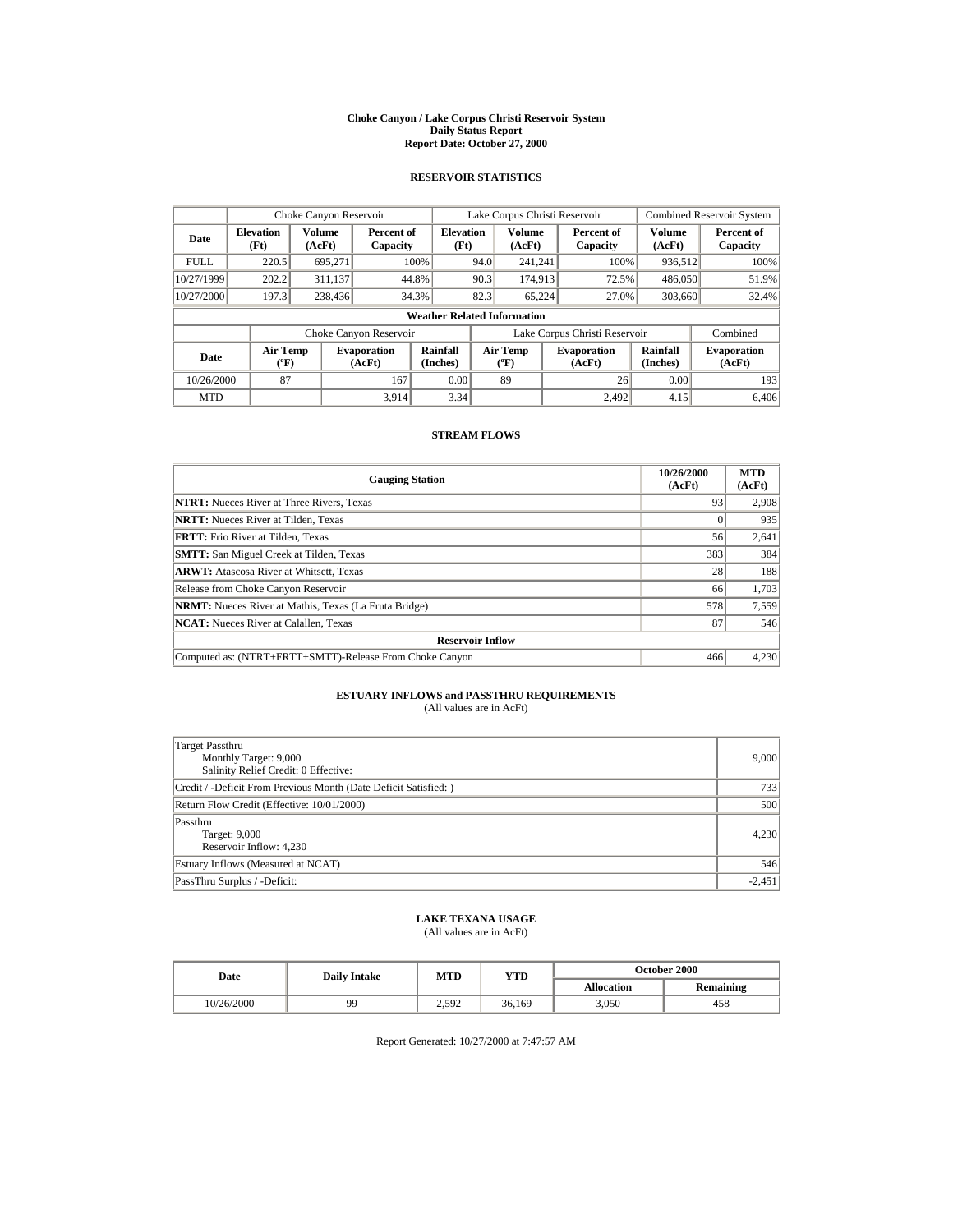#### **Choke Canyon / Lake Corpus Christi Reservoir System Daily Status Report Report Date: October 27, 2000**

## **RESERVOIR STATISTICS**

|             | Choke Canyon Reservoir                      |                         |                              |                          | Lake Corpus Christi Reservoir |                                                  |  |                               | <b>Combined Reservoir System</b> |                              |
|-------------|---------------------------------------------|-------------------------|------------------------------|--------------------------|-------------------------------|--------------------------------------------------|--|-------------------------------|----------------------------------|------------------------------|
| Date        | <b>Elevation</b><br>(Ft)                    | <b>Volume</b><br>(AcFt) | Percent of<br>Capacity       | <b>Elevation</b><br>(Ft) |                               | <b>Volume</b><br>(AcFt)                          |  | Percent of<br>Capacity        | <b>Volume</b><br>(AcFt)          | Percent of<br>Capacity       |
| <b>FULL</b> | 220.5                                       | 695.271                 |                              | 100%                     | 94.0                          | 241.241                                          |  | 100%                          | 936,512                          | 100%                         |
| 10/27/1999  | 202.2                                       | 311,137                 |                              | 44.8%                    | 90.3                          | 174,913                                          |  | 72.5%                         | 486,050                          | 51.9%                        |
| 10/27/2000  | 197.3                                       | 238,436                 |                              | 34.3%                    | 82.3                          | 65.224                                           |  | 27.0%                         | 303,660                          | 32.4%                        |
|             | <b>Weather Related Information</b>          |                         |                              |                          |                               |                                                  |  |                               |                                  |                              |
|             |                                             |                         | Choke Canyon Reservoir       |                          |                               |                                                  |  | Lake Corpus Christi Reservoir |                                  | Combined                     |
| Date        | <b>Air Temp</b><br>$({}^{\circ}\mathrm{F})$ |                         | <b>Evaporation</b><br>(AcFt) | Rainfall<br>(Inches)     |                               | <b>Air Temp</b><br>$({}^{\mathrm{o}}\mathrm{F})$ |  | <b>Evaporation</b><br>(AcFt)  | Rainfall<br>(Inches)             | <b>Evaporation</b><br>(AcFt) |
| 10/26/2000  | 87                                          |                         | 167                          | 0.00                     |                               | 89                                               |  | 26                            | 0.00                             | 193                          |
| <b>MTD</b>  |                                             |                         | 3.914                        | 3.34                     |                               |                                                  |  | 2.492                         | 4.15                             | 6,406                        |

### **STREAM FLOWS**

| <b>Gauging Station</b>                                       | 10/26/2000<br>(AcFt) | <b>MTD</b><br>(AcFt) |  |  |  |
|--------------------------------------------------------------|----------------------|----------------------|--|--|--|
| <b>NTRT:</b> Nueces River at Three Rivers, Texas             | 93                   | 2,908                |  |  |  |
| <b>NRTT:</b> Nueces River at Tilden, Texas                   |                      | 935                  |  |  |  |
| <b>FRTT:</b> Frio River at Tilden, Texas                     | 56                   | 2,641                |  |  |  |
| <b>SMTT:</b> San Miguel Creek at Tilden, Texas               | 383                  | 384                  |  |  |  |
| <b>ARWT:</b> Atascosa River at Whitsett, Texas               | 28                   | 188                  |  |  |  |
| Release from Choke Canyon Reservoir                          | 66                   | 1,703                |  |  |  |
| <b>NRMT:</b> Nueces River at Mathis, Texas (La Fruta Bridge) | 578                  | 7,559                |  |  |  |
| <b>NCAT:</b> Nueces River at Calallen, Texas                 | 87                   | 546                  |  |  |  |
| <b>Reservoir Inflow</b>                                      |                      |                      |  |  |  |
| Computed as: (NTRT+FRTT+SMTT)-Release From Choke Canyon      | 466                  | 4,230                |  |  |  |

# **ESTUARY INFLOWS and PASSTHRU REQUIREMENTS**<br>(All values are in AcFt)

| <b>Target Passthru</b><br>Monthly Target: 9,000<br>Salinity Relief Credit: 0 Effective: | 9,000    |
|-----------------------------------------------------------------------------------------|----------|
| Credit / -Deficit From Previous Month (Date Deficit Satisfied:)                         | 733      |
| Return Flow Credit (Effective: 10/01/2000)                                              | 500      |
| Passthru<br>Target: 9,000<br>Reservoir Inflow: 4,230                                    | 4,230    |
| Estuary Inflows (Measured at NCAT)                                                      | 546      |
| PassThru Surplus / -Deficit:                                                            | $-2,451$ |

# **LAKE TEXANA USAGE**

(All values are in AcFt)

| Date       | <b>Daily Intake</b> | MTD   | YTD    | <b>October 2000</b> |                  |  |
|------------|---------------------|-------|--------|---------------------|------------------|--|
|            |                     |       |        | <b>Allocation</b>   | <b>Remaining</b> |  |
| 10/26/2000 | 99                  | 2.592 | 36.169 | 3.050               | 458              |  |

Report Generated: 10/27/2000 at 7:47:57 AM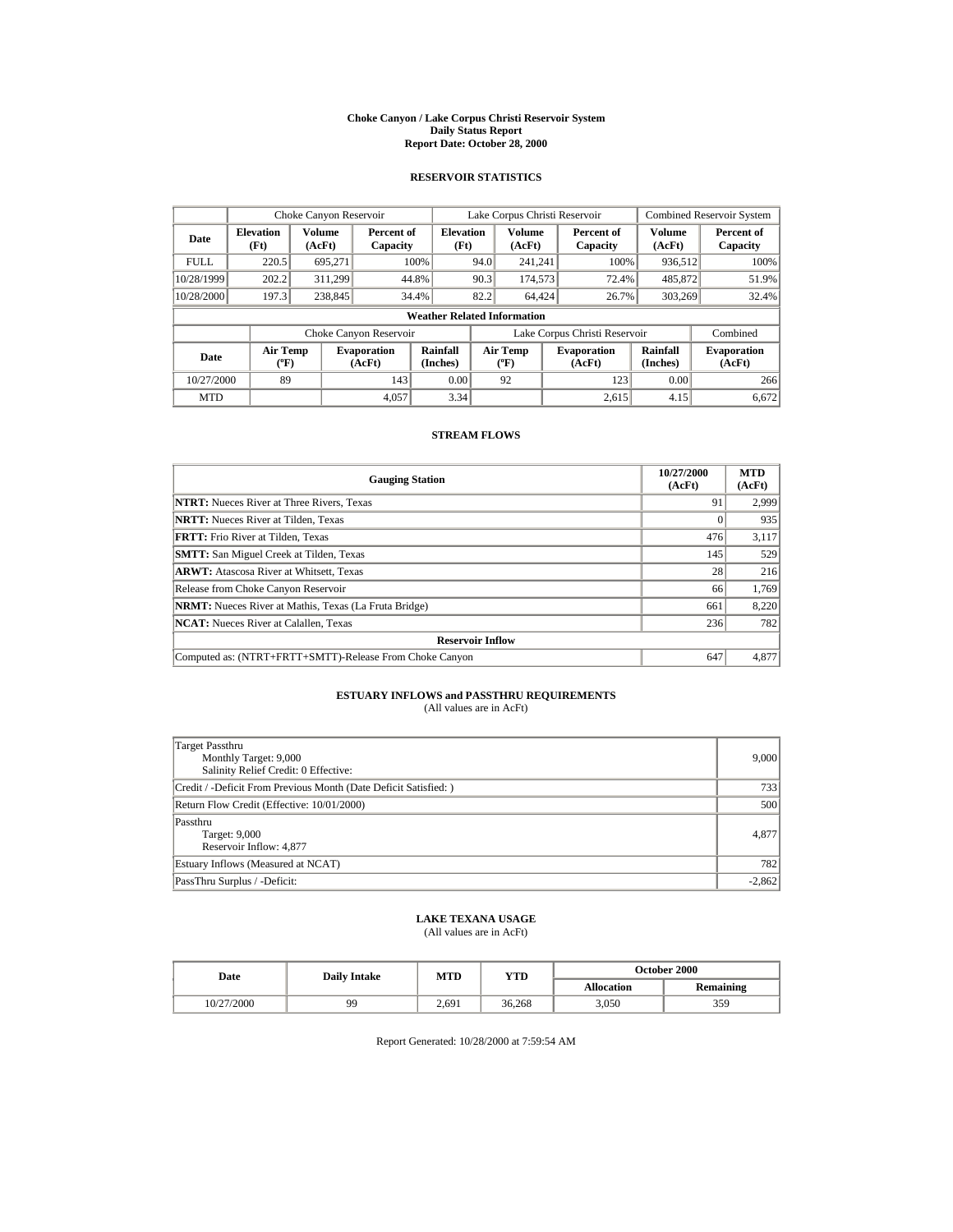#### **Choke Canyon / Lake Corpus Christi Reservoir System Daily Status Report Report Date: October 28, 2000**

## **RESERVOIR STATISTICS**

|             | Choke Canyon Reservoir                      |                  |                              |                          | Lake Corpus Christi Reservoir |                                          |  |                               | <b>Combined Reservoir System</b> |                              |
|-------------|---------------------------------------------|------------------|------------------------------|--------------------------|-------------------------------|------------------------------------------|--|-------------------------------|----------------------------------|------------------------------|
| Date        | <b>Elevation</b><br>(Ft)                    | Volume<br>(AcFt) | Percent of<br>Capacity       | <b>Elevation</b><br>(Ft) |                               | Volume<br>(AcFt)                         |  | Percent of<br>Capacity        | Volume<br>(AcFt)                 | Percent of<br>Capacity       |
| <b>FULL</b> | 220.5                                       | 695.271          |                              | 100%                     | 94.0                          | 241.241                                  |  | 100%                          | 936,512                          | 100%                         |
| 10/28/1999  | 202.2                                       | 311.299          |                              | 44.8%                    | 90.3                          | 174,573                                  |  | 72.4%                         | 485,872                          | 51.9%                        |
| 10/28/2000  | 197.3                                       | 238,845          |                              | 34.4%                    | 82.2                          | 64,424                                   |  | 26.7%                         | 303,269                          | 32.4%                        |
|             | <b>Weather Related Information</b>          |                  |                              |                          |                               |                                          |  |                               |                                  |                              |
|             |                                             |                  | Choke Canyon Reservoir       |                          |                               |                                          |  | Lake Corpus Christi Reservoir |                                  | Combined                     |
| Date        | <b>Air Temp</b><br>$({}^{\circ}\mathrm{F})$ |                  | <b>Evaporation</b><br>(AcFt) | Rainfall<br>(Inches)     |                               | <b>Air Temp</b><br>$({}^{\circ}{\rm F})$ |  | <b>Evaporation</b><br>(AcFt)  | Rainfall<br>(Inches)             | <b>Evaporation</b><br>(AcFt) |
| 10/27/2000  | 89                                          |                  | 143                          | 0.00                     |                               | 92                                       |  | 123                           | 0.00                             | 266                          |
| <b>MTD</b>  |                                             |                  | 4.057                        | 3.34                     |                               |                                          |  | 2.615                         | 4.15                             | 6.672                        |

### **STREAM FLOWS**

| <b>Gauging Station</b>                                       | 10/27/2000<br>(AcFt) | <b>MTD</b><br>(AcFt) |  |  |  |
|--------------------------------------------------------------|----------------------|----------------------|--|--|--|
| <b>NTRT:</b> Nueces River at Three Rivers, Texas             | 91                   | 2,999                |  |  |  |
| <b>NRTT:</b> Nueces River at Tilden, Texas                   |                      | 935                  |  |  |  |
| <b>FRTT:</b> Frio River at Tilden. Texas                     | 476                  | 3,117                |  |  |  |
| <b>SMTT:</b> San Miguel Creek at Tilden, Texas               | 145                  | 529                  |  |  |  |
| <b>ARWT:</b> Atascosa River at Whitsett. Texas               | 28                   | 216                  |  |  |  |
| Release from Choke Canyon Reservoir                          | 66                   | 1,769                |  |  |  |
| <b>NRMT:</b> Nueces River at Mathis, Texas (La Fruta Bridge) | 661                  | 8,220                |  |  |  |
| <b>NCAT:</b> Nueces River at Calallen, Texas                 | 236                  | 782                  |  |  |  |
| <b>Reservoir Inflow</b>                                      |                      |                      |  |  |  |
| Computed as: (NTRT+FRTT+SMTT)-Release From Choke Canyon      | 647                  | 4,877                |  |  |  |

# **ESTUARY INFLOWS and PASSTHRU REQUIREMENTS**<br>(All values are in AcFt)

| Target Passthru<br>Monthly Target: 9,000<br>Salinity Relief Credit: 0 Effective: | 9,000    |
|----------------------------------------------------------------------------------|----------|
| Credit / -Deficit From Previous Month (Date Deficit Satisfied:)                  | 733      |
| Return Flow Credit (Effective: 10/01/2000)                                       | 500      |
| Passthru<br>Target: 9,000<br>Reservoir Inflow: 4,877                             | 4,877    |
| Estuary Inflows (Measured at NCAT)                                               | 782      |
| PassThru Surplus / -Deficit:                                                     | $-2,862$ |

## **LAKE TEXANA USAGE**

(All values are in AcFt)

| Date       | <b>Daily Intake</b> | MTD   | YTD    | <b>October 2000</b> |                  |  |
|------------|---------------------|-------|--------|---------------------|------------------|--|
|            |                     |       |        | <b>Allocation</b>   | <b>Remaining</b> |  |
| 10/27/2000 | 99                  | 2.691 | 36.268 | 3.050               | 359              |  |

Report Generated: 10/28/2000 at 7:59:54 AM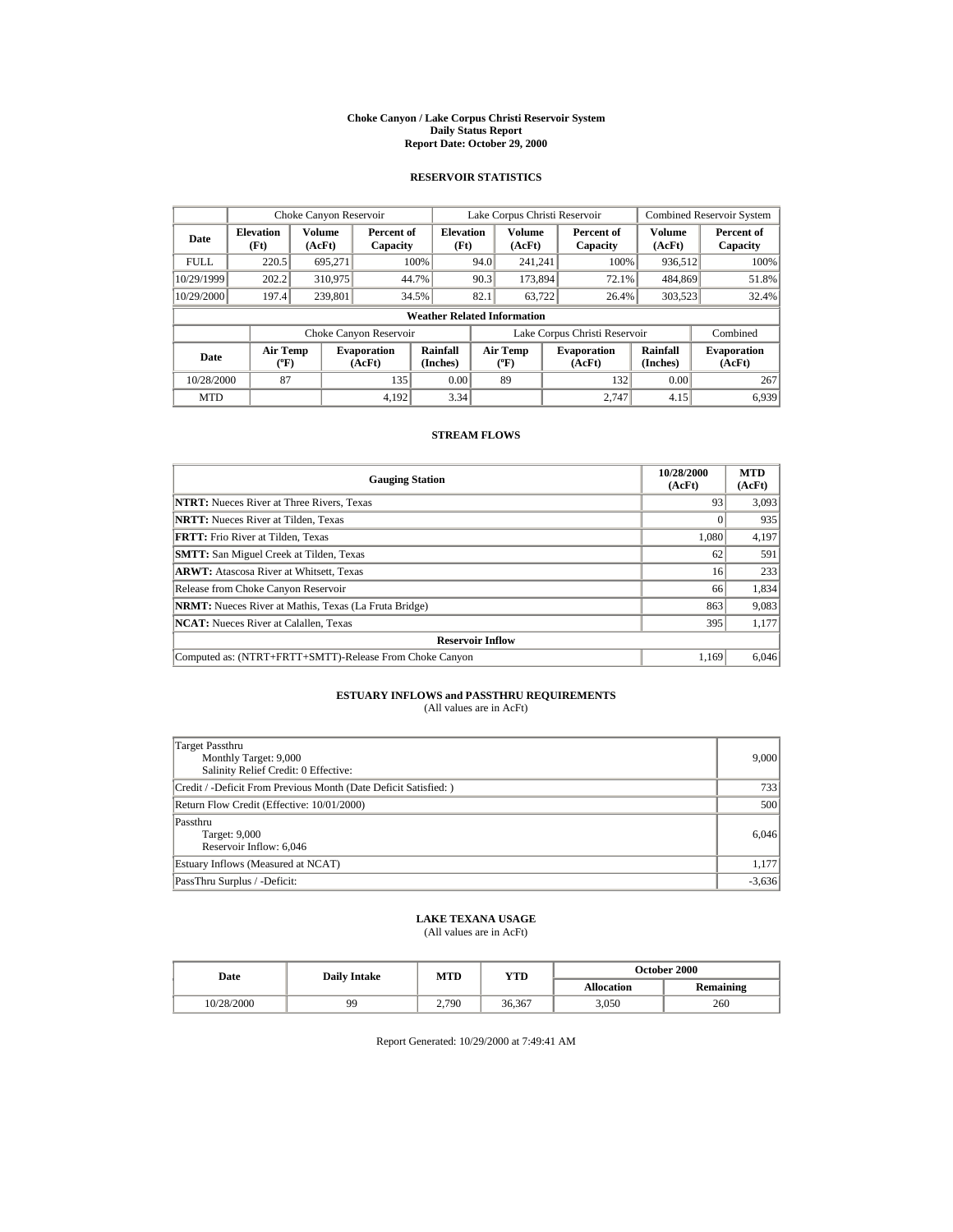#### **Choke Canyon / Lake Corpus Christi Reservoir System Daily Status Report Report Date: October 29, 2000**

## **RESERVOIR STATISTICS**

|             | Choke Canyon Reservoir                      |                         |                              |                          | Lake Corpus Christi Reservoir |                                                  |  |                               | <b>Combined Reservoir System</b> |                              |
|-------------|---------------------------------------------|-------------------------|------------------------------|--------------------------|-------------------------------|--------------------------------------------------|--|-------------------------------|----------------------------------|------------------------------|
| Date        | <b>Elevation</b><br>(Ft)                    | <b>Volume</b><br>(AcFt) | Percent of<br>Capacity       | <b>Elevation</b><br>(Ft) |                               | <b>Volume</b><br>(AcFt)                          |  | Percent of<br>Capacity        | <b>Volume</b><br>(AcFt)          | Percent of<br>Capacity       |
| <b>FULL</b> | 220.5                                       | 695.271                 |                              | 100%                     | 94.0                          | 241.241                                          |  | 100%                          | 936,512                          | 100%                         |
| 10/29/1999  | 202.2                                       | 310,975                 |                              | 44.7%                    | 90.3                          | 173,894                                          |  | 72.1%                         | 484,869                          | 51.8%                        |
| 10/29/2000  | 197.4                                       | 239,801                 |                              | 34.5%                    | 82.1                          | 63.722                                           |  | 26.4%                         | 303,523                          | 32.4%                        |
|             | <b>Weather Related Information</b>          |                         |                              |                          |                               |                                                  |  |                               |                                  |                              |
|             |                                             |                         | Choke Canyon Reservoir       |                          |                               |                                                  |  | Lake Corpus Christi Reservoir |                                  | Combined                     |
| Date        | <b>Air Temp</b><br>$({}^{\circ}\mathrm{F})$ |                         | <b>Evaporation</b><br>(AcFt) | Rainfall<br>(Inches)     |                               | <b>Air Temp</b><br>$({}^{\mathrm{o}}\mathrm{F})$ |  | <b>Evaporation</b><br>(AcFt)  | Rainfall<br>(Inches)             | <b>Evaporation</b><br>(AcFt) |
| 10/28/2000  | 87                                          |                         | 135                          | 0.00                     |                               | 89                                               |  | 132                           | 0.00                             | 267                          |
| <b>MTD</b>  |                                             |                         | 4.192                        | 3.34                     |                               |                                                  |  | 2.747                         | 4.15                             | 6.939                        |

### **STREAM FLOWS**

| <b>Gauging Station</b>                                       | 10/28/2000<br>(AcFt) | <b>MTD</b><br>(AcFt) |  |  |  |
|--------------------------------------------------------------|----------------------|----------------------|--|--|--|
| <b>NTRT:</b> Nueces River at Three Rivers, Texas             | 93                   | 3,093                |  |  |  |
| <b>NRTT:</b> Nueces River at Tilden, Texas                   |                      | 935                  |  |  |  |
| <b>FRTT:</b> Frio River at Tilden. Texas                     | 1.080                | 4,197                |  |  |  |
| <b>SMTT:</b> San Miguel Creek at Tilden, Texas               | 62                   | 591                  |  |  |  |
| <b>ARWT:</b> Atascosa River at Whitsett. Texas               | 16                   | 233                  |  |  |  |
| Release from Choke Canyon Reservoir                          | 66                   | 1,834                |  |  |  |
| <b>NRMT:</b> Nueces River at Mathis, Texas (La Fruta Bridge) | 863                  | 9,083                |  |  |  |
| <b>NCAT:</b> Nueces River at Calallen, Texas                 | 395                  | 1,177                |  |  |  |
| <b>Reservoir Inflow</b>                                      |                      |                      |  |  |  |
| Computed as: (NTRT+FRTT+SMTT)-Release From Choke Canyon      | 1.169                | 6,046                |  |  |  |

# **ESTUARY INFLOWS and PASSTHRU REQUIREMENTS**<br>(All values are in AcFt)

| Target Passthru<br>Monthly Target: 9,000<br>Salinity Relief Credit: 0 Effective: | 9,000    |
|----------------------------------------------------------------------------------|----------|
| Credit / -Deficit From Previous Month (Date Deficit Satisfied:)                  | 733      |
| Return Flow Credit (Effective: 10/01/2000)                                       | 500      |
| Passthru<br>Target: 9,000<br>Reservoir Inflow: 6,046                             | 6,046    |
| Estuary Inflows (Measured at NCAT)                                               | 1,177    |
| PassThru Surplus / -Deficit:                                                     | $-3,636$ |

# **LAKE TEXANA USAGE**

(All values are in AcFt)

| Date       | <b>Daily Intake</b> | MTD   | YTD    | <b>October 2000</b> |                  |  |
|------------|---------------------|-------|--------|---------------------|------------------|--|
|            |                     |       |        | <b>Allocation</b>   | <b>Remaining</b> |  |
| 10/28/2000 | 99                  | 2.790 | 36,367 | 3.050               | 260              |  |

Report Generated: 10/29/2000 at 7:49:41 AM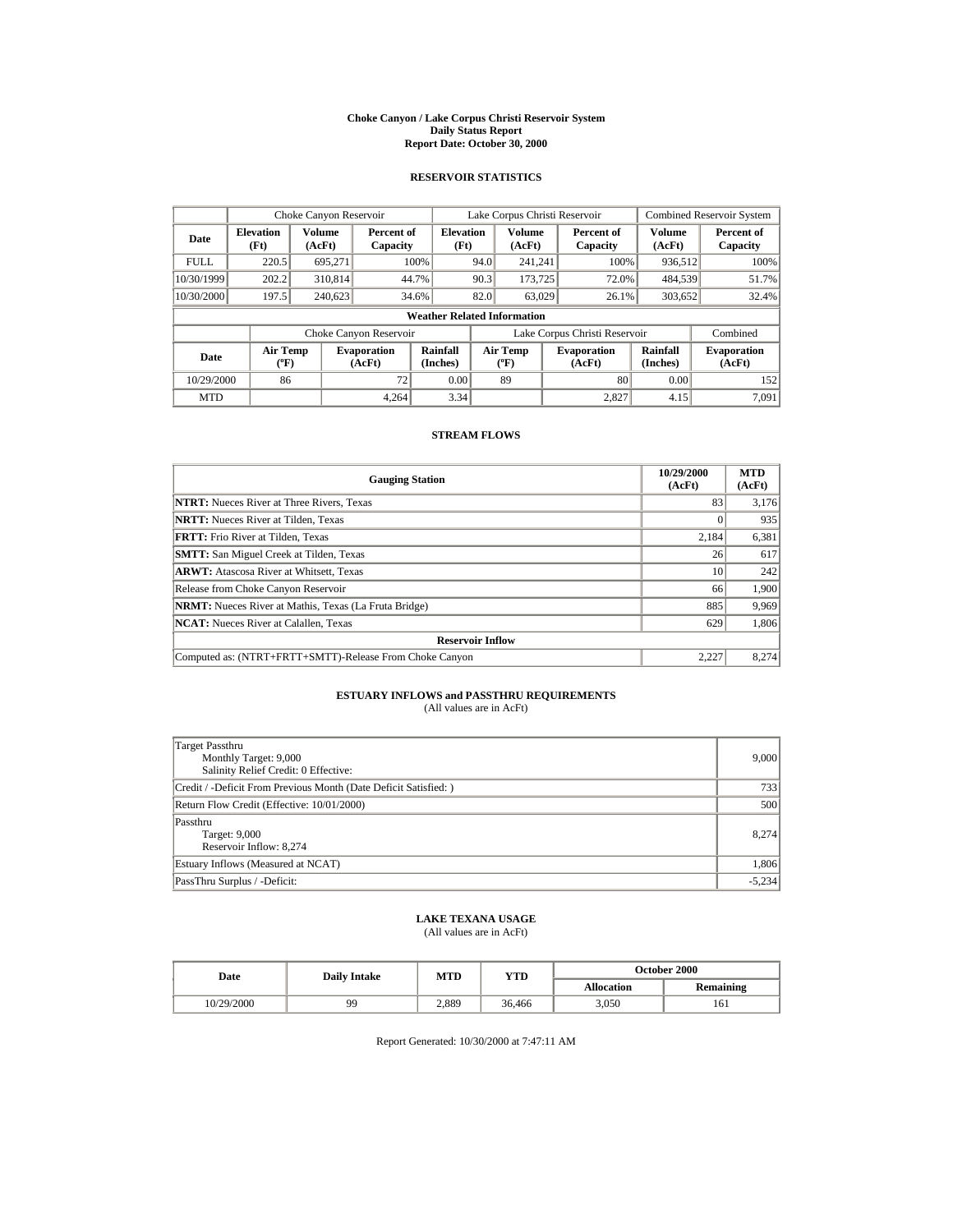#### **Choke Canyon / Lake Corpus Christi Reservoir System Daily Status Report Report Date: October 30, 2000**

## **RESERVOIR STATISTICS**

|             | Choke Canyon Reservoir                |                  |                              |                          | Lake Corpus Christi Reservoir |                                          |  |                               | <b>Combined Reservoir System</b> |                              |
|-------------|---------------------------------------|------------------|------------------------------|--------------------------|-------------------------------|------------------------------------------|--|-------------------------------|----------------------------------|------------------------------|
| Date        | <b>Elevation</b><br>(Ft)              | Volume<br>(AcFt) | Percent of<br>Capacity       | <b>Elevation</b><br>(Ft) |                               | <b>Volume</b><br>(AcFt)                  |  | Percent of<br>Capacity        | <b>Volume</b><br>(AcFt)          | Percent of<br>Capacity       |
| <b>FULL</b> | 220.5                                 | 695.271          |                              | 100%                     | 94.0                          | 241.241                                  |  | 100%                          | 936,512                          | 100%                         |
| 10/30/1999  | 202.2                                 | 310,814          |                              | 44.7%                    | 90.3                          | 173,725                                  |  | 72.0%                         | 484,539                          | 51.7%                        |
| 10/30/2000  | 197.5                                 | 240,623          |                              | 34.6%                    | 82.0                          | 63,029                                   |  | 26.1%                         | 303,652                          | 32.4%                        |
|             | <b>Weather Related Information</b>    |                  |                              |                          |                               |                                          |  |                               |                                  |                              |
|             |                                       |                  | Choke Canyon Reservoir       |                          |                               |                                          |  | Lake Corpus Christi Reservoir |                                  | Combined                     |
| Date        | <b>Air Temp</b><br>$({}^o\mathrm{F})$ |                  | <b>Evaporation</b><br>(AcFt) | Rainfall<br>(Inches)     |                               | <b>Air Temp</b><br>$({}^{\circ}{\rm F})$ |  | <b>Evaporation</b><br>(AcFt)  | Rainfall<br>(Inches)             | <b>Evaporation</b><br>(AcFt) |
| 10/29/2000  | 86                                    |                  | 72                           | 0.00                     |                               | 89                                       |  | 80                            | 0.00                             | 152                          |
| <b>MTD</b>  |                                       |                  | 4.264                        | 3.34                     |                               |                                          |  | 2.827                         | 4.15                             | 7.091                        |

### **STREAM FLOWS**

| <b>Gauging Station</b>                                       | 10/29/2000<br>(AcFt) | <b>MTD</b><br>(AcFt) |  |  |  |
|--------------------------------------------------------------|----------------------|----------------------|--|--|--|
| <b>NTRT:</b> Nueces River at Three Rivers, Texas             | 83                   | 3,176                |  |  |  |
| <b>NRTT:</b> Nueces River at Tilden, Texas                   |                      | 935                  |  |  |  |
| <b>FRTT:</b> Frio River at Tilden. Texas                     | 2,184                | 6,381                |  |  |  |
| <b>SMTT:</b> San Miguel Creek at Tilden, Texas               | 26                   | 617                  |  |  |  |
| <b>ARWT:</b> Atascosa River at Whitsett, Texas               | 10                   | 242                  |  |  |  |
| Release from Choke Canyon Reservoir                          | 66                   | 1,900                |  |  |  |
| <b>NRMT:</b> Nueces River at Mathis, Texas (La Fruta Bridge) | 885                  | 9,969                |  |  |  |
| <b>NCAT:</b> Nueces River at Calallen, Texas                 | 629                  | 1,806                |  |  |  |
| <b>Reservoir Inflow</b>                                      |                      |                      |  |  |  |
| Computed as: (NTRT+FRTT+SMTT)-Release From Choke Canyon      | 2.227                | 8.274                |  |  |  |

# **ESTUARY INFLOWS and PASSTHRU REQUIREMENTS**<br>(All values are in AcFt)

| Target Passthru<br>Monthly Target: 9,000<br>Salinity Relief Credit: 0 Effective: | 9,000    |
|----------------------------------------------------------------------------------|----------|
| Credit / -Deficit From Previous Month (Date Deficit Satisfied:)                  | 733      |
| Return Flow Credit (Effective: 10/01/2000)                                       | 500      |
| Passthru<br>Target: 9,000<br>Reservoir Inflow: 8,274                             | 8.274    |
| Estuary Inflows (Measured at NCAT)                                               | 1,806    |
| PassThru Surplus / -Deficit:                                                     | $-5,234$ |

## **LAKE TEXANA USAGE**

(All values are in AcFt)

| <b>Date</b> | <b>Daily Intake</b> | MTD   | YTD    | <b>October 2000</b> |                  |  |
|-------------|---------------------|-------|--------|---------------------|------------------|--|
|             |                     |       |        | <b>Allocation</b>   | <b>Remaining</b> |  |
| 10/29/2000  | 99                  | 2.889 | 36.466 | 3.050               | 161              |  |

Report Generated: 10/30/2000 at 7:47:11 AM